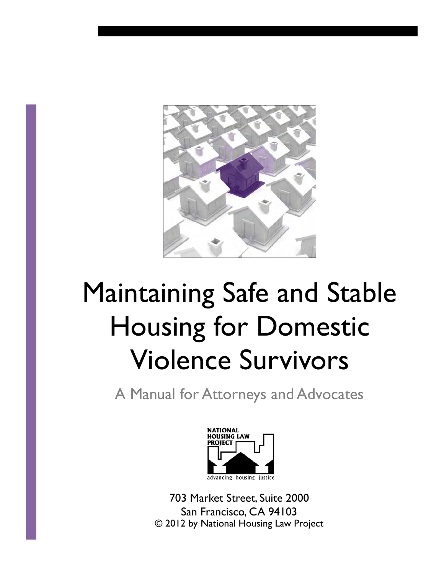

# Maintaining Safe and Stable Housing for Domestic Violence Survivors

A Manual for Attorneys and Advocates



703 Market Street, Suite 2000 San Francisco, CA 94103 © 2012 by National Housing Law Project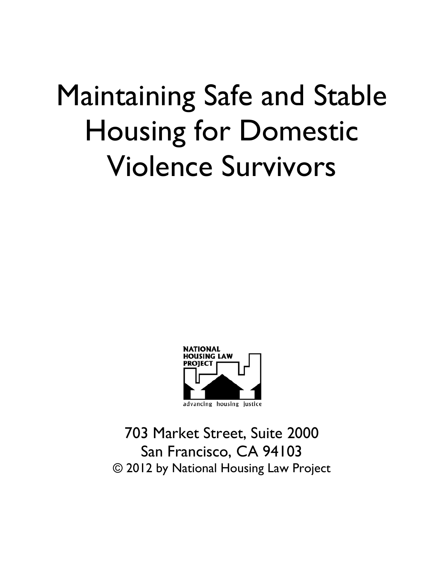# Maintaining Safe and Stable Housing for Domestic Violence Survivors



703 Market Street, Suite 2000 San Francisco, CA 94103 © 2012 by National Housing Law Project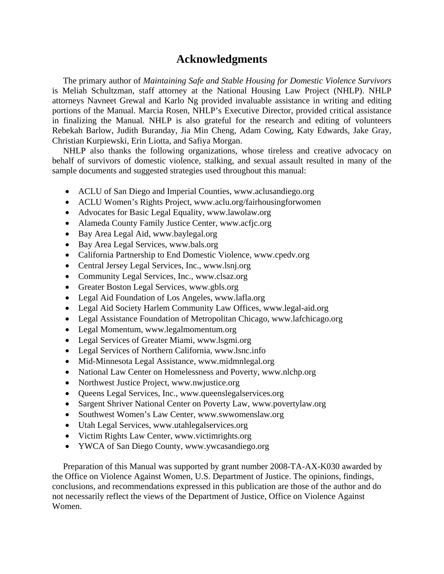## **Acknowledgments**

 The primary author of *Maintaining Safe and Stable Housing for Domestic Violence Survivors* is Meliah Schultzman, staff attorney at the National Housing Law Project (NHLP). NHLP attorneys Navneet Grewal and Karlo Ng provided invaluable assistance in writing and editing portions of the Manual. Marcia Rosen, NHLP's Executive Director, provided critical assistance in finalizing the Manual. NHLP is also grateful for the research and editing of volunteers Rebekah Barlow, Judith Buranday, Jia Min Cheng, Adam Cowing, Katy Edwards, Jake Gray, Christian Kurpiewski, Erin Liotta, and Safiya Morgan.

 NHLP also thanks the following organizations, whose tireless and creative advocacy on behalf of survivors of domestic violence, stalking, and sexual assault resulted in many of the sample documents and suggested strategies used throughout this manual:

- ACLU of San Diego and Imperial Counties, www.aclusandiego.org
- ACLU Women's Rights Project, www.aclu.org/fairhousingforwomen
- Advocates for Basic Legal Equality, www.lawolaw.org
- Alameda County Family Justice Center, www.acfjc.org
- Bay Area Legal Aid, www.baylegal.org
- Bay Area Legal Services, www.bals.org
- California Partnership to End Domestic Violence, www.cpedv.org
- Central Jersey Legal Services, Inc., www.lsnj.org
- Community Legal Services, Inc., www.clsaz.org
- Greater Boston Legal Services, www.gbls.org
- Legal Aid Foundation of Los Angeles, www.lafla.org
- Legal Aid Society Harlem Community Law Offices, www.legal-aid.org
- Legal Assistance Foundation of Metropolitan Chicago, www.lafchicago.org
- Legal Momentum, www.legalmomentum.org
- Legal Services of Greater Miami, www.lsgmi.org
- Legal Services of Northern California, www.lsnc.info
- Mid-Minnesota Legal Assistance, www.midmnlegal.org
- National Law Center on Homelessness and Poverty, www.nlchp.org
- Northwest Justice Project, www.nwjustice.org
- Queens Legal Services, Inc., www.queenslegalservices.org
- Sargent Shriver National Center on Poverty Law, www.povertylaw.org
- Southwest Women's Law Center, www.swwomenslaw.org
- Utah Legal Services, www.utahlegalservices.org
- Victim Rights Law Center, www.victimrights.org
- YWCA of San Diego County, www.ywcasandiego.org

 Preparation of this Manual was supported by grant number 2008-TA-AX-K030 awarded by the Office on Violence Against Women, U.S. Department of Justice. The opinions, findings, conclusions, and recommendations expressed in this publication are those of the author and do not necessarily reflect the views of the Department of Justice, Office on Violence Against Women.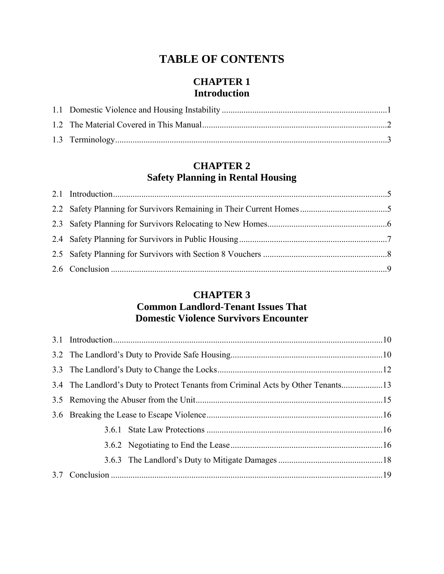# **TABLE OF CONTENTS**

# **CHAPTER 1 Introduction**

# **CHAPTER 2 Safety Planning in Rental Housing**

# **CHAPTER 3 Common Landlord-Tenant Issues That Domestic Violence Survivors Encounter**

|  | 3.4 The Landlord's Duty to Protect Tenants from Criminal Acts by Other Tenants13 |  |
|--|----------------------------------------------------------------------------------|--|
|  |                                                                                  |  |
|  |                                                                                  |  |
|  |                                                                                  |  |
|  |                                                                                  |  |
|  |                                                                                  |  |
|  |                                                                                  |  |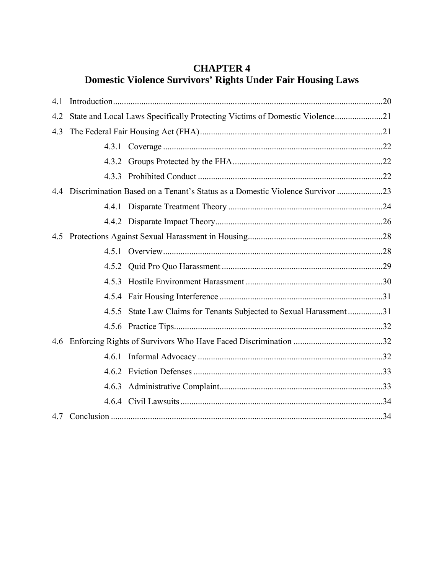# **CHAPTER 4 Domestic Violence Survivors' Rights Under Fair Housing Laws**

| 4.1 |                                                                             |                                                                                  |  |
|-----|-----------------------------------------------------------------------------|----------------------------------------------------------------------------------|--|
| 4.2 | State and Local Laws Specifically Protecting Victims of Domestic Violence21 |                                                                                  |  |
| 4.3 |                                                                             |                                                                                  |  |
|     |                                                                             |                                                                                  |  |
|     |                                                                             |                                                                                  |  |
|     |                                                                             |                                                                                  |  |
|     |                                                                             | 4.4 Discrimination Based on a Tenant's Status as a Domestic Violence Survivor 23 |  |
|     |                                                                             |                                                                                  |  |
|     |                                                                             |                                                                                  |  |
| 4.5 |                                                                             |                                                                                  |  |
|     |                                                                             |                                                                                  |  |
|     |                                                                             |                                                                                  |  |
|     | 4.5.3                                                                       |                                                                                  |  |
|     |                                                                             |                                                                                  |  |
|     |                                                                             | 4.5.5 State Law Claims for Tenants Subjected to Sexual Harassment31              |  |
|     |                                                                             |                                                                                  |  |
|     |                                                                             |                                                                                  |  |
|     | 4.6.1                                                                       |                                                                                  |  |
|     |                                                                             |                                                                                  |  |
|     |                                                                             |                                                                                  |  |
|     |                                                                             |                                                                                  |  |
|     |                                                                             |                                                                                  |  |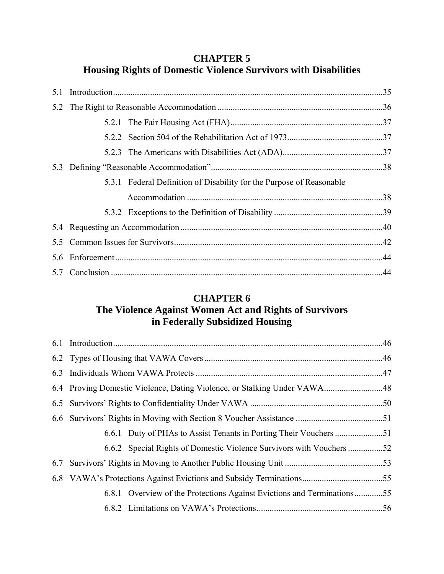# **CHAPTER 5 Housing Rights of Domestic Violence Survivors with Disabilities**

|     | 522 |                                                                      |  |
|-----|-----|----------------------------------------------------------------------|--|
|     |     |                                                                      |  |
|     |     |                                                                      |  |
|     |     | 5.3.1 Federal Definition of Disability for the Purpose of Reasonable |  |
|     |     |                                                                      |  |
|     |     |                                                                      |  |
|     |     |                                                                      |  |
| 5.5 |     |                                                                      |  |
| 5.6 |     |                                                                      |  |
|     |     |                                                                      |  |

# **CHAPTER 6**

# **The Violence Against Women Act and Rights of Survivors in Federally Subsidized Housing**

| 6.6.2 Special Rights of Domestic Violence Survivors with Vouchers 52   |  |
|------------------------------------------------------------------------|--|
|                                                                        |  |
|                                                                        |  |
| 6.8.1 Overview of the Protections Against Evictions and Terminations55 |  |
|                                                                        |  |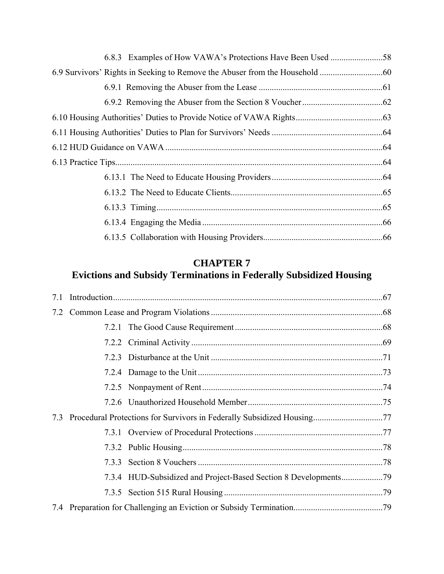# **CHAPTER 7**

# **Evictions and Subsidy Terminations in Federally Subsidized Housing**

| 7.1 |  |  |  |
|-----|--|--|--|
|     |  |  |  |
|     |  |  |  |
|     |  |  |  |
|     |  |  |  |
|     |  |  |  |
|     |  |  |  |
|     |  |  |  |
| 7.3 |  |  |  |
|     |  |  |  |
|     |  |  |  |
|     |  |  |  |
|     |  |  |  |
|     |  |  |  |
|     |  |  |  |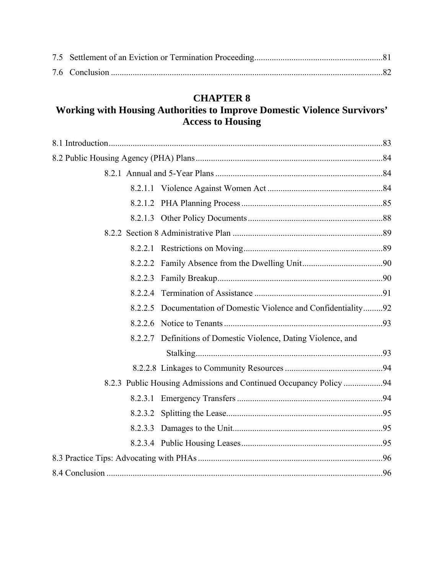# **CHAPTER 8**

# **Working with Housing Authorities to Improve Domestic Violence Survivors' Access to Housing**

| 8.2.2.3 |                                                                   |  |
|---------|-------------------------------------------------------------------|--|
|         |                                                                   |  |
|         | 8.2.2.5 Documentation of Domestic Violence and Confidentiality92  |  |
|         |                                                                   |  |
|         | 8.2.2.7 Definitions of Domestic Violence, Dating Violence, and    |  |
|         |                                                                   |  |
|         |                                                                   |  |
|         | 8.2.3 Public Housing Admissions and Continued Occupancy Policy 94 |  |
|         |                                                                   |  |
|         |                                                                   |  |
|         |                                                                   |  |
|         |                                                                   |  |
|         |                                                                   |  |
|         |                                                                   |  |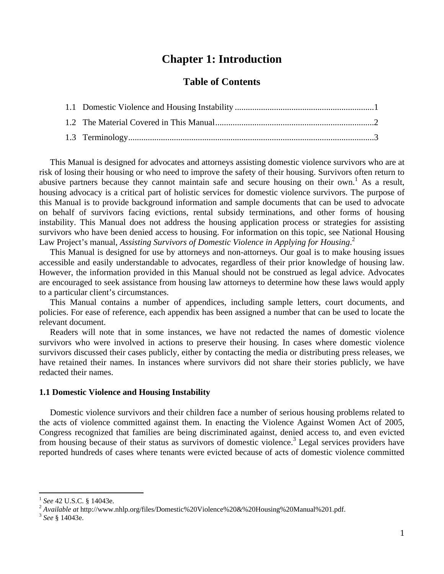### **Chapter 1: Introduction**

#### **Table of Contents**

 This Manual is designed for advocates and attorneys assisting domestic violence survivors who are at risk of losing their housing or who need to improve the safety of their housing. Survivors often return to abusive partners because they cannot maintain safe and secure housing on their own.<sup>1</sup> As a result, housing advocacy is a critical part of holistic services for domestic violence survivors. The purpose of this Manual is to provide background information and sample documents that can be used to advocate on behalf of survivors facing evictions, rental subsidy terminations, and other forms of housing instability. This Manual does not address the housing application process or strategies for assisting survivors who have been denied access to housing. For information on this topic, see National Housing Law Project's manual, *Assisting Survivors of Domestic Violence in Applying for Housing*. 2

 This Manual is designed for use by attorneys and non-attorneys. Our goal is to make housing issues accessible and easily understandable to advocates, regardless of their prior knowledge of housing law. However, the information provided in this Manual should not be construed as legal advice. Advocates are encouraged to seek assistance from housing law attorneys to determine how these laws would apply to a particular client's circumstances.

 This Manual contains a number of appendices, including sample letters, court documents, and policies. For ease of reference, each appendix has been assigned a number that can be used to locate the relevant document.

 Readers will note that in some instances, we have not redacted the names of domestic violence survivors who were involved in actions to preserve their housing. In cases where domestic violence survivors discussed their cases publicly, either by contacting the media or distributing press releases, we have retained their names. In instances where survivors did not share their stories publicly, we have redacted their names.

#### **1.1 Domestic Violence and Housing Instability**

 Domestic violence survivors and their children face a number of serious housing problems related to the acts of violence committed against them. In enacting the Violence Against Women Act of 2005, Congress recognized that families are being discriminated against, denied access to, and even evicted from housing because of their status as survivors of domestic violence.<sup>3</sup> Legal services providers have reported hundreds of cases where tenants were evicted because of acts of domestic violence committed

<sup>&</sup>lt;sup>1</sup> See 42 U.S.C. § 14043e.<br><sup>2</sup> *Available at* http://www.nhlp.org/files/Domestic%20Violence%20&%20Housing%20Manual%201.pdf. <sup>3</sup> See § 14043e.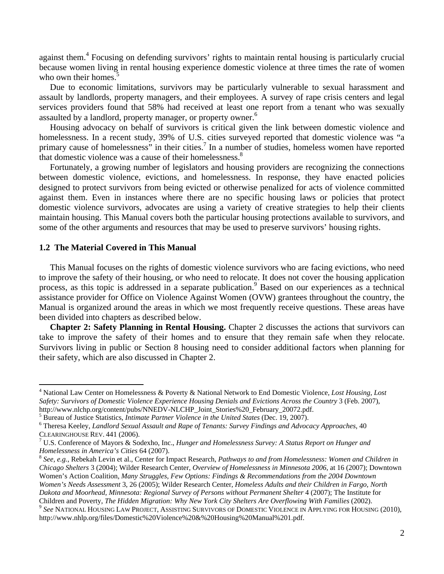against them.<sup>4</sup> Focusing on defending survivors' rights to maintain rental housing is particularly crucial because women living in rental housing experience domestic violence at three times the rate of women who own their homes.<sup>5</sup>

 Due to economic limitations, survivors may be particularly vulnerable to sexual harassment and assault by landlords, property managers, and their employees. A survey of rape crisis centers and legal services providers found that 58% had received at least one report from a tenant who was sexually assaulted by a landlord, property manager, or property owner.<sup>6</sup>

 Housing advocacy on behalf of survivors is critical given the link between domestic violence and homelessness. In a recent study, 39% of U.S. cities surveyed reported that domestic violence was "a primary cause of homelessness" in their cities.<sup>7</sup> In a number of studies, homeless women have reported that domestic violence was a cause of their homelessness.<sup>8</sup>

 Fortunately, a growing number of legislators and housing providers are recognizing the connections between domestic violence, evictions, and homelessness. In response, they have enacted policies designed to protect survivors from being evicted or otherwise penalized for acts of violence committed against them. Even in instances where there are no specific housing laws or policies that protect domestic violence survivors, advocates are using a variety of creative strategies to help their clients maintain housing. This Manual covers both the particular housing protections available to survivors, and some of the other arguments and resources that may be used to preserve survivors' housing rights.

#### **1.2 The Material Covered in This Manual**

 This Manual focuses on the rights of domestic violence survivors who are facing evictions, who need to improve the safety of their housing, or who need to relocate. It does not cover the housing application process, as this topic is addressed in a separate publication.<sup>9</sup> Based on our experiences as a technical assistance provider for Office on Violence Against Women (OVW) grantees throughout the country, the Manual is organized around the areas in which we most frequently receive questions. These areas have been divided into chapters as described below.

**Chapter 2: Safety Planning in Rental Housing.** Chapter 2 discusses the actions that survivors can take to improve the safety of their homes and to ensure that they remain safe when they relocate. Survivors living in public or Section 8 housing need to consider additional factors when planning for their safety, which are also discussed in Chapter 2.

*Chicago Shelters* 3 (2004); Wilder Research Center, *Overview of Homelessness in Minnesota 2006*, at 16 (2007); Downtown Women's Action Coalition, *Many Struggles, Few Options: Findings & Recommendations from the 2004 Downtown Women's Needs Assessment* 3, 26 (2005); Wilder Research Center, *Homeless Adults and their Children in Fargo, North Dakota and Moorhead, Minnesota: Regional Survey of Persons without Permanent Shelter* 4 (2007); The Institute for Children and Poverty, *The Hidden Migration: Why New York City Shelters Are Overflowing With Families* (2002).<br><sup>9</sup> See NATIONAL HOUSING LAW PROJECT, ASSISTING SURVIVORS OF DOMESTIC VIOLENCE IN APPLYING FOR HOUSING (2010),

<sup>4</sup> National Law Center on Homelessness & Poverty & National Network to End Domestic Violence, *Lost Housing, Lost Safety: Survivors of Domestic Violence Experience Housing Denials and Evictions Across the Country* 3 (Feb. 2007), http://www.nlchp.org/content/pubs/NNEDV-NLCHP\_Joint\_Stories%20\_February\_20072.pdf. 5

<sup>&</sup>lt;sup>5</sup> Bureau of Justice Statistics, *Intimate Partner Violence in the United States* (Dec. 19, 2007).

Theresa Keeley, *Landlord Sexual Assault and Rape of Tenants: Survey Findings and Advocacy Approaches*, 40 CLEARINGHOUSE REV. 441 (2006).

U.S. Conference of Mayors & Sodexho, Inc., *Hunger and Homelessness Survey: A Status Report on Hunger and Homelessness in America's Cities 64 (2007).*<br><sup>8</sup> *See, e.g., Rebekah Levin et al., Center for Impact Research, <i>Pathways to and from Homelessness: Women and Children in* 

http://www.nhlp.org/files/Domestic%20Violence%20&%20Housing%20Manual%201.pdf.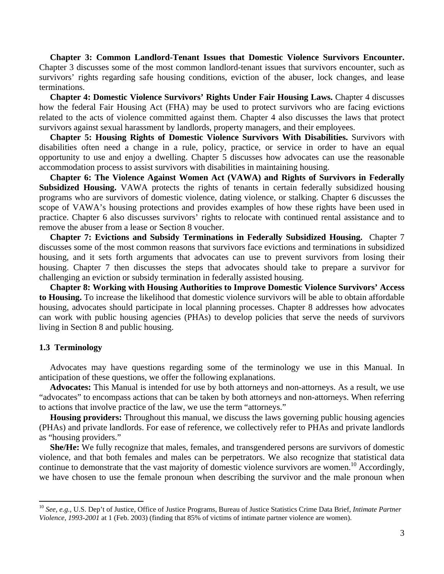**Chapter 3: Common Landlord-Tenant Issues that Domestic Violence Survivors Encounter.**  Chapter 3 discusses some of the most common landlord-tenant issues that survivors encounter, such as survivors' rights regarding safe housing conditions, eviction of the abuser, lock changes, and lease terminations.

 **Chapter 4: Domestic Violence Survivors' Rights Under Fair Housing Laws.** Chapter 4 discusses how the federal Fair Housing Act (FHA) may be used to protect survivors who are facing evictions related to the acts of violence committed against them. Chapter 4 also discusses the laws that protect survivors against sexual harassment by landlords, property managers, and their employees.

 **Chapter 5: Housing Rights of Domestic Violence Survivors With Disabilities.** Survivors with disabilities often need a change in a rule, policy, practice, or service in order to have an equal opportunity to use and enjoy a dwelling. Chapter 5 discusses how advocates can use the reasonable accommodation process to assist survivors with disabilities in maintaining housing.

 **Chapter 6: The Violence Against Women Act (VAWA) and Rights of Survivors in Federally Subsidized Housing.** VAWA protects the rights of tenants in certain federally subsidized housing programs who are survivors of domestic violence, dating violence, or stalking. Chapter 6 discusses the scope of VAWA's housing protections and provides examples of how these rights have been used in practice. Chapter 6 also discusses survivors' rights to relocate with continued rental assistance and to remove the abuser from a lease or Section 8 voucher.

 **Chapter 7: Evictions and Subsidy Terminations in Federally Subsidized Housing.** Chapter 7 discusses some of the most common reasons that survivors face evictions and terminations in subsidized housing, and it sets forth arguments that advocates can use to prevent survivors from losing their housing. Chapter 7 then discusses the steps that advocates should take to prepare a survivor for challenging an eviction or subsidy termination in federally assisted housing.

 **Chapter 8: Working with Housing Authorities to Improve Domestic Violence Survivors' Access to Housing.** To increase the likelihood that domestic violence survivors will be able to obtain affordable housing, advocates should participate in local planning processes. Chapter 8 addresses how advocates can work with public housing agencies (PHAs) to develop policies that serve the needs of survivors living in Section 8 and public housing.

#### **1.3 Terminology**

 Advocates may have questions regarding some of the terminology we use in this Manual. In anticipation of these questions, we offer the following explanations.

 **Advocates:** This Manual is intended for use by both attorneys and non-attorneys. As a result, we use "advocates" to encompass actions that can be taken by both attorneys and non-attorneys. When referring to actions that involve practice of the law, we use the term "attorneys."

 **Housing providers:** Throughout this manual, we discuss the laws governing public housing agencies (PHAs) and private landlords. For ease of reference, we collectively refer to PHAs and private landlords as "housing providers."

 **She/He:** We fully recognize that males, females, and transgendered persons are survivors of domestic violence, and that both females and males can be perpetrators. We also recognize that statistical data continue to demonstrate that the vast majority of domestic violence survivors are women.<sup>10</sup> Accordingly, we have chosen to use the female pronoun when describing the survivor and the male pronoun when

<sup>10</sup> *See, e.g.*, U.S. Dep't of Justice, Office of Justice Programs, Bureau of Justice Statistics Crime Data Brief, *Intimate Partner Violence, 1993-2001* at 1 (Feb. 2003) (finding that 85% of victims of intimate partner violence are women).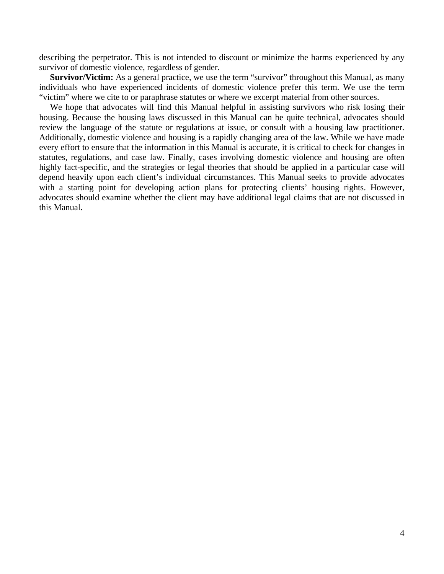describing the perpetrator. This is not intended to discount or minimize the harms experienced by any survivor of domestic violence, regardless of gender.

**Survivor/Victim:** As a general practice, we use the term "survivor" throughout this Manual, as many individuals who have experienced incidents of domestic violence prefer this term. We use the term "victim" where we cite to or paraphrase statutes or where we excerpt material from other sources.

We hope that advocates will find this Manual helpful in assisting survivors who risk losing their housing. Because the housing laws discussed in this Manual can be quite technical, advocates should review the language of the statute or regulations at issue, or consult with a housing law practitioner. Additionally, domestic violence and housing is a rapidly changing area of the law. While we have made every effort to ensure that the information in this Manual is accurate, it is critical to check for changes in statutes, regulations, and case law. Finally, cases involving domestic violence and housing are often highly fact-specific, and the strategies or legal theories that should be applied in a particular case will depend heavily upon each client's individual circumstances. This Manual seeks to provide advocates with a starting point for developing action plans for protecting clients' housing rights. However, advocates should examine whether the client may have additional legal claims that are not discussed in this Manual.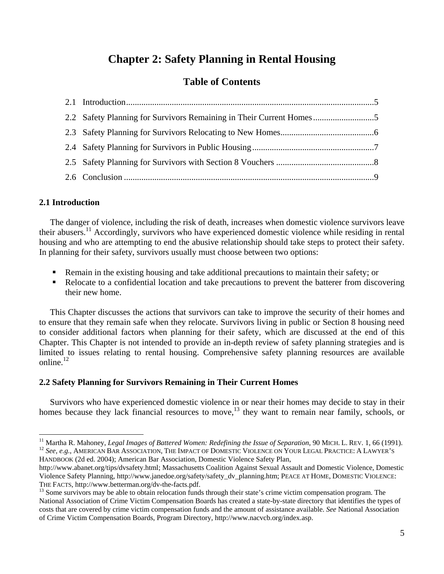# **Chapter 2: Safety Planning in Rental Housing**

### **Table of Contents**

| 2.2 Safety Planning for Survivors Remaining in Their Current Homes |  |
|--------------------------------------------------------------------|--|
|                                                                    |  |
|                                                                    |  |
|                                                                    |  |
|                                                                    |  |

#### **2.1 Introduction**

 The danger of violence, including the risk of death, increases when domestic violence survivors leave their abusers.11 Accordingly, survivors who have experienced domestic violence while residing in rental housing and who are attempting to end the abusive relationship should take steps to protect their safety. In planning for their safety, survivors usually must choose between two options:

- Remain in the existing housing and take additional precautions to maintain their safety; or
- Relocate to a confidential location and take precautions to prevent the batterer from discovering their new home.

 This Chapter discusses the actions that survivors can take to improve the security of their homes and to ensure that they remain safe when they relocate. Survivors living in public or Section 8 housing need to consider additional factors when planning for their safety, which are discussed at the end of this Chapter. This Chapter is not intended to provide an in-depth review of safety planning strategies and is limited to issues relating to rental housing. Comprehensive safety planning resources are available online.<sup>12</sup>

#### **2.2 Safety Planning for Survivors Remaining in Their Current Homes**

 Survivors who have experienced domestic violence in or near their homes may decide to stay in their homes because they lack financial resources to move,<sup>13</sup> they want to remain near family, schools, or

HANDBOOK (2d ed. 2004); American Bar Association, Domestic Violence Safety Plan,

<sup>&</sup>lt;sup>11</sup> Martha R. Mahoney, *Legal Images of Battered Women: Redefining the Issue of Separation*, 90 MICH. L. REV. 1, 66 (1991).<br><sup>12</sup> See, e.g., AMERICAN BAR ASSOCIATION, THE IMPACT OF DOMESTIC VIOLENCE ON YOUR LEGAL PRACTICE

http://www.abanet.org/tips/dvsafety.html; Massachusetts Coalition Against Sexual Assault and Domestic Violence, Domestic Violence Safety Planning, http://www.janedoe.org/safety/safety\_dv\_planning.htm; PEACE AT HOME, DOMESTIC VIOLENCE: THE FACTS, http://www.betterman.org/dv-the-facts.pdf.<br><sup>13</sup> Some survivors may be able to obtain relocation funds through their state's crime victim compensation program. The

National Association of Crime Victim Compensation Boards has created a state-by-state directory that identifies the types of costs that are covered by crime victim compensation funds and the amount of assistance available. *See* National Association of Crime Victim Compensation Boards, Program Directory, http://www.nacvcb.org/index.asp.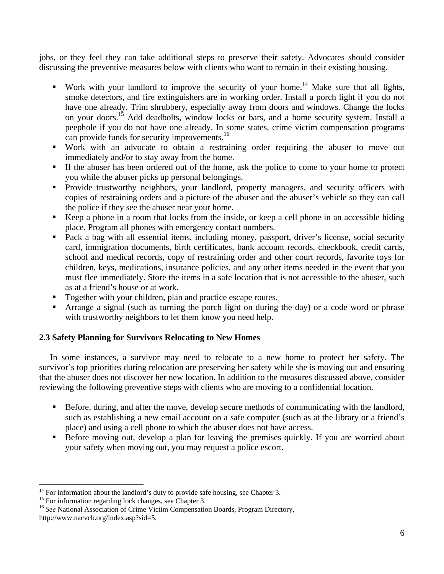jobs, or they feel they can take additional steps to preserve their safety. Advocates should consider discussing the preventive measures below with clients who want to remain in their existing housing.

- Work with your landlord to improve the security of your home.<sup>14</sup> Make sure that all lights, smoke detectors, and fire extinguishers are in working order. Install a porch light if you do not have one already. Trim shrubbery, especially away from doors and windows. Change the locks on your doors.<sup>15</sup> Add deadbolts, window locks or bars, and a home security system. Install a peephole if you do not have one already. In some states, crime victim compensation programs can provide funds for security improvements.<sup>16</sup>
- Work with an advocate to obtain a restraining order requiring the abuser to move out immediately and/or to stay away from the home.
- If the abuser has been ordered out of the home, ask the police to come to your home to protect you while the abuser picks up personal belongings.
- **Provide trustworthy neighbors, your landlord, property managers, and security officers with** copies of restraining orders and a picture of the abuser and the abuser's vehicle so they can call the police if they see the abuser near your home.
- Keep a phone in a room that locks from the inside, or keep a cell phone in an accessible hiding place. Program all phones with emergency contact numbers.
- Pack a bag with all essential items, including money, passport, driver's license, social security card, immigration documents, birth certificates, bank account records, checkbook, credit cards, school and medical records, copy of restraining order and other court records, favorite toys for children, keys, medications, insurance policies, and any other items needed in the event that you must flee immediately. Store the items in a safe location that is not accessible to the abuser, such as at a friend's house or at work.
- Together with your children, plan and practice escape routes.
- Arrange a signal (such as turning the porch light on during the day) or a code word or phrase with trustworthy neighbors to let them know you need help.

#### **2.3 Safety Planning for Survivors Relocating to New Homes**

In some instances, a survivor may need to relocate to a new home to protect her safety. The survivor's top priorities during relocation are preserving her safety while she is moving out and ensuring that the abuser does not discover her new location. In addition to the measures discussed above, consider reviewing the following preventive steps with clients who are moving to a confidential location.

- Before, during, and after the move, develop secure methods of communicating with the landlord, such as establishing a new email account on a safe computer (such as at the library or a friend's place) and using a cell phone to which the abuser does not have access.
- Before moving out, develop a plan for leaving the premises quickly. If you are worried about your safety when moving out, you may request a police escort.

 $14$  For information about the landlord's duty to provide safe housing, see Chapter 3.

<sup>&</sup>lt;sup>15</sup> For information regarding lock changes, see Chapter 3.

<sup>&</sup>lt;sup>16</sup> See National Association of Crime Victim Compensation Boards, Program Directory, http://www.nacvcb.org/index.asp?sid=5.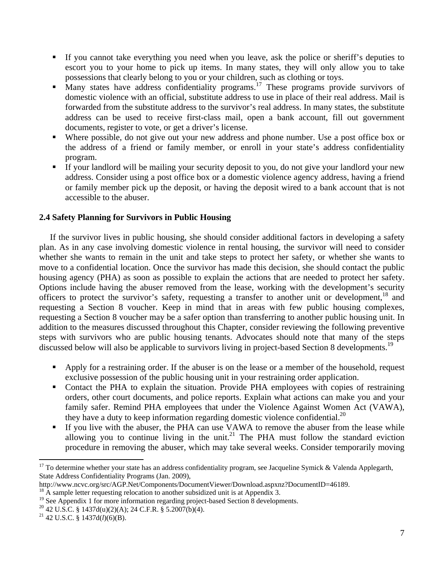- If you cannot take everything you need when you leave, ask the police or sheriff's deputies to escort you to your home to pick up items. In many states, they will only allow you to take possessions that clearly belong to you or your children, such as clothing or toys.
- Many states have address confidentiality programs.<sup>17</sup> These programs provide survivors of domestic violence with an official, substitute address to use in place of their real address. Mail is forwarded from the substitute address to the survivor's real address. In many states, the substitute address can be used to receive first-class mail, open a bank account, fill out government documents, register to vote, or get a driver's license.
- Where possible, do not give out your new address and phone number. Use a post office box or the address of a friend or family member, or enroll in your state's address confidentiality program.
- If your landlord will be mailing your security deposit to you, do not give your landlord your new address. Consider using a post office box or a domestic violence agency address, having a friend or family member pick up the deposit, or having the deposit wired to a bank account that is not accessible to the abuser.

#### **2.4 Safety Planning for Survivors in Public Housing**

 If the survivor lives in public housing, she should consider additional factors in developing a safety plan. As in any case involving domestic violence in rental housing, the survivor will need to consider whether she wants to remain in the unit and take steps to protect her safety, or whether she wants to move to a confidential location. Once the survivor has made this decision, she should contact the public housing agency (PHA) as soon as possible to explain the actions that are needed to protect her safety. Options include having the abuser removed from the lease, working with the development's security officers to protect the survivor's safety, requesting a transfer to another unit or development,<sup>18</sup> and requesting a Section 8 voucher. Keep in mind that in areas with few public housing complexes, requesting a Section 8 voucher may be a safer option than transferring to another public housing unit. In addition to the measures discussed throughout this Chapter, consider reviewing the following preventive steps with survivors who are public housing tenants. Advocates should note that many of the steps discussed below will also be applicable to survivors living in project-based Section 8 developments.<sup>19</sup>

- Apply for a restraining order. If the abuser is on the lease or a member of the household, request exclusive possession of the public housing unit in your restraining order application.
- Contact the PHA to explain the situation. Provide PHA employees with copies of restraining orders, other court documents, and police reports. Explain what actions can make you and your family safer. Remind PHA employees that under the Violence Against Women Act (VAWA), they have a duty to keep information regarding domestic violence confidential.<sup>20</sup>
- If you live with the abuser, the PHA can use VAWA to remove the abuser from the lease while allowing you to continue living in the unit.<sup>21</sup> The PHA must follow the standard eviction procedure in removing the abuser, which may take several weeks. Consider temporarily moving

<sup>&</sup>lt;sup>17</sup> To determine whether your state has an address confidentiality program, see Jacqueline Symick & Valenda Applegarth, State Address Confidentiality Programs (Jan. 2009),

http://www.ncvc.org/src/AGP.Net/Components/DocumentViewer/Download.aspxnz?DocumentID=46189.<br><sup>18</sup> A sample letter requesting relocation to another subsidized unit is at Appendix 3.

<sup>&</sup>lt;sup>19</sup> See Appendix 1 for more information regarding project-based Section 8 developments.

<sup>20 42</sup> U.S.C. § 1437d(u)(2)(A); 24 C.F.R. § 5.2007(b)(4). 21 42 U.S.C. § 1437d(*l*)(6)(B).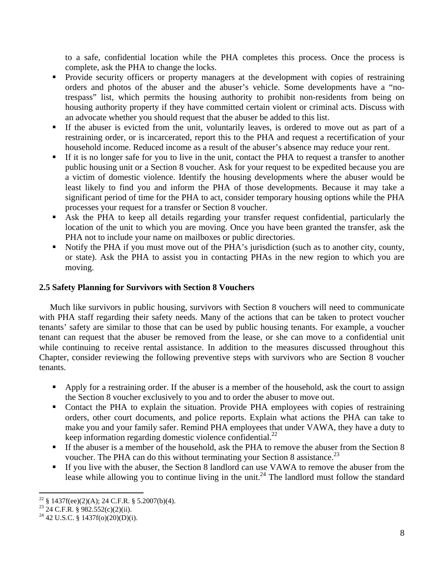to a safe, confidential location while the PHA completes this process. Once the process is complete, ask the PHA to change the locks.

- Provide security officers or property managers at the development with copies of restraining orders and photos of the abuser and the abuser's vehicle. Some developments have a "notrespass" list, which permits the housing authority to prohibit non-residents from being on housing authority property if they have committed certain violent or criminal acts. Discuss with an advocate whether you should request that the abuser be added to this list.
- If the abuser is evicted from the unit, voluntarily leaves, is ordered to move out as part of a restraining order, or is incarcerated, report this to the PHA and request a recertification of your household income. Reduced income as a result of the abuser's absence may reduce your rent.
- If it is no longer safe for you to live in the unit, contact the PHA to request a transfer to another public housing unit or a Section 8 voucher. Ask for your request to be expedited because you are a victim of domestic violence. Identify the housing developments where the abuser would be least likely to find you and inform the PHA of those developments. Because it may take a significant period of time for the PHA to act, consider temporary housing options while the PHA processes your request for a transfer or Section 8 voucher.
- Ask the PHA to keep all details regarding your transfer request confidential, particularly the location of the unit to which you are moving. Once you have been granted the transfer, ask the PHA not to include your name on mailboxes or public directories.
- Notify the PHA if you must move out of the PHA's jurisdiction (such as to another city, county, or state). Ask the PHA to assist you in contacting PHAs in the new region to which you are moving.

#### **2.5 Safety Planning for Survivors with Section 8 Vouchers**

 Much like survivors in public housing, survivors with Section 8 vouchers will need to communicate with PHA staff regarding their safety needs. Many of the actions that can be taken to protect voucher tenants' safety are similar to those that can be used by public housing tenants. For example, a voucher tenant can request that the abuser be removed from the lease, or she can move to a confidential unit while continuing to receive rental assistance. In addition to the measures discussed throughout this Chapter, consider reviewing the following preventive steps with survivors who are Section 8 voucher tenants.

- Apply for a restraining order. If the abuser is a member of the household, ask the court to assign the Section 8 voucher exclusively to you and to order the abuser to move out.
- Contact the PHA to explain the situation. Provide PHA employees with copies of restraining orders, other court documents, and police reports. Explain what actions the PHA can take to make you and your family safer. Remind PHA employees that under VAWA, they have a duty to keep information regarding domestic violence confidential. $^{22}$
- If the abuser is a member of the household, ask the PHA to remove the abuser from the Section 8 voucher. The PHA can do this without terminating your Section 8 assistance.<sup>23</sup>
- If you live with the abuser, the Section 8 landlord can use VAWA to remove the abuser from the lease while allowing you to continue living in the unit.<sup>24</sup> The landlord must follow the standard

 <sup>22</sup> § 1437f(ee)(2)(A); 24 C.F.R. § 5.2007(b)(4).

 $23$  24 C.F.R. § 982.552(c)(2)(ii).

<sup>&</sup>lt;sup>24</sup> 42 U.S.C. § 1437f(o)(20)(D)(i).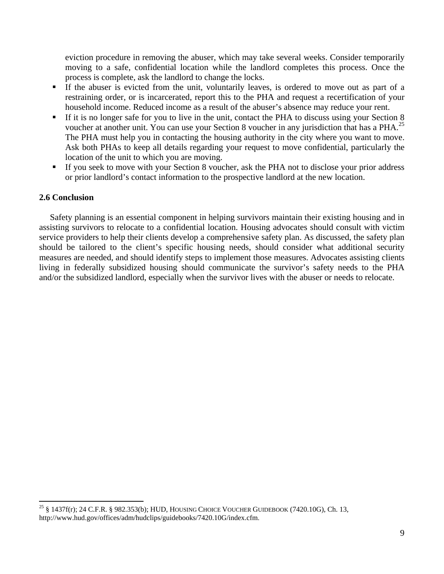eviction procedure in removing the abuser, which may take several weeks. Consider temporarily moving to a safe, confidential location while the landlord completes this process. Once the process is complete, ask the landlord to change the locks.

- If the abuser is evicted from the unit, voluntarily leaves, is ordered to move out as part of a restraining order, or is incarcerated, report this to the PHA and request a recertification of your household income. Reduced income as a result of the abuser's absence may reduce your rent.
- If it is no longer safe for you to live in the unit, contact the PHA to discuss using your Section 8 voucher at another unit. You can use your Section 8 voucher in any jurisdiction that has a PHA.<sup>25</sup> The PHA must help you in contacting the housing authority in the city where you want to move. Ask both PHAs to keep all details regarding your request to move confidential, particularly the location of the unit to which you are moving.
- If you seek to move with your Section 8 voucher, ask the PHA not to disclose your prior address or prior landlord's contact information to the prospective landlord at the new location.

#### **2.6 Conclusion**

 Safety planning is an essential component in helping survivors maintain their existing housing and in assisting survivors to relocate to a confidential location. Housing advocates should consult with victim service providers to help their clients develop a comprehensive safety plan. As discussed, the safety plan should be tailored to the client's specific housing needs, should consider what additional security measures are needed, and should identify steps to implement those measures. Advocates assisting clients living in federally subsidized housing should communicate the survivor's safety needs to the PHA and/or the subsidized landlord, especially when the survivor lives with the abuser or needs to relocate.

<sup>&</sup>lt;sup>25</sup> § 1437f(r); 24 C.F.R. § 982.353(b); HUD, HOUSING CHOICE VOUCHER GUIDEBOOK (7420.10G), Ch. 13, http://www.hud.gov/offices/adm/hudclips/guidebooks/7420.10G/index.cfm.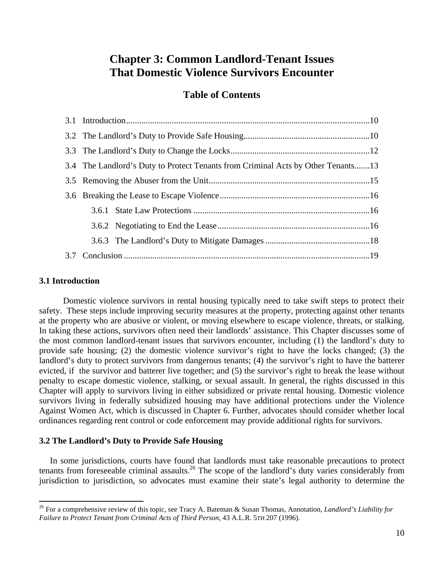# **Chapter 3: Common Landlord-Tenant Issues That Domestic Violence Survivors Encounter**

#### **Table of Contents**

| 3.4 The Landlord's Duty to Protect Tenants from Criminal Acts by Other Tenants13 |  |  |
|----------------------------------------------------------------------------------|--|--|
|                                                                                  |  |  |
|                                                                                  |  |  |
|                                                                                  |  |  |
|                                                                                  |  |  |
|                                                                                  |  |  |
|                                                                                  |  |  |
|                                                                                  |  |  |

#### **3.1 Introduction**

 Domestic violence survivors in rental housing typically need to take swift steps to protect their safety. These steps include improving security measures at the property, protecting against other tenants at the property who are abusive or violent, or moving elsewhere to escape violence, threats, or stalking. In taking these actions, survivors often need their landlords' assistance. This Chapter discusses some of the most common landlord-tenant issues that survivors encounter, including (1) the landlord's duty to provide safe housing; (2) the domestic violence survivor's right to have the locks changed; (3) the landlord's duty to protect survivors from dangerous tenants; (4) the survivor's right to have the batterer evicted, if the survivor and batterer live together; and (5) the survivor's right to break the lease without penalty to escape domestic violence, stalking, or sexual assault. In general, the rights discussed in this Chapter will apply to survivors living in either subsidized or private rental housing. Domestic violence survivors living in federally subsidized housing may have additional protections under the Violence Against Women Act, which is discussed in Chapter 6. Further, advocates should consider whether local ordinances regarding rent control or code enforcement may provide additional rights for survivors.

#### **3.2 The Landlord's Duty to Provide Safe Housing**

 In some jurisdictions, courts have found that landlords must take reasonable precautions to protect tenants from foreseeable criminal assaults.<sup>26</sup> The scope of the landlord's duty varies considerably from jurisdiction to jurisdiction, so advocates must examine their state's legal authority to determine the

<sup>26</sup> For a comprehensive review of this topic, see Tracy A. Bateman & Susan Thomas, Annotation, *Landlord's Liability for Failure to Protect Tenant from Criminal Acts of Third Person*, 43 A.L.R. 5TH 207 (1996).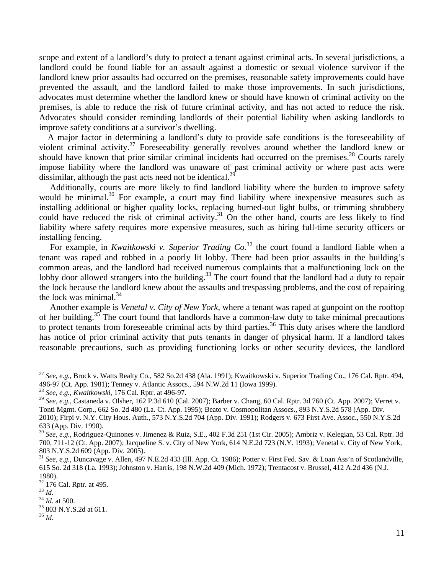scope and extent of a landlord's duty to protect a tenant against criminal acts. In several jurisdictions, a landlord could be found liable for an assault against a domestic or sexual violence survivor if the landlord knew prior assaults had occurred on the premises, reasonable safety improvements could have prevented the assault, and the landlord failed to make those improvements. In such jurisdictions, advocates must determine whether the landlord knew or should have known of criminal activity on the premises, is able to reduce the risk of future criminal activity, and has not acted to reduce the risk. Advocates should consider reminding landlords of their potential liability when asking landlords to improve safety conditions at a survivor's dwelling.

 A major factor in determining a landlord's duty to provide safe conditions is the foreseeability of violent criminal activity.27 Foreseeability generally revolves around whether the landlord knew or should have known that prior similar criminal incidents had occurred on the premises.<sup>28</sup> Courts rarely impose liability where the landlord was unaware of past criminal activity or where past acts were dissimilar, although the past acts need not be identical.<sup>29</sup>

 Additionally, courts are more likely to find landlord liability where the burden to improve safety would be minimal.<sup>30</sup> For example, a court may find liability where inexpensive measures such as installing additional or higher quality locks, replacing burned-out light bulbs, or trimming shrubbery could have reduced the risk of criminal activity.<sup>31</sup> On the other hand, courts are less likely to find liability where safety requires more expensive measures, such as hiring full-time security officers or installing fencing.

For example, in *Kwaitkowski v. Superior Trading Co.*<sup>32</sup> the court found a landlord liable when a tenant was raped and robbed in a poorly lit lobby. There had been prior assaults in the building's common areas, and the landlord had received numerous complaints that a malfunctioning lock on the lobby door allowed strangers into the building.<sup>33</sup> The court found that the landlord had a duty to repair the lock because the landlord knew about the assaults and trespassing problems, and the cost of repairing the lock was minimal. $34$ 

 Another example is *Venetal v. City of New York*, where a tenant was raped at gunpoint on the rooftop of her building.35 The court found that landlords have a common-law duty to take minimal precautions to protect tenants from foreseeable criminal acts by third parties.<sup>36</sup> This duty arises where the landlord has notice of prior criminal activity that puts tenants in danger of physical harm. If a landlord takes reasonable precautions, such as providing functioning locks or other security devices, the landlord

<sup>36</sup> *Id.*

<sup>27</sup> *See*, *e.g.*, Brock v. Watts Realty Co., 582 So.2d 438 (Ala. 1991); Kwaitkowski v. Superior Trading Co., 176 Cal. Rptr. 494, 496-97 (Ct. App. 1981); Tenney v. Atlantic Assocs., 594 N.W.2d 11 (Iowa 1999).

<sup>28</sup> *See, e.g., Kwaitkowski*, 176 Cal. Rptr. at 496-97.

<sup>29</sup> *See, e.g.*, Castaneda v. Olsher, 162 P.3d 610 (Cal. 2007); Barber v. Chang, 60 Cal. Rptr. 3d 760 (Ct. App. 2007); Verret v. Tonti Mgmt. Corp., 662 So. 2d 480 (La. Ct. App. 1995); Beato v. Cosmopolitan Assocs., 893 N.Y.S.2d 578 (App. Div. 2010); Firpi v. N.Y. City Hous. Auth., 573 N.Y.S.2d 704 (App. Div. 1991); Rodgers v. 673 First Ave. Assoc., 550 N.Y.S.2d 633 (App. Div. 1990).

<sup>30</sup> *See, e.g.*, Rodriguez-Quinones v. Jimenez & Ruiz, S.E., 402 F.3d 251 (1st Cir. 2005); Ambriz v. Kelegian, 53 Cal. Rptr. 3d 700, 711-12 (Ct. App. 2007); Jacqueline S. v. City of New York, 614 N.E.2d 723 (N.Y. 1993); Venetal v. City of New York, 803 N.Y.S.2d 609 (App. Div. 2005).

<sup>31</sup> *See, e.g.*, Duncavage v. Allen, 497 N.E.2d 433 (Ill. App. Ct. 1986); Potter v. First Fed. Sav. & Loan Ass'n of Scotlandville, 615 So. 2d 318 (La. 1993); Johnston v. Harris, 198 N.W.2d 409 (Mich. 1972); Trentacost v. Brussel, 412 A.2d 436 (N.J. 1980).

 $\frac{32}{33}$  176 Cal. Rptr. at 495.<br> $\frac{33}{1}$  *Id.* 

<sup>&</sup>lt;sup>34</sup> *Id.* at 500.<br><sup>35</sup> 803 N.Y.S.2d at 611.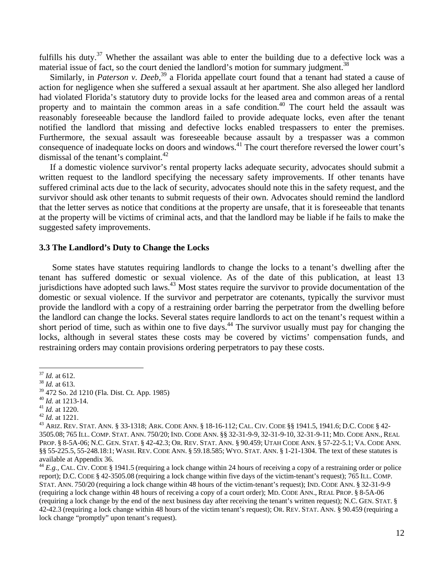fulfills his duty.<sup>37</sup> Whether the assailant was able to enter the building due to a defective lock was a material issue of fact, so the court denied the landlord's motion for summary judgment.<sup>38</sup>

Similarly, in *Paterson v. Deeb*,<sup>39</sup> a Florida appellate court found that a tenant had stated a cause of action for negligence when she suffered a sexual assault at her apartment. She also alleged her landlord had violated Florida's statutory duty to provide locks for the leased area and common areas of a rental property and to maintain the common areas in a safe condition.<sup>40</sup> The court held the assault was reasonably foreseeable because the landlord failed to provide adequate locks, even after the tenant notified the landlord that missing and defective locks enabled trespassers to enter the premises. Furthermore, the sexual assault was foreseeable because assault by a trespasser was a common consequence of inadequate locks on doors and windows.41 The court therefore reversed the lower court's dismissal of the tenant's complaint. $42$ 

 If a domestic violence survivor's rental property lacks adequate security, advocates should submit a written request to the landlord specifying the necessary safety improvements. If other tenants have suffered criminal acts due to the lack of security, advocates should note this in the safety request, and the survivor should ask other tenants to submit requests of their own. Advocates should remind the landlord that the letter serves as notice that conditions at the property are unsafe, that it is foreseeable that tenants at the property will be victims of criminal acts, and that the landlord may be liable if he fails to make the suggested safety improvements.

#### **3.3 The Landlord's Duty to Change the Locks**

Some states have statutes requiring landlords to change the locks to a tenant's dwelling after the tenant has suffered domestic or sexual violence. As of the date of this publication, at least 13 jurisdictions have adopted such laws.<sup>43</sup> Most states require the survivor to provide documentation of the domestic or sexual violence. If the survivor and perpetrator are cotenants, typically the survivor must provide the landlord with a copy of a restraining order barring the perpetrator from the dwelling before the landlord can change the locks. Several states require landlords to act on the tenant's request within a short period of time, such as within one to five days.<sup>44</sup> The survivor usually must pay for changing the locks, although in several states these costs may be covered by victims' compensation funds, and restraining orders may contain provisions ordering perpetrators to pay these costs.

<sup>37</sup> *Id.* at 612. 38 *Id.* at 613.

 $^{39}$  472 So. 2d 1210 (Fla. Dist. Ct. App. 1985)<br> $^{40}$  *Id.* at 1213-14.

<sup>&</sup>lt;sup>41</sup> *Id.* at 1220.<br><sup>42</sup> *Id.* at 1221.<br><sup>43</sup> Ariz. Rev. Stat. Ann. § 33-1318; Ark. Code Ann. § 18-16-112; Cal. Civ. Code §§ 1941.5, 1941.6; D.C. Code § 42-3505.08; 765 ILL. COMP. STAT. ANN. 750/20; IND. CODE ANN. §§ 32-31-9-9, 32-31-9-10, 32-31-9-11; MD. CODE ANN., REAL PROP. § 8-5A-06; N.C. GEN. STAT. § 42-42.3; OR. REV. STAT. ANN. § 90.459; UTAH CODE ANN. § 57-22-5.1; VA. CODE ANN. §§ 55-225.5, 55-248.18:1; WASH. REV. CODE ANN. § 59.18.585; WYO. STAT. ANN. § 1-21-1304. The text of these statutes is available at Appendix 36.

<sup>44</sup> *E.g.,* CAL. CIV. CODE § 1941.5 (requiring a lock change within 24 hours of receiving a copy of a restraining order or police report); D.C. CODE § 42-3505.08 (requiring a lock change within five days of the victim-tenant's request); 765 ILL. COMP. STAT. ANN. 750/20 (requiring a lock change within 48 hours of the victim-tenant's request); IND. CODE ANN. § 32-31-9-9 (requiring a lock change within 48 hours of receiving a copy of a court order); MD. CODE ANN., REAL PROP. § 8-5A-06 (requiring a lock change by the end of the next business day after receiving the tenant's written request); N.C. GEN. STAT. § 42-42.3 (requiring a lock change within 48 hours of the victim tenant's request); OR. REV. STAT. ANN. § 90.459 (requiring a lock change "promptly" upon tenant's request).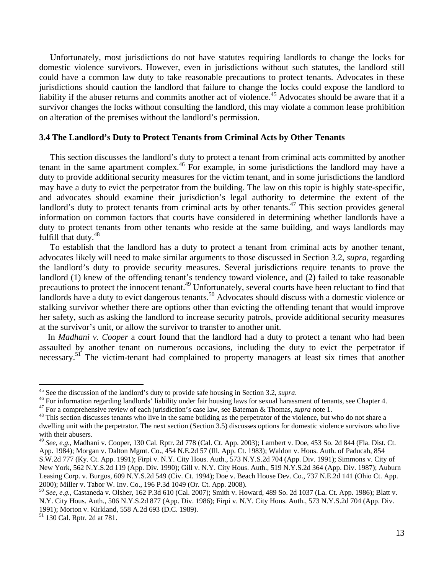Unfortunately, most jurisdictions do not have statutes requiring landlords to change the locks for domestic violence survivors. However, even in jurisdictions without such statutes, the landlord still could have a common law duty to take reasonable precautions to protect tenants. Advocates in these jurisdictions should caution the landlord that failure to change the locks could expose the landlord to liability if the abuser returns and commits another act of violence.<sup>45</sup> Advocates should be aware that if a survivor changes the locks without consulting the landlord, this may violate a common lease prohibition on alteration of the premises without the landlord's permission.

#### **3.4 The Landlord's Duty to Protect Tenants from Criminal Acts by Other Tenants**

 This section discusses the landlord's duty to protect a tenant from criminal acts committed by another tenant in the same apartment complex.<sup>46</sup> For example, in some jurisdictions the landlord may have a duty to provide additional security measures for the victim tenant, and in some jurisdictions the landlord may have a duty to evict the perpetrator from the building. The law on this topic is highly state-specific, and advocates should examine their jurisdiction's legal authority to determine the extent of the landlord's duty to protect tenants from criminal acts by other tenants. $47$  This section provides general information on common factors that courts have considered in determining whether landlords have a duty to protect tenants from other tenants who reside at the same building, and ways landlords may fulfill that duty.<sup>48</sup>

 To establish that the landlord has a duty to protect a tenant from criminal acts by another tenant, advocates likely will need to make similar arguments to those discussed in Section 3.2, *supra*, regarding the landlord's duty to provide security measures. Several jurisdictions require tenants to prove the landlord (1) knew of the offending tenant's tendency toward violence, and (2) failed to take reasonable precautions to protect the innocent tenant.<sup>49</sup> Unfortunately, several courts have been reluctant to find that landlords have a duty to evict dangerous tenants.<sup>50</sup> Advocates should discuss with a domestic violence or stalking survivor whether there are options other than evicting the offending tenant that would improve her safety, such as asking the landlord to increase security patrols, provide additional security measures at the survivor's unit, or allow the survivor to transfer to another unit.

 In *Madhani v. Cooper* a court found that the landlord had a duty to protect a tenant who had been assaulted by another tenant on numerous occasions, including the duty to evict the perpetrator if necessary.<sup>51</sup> The victim-tenant had complained to property managers at least six times that another

 $45$  See the discussion of the landlord's duty to provide safe housing in Section 3.2, supra.

<sup>&</sup>lt;sup>46</sup> For information regarding landlords' liability under fair housing laws for sexual harassment of tenants, see Chapter 4.<br><sup>47</sup> For a comprehensive review of each jurisdiction's case law, see Bateman & Thomas, *supra* n dwelling unit with the perpetrator. The next section (Section 3.5) discusses options for domestic violence survivors who live with their abusers.

<sup>49</sup> *See, e.g.*, Madhani v. Cooper, 130 Cal. Rptr. 2d 778 (Cal. Ct. App. 2003); Lambert v. Doe, 453 So. 2d 844 (Fla. Dist. Ct. App. 1984); Morgan v. Dalton Mgmt. Co., 454 N.E.2d 57 (Ill. App. Ct. 1983); Waldon v. Hous. Auth. of Paducah, 854 S.W.2d 777 (Ky. Ct. App. 1991); Firpi v. N.Y. City Hous. Auth., 573 N.Y.S.2d 704 (App. Div. 1991); Simmons v. City of New York, 562 N.Y.S.2d 119 (App. Div. 1990); Gill v. N.Y. City Hous. Auth., 519 N.Y.S.2d 364 (App. Div. 1987); Auburn Leasing Corp. v. Burgos, 609 N.Y.S.2d 549 (Civ. Ct. 1994); Doe v. Beach House Dev. Co., 737 N.E.2d 141 (Ohio Ct. App. 2000); Miller v. Tabor W. Inv. Co., 196 P.3d 1049 (Or. Ct. App. 2008). 50 *See, e.g.*, Castaneda v. Olsher, 162 P.3d 610 (Cal. 2007); Smith v. Howard, 489 So. 2d 1037 (La. Ct. App. 1986); Blatt v.

N.Y. City Hous. Auth., 506 N.Y.S.2d 877 (App. Div. 1986); Firpi v. N.Y. City Hous. Auth., 573 N.Y.S.2d 704 (App. Div. 1991); Morton v. Kirkland, 558 A.2d 693 (D.C. 1989).

<sup>51 130</sup> Cal. Rptr. 2d at 781.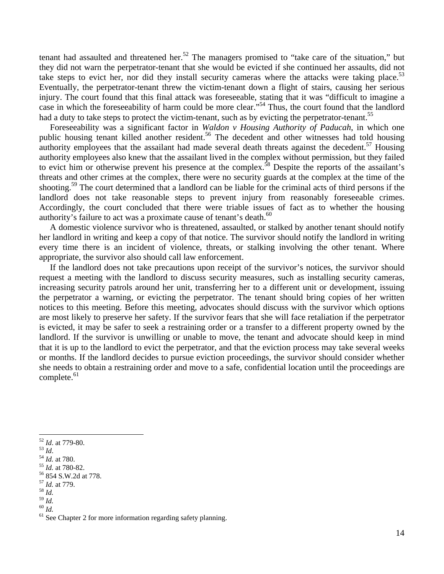tenant had assaulted and threatened her.<sup>52</sup> The managers promised to "take care of the situation," but they did not warn the perpetrator-tenant that she would be evicted if she continued her assaults, did not take steps to evict her, nor did they install security cameras where the attacks were taking place.<sup>53</sup> Eventually, the perpetrator-tenant threw the victim-tenant down a flight of stairs, causing her serious injury. The court found that this final attack was foreseeable, stating that it was "difficult to imagine a case in which the foreseeability of harm could be more clear."54 Thus, the court found that the landlord had a duty to take steps to protect the victim-tenant, such as by evicting the perpetrator-tenant.<sup>55</sup>

 Foreseeability was a significant factor in *Waldon v Housing Authority of Paducah*, in which one public housing tenant killed another resident.<sup>56</sup> The decedent and other witnesses had told housing authority employees that the assailant had made several death threats against the decedent.<sup>57</sup> Housing authority employees also knew that the assailant lived in the complex without permission, but they failed to evict him or otherwise prevent his presence at the complex.<sup>58</sup> Despite the reports of the assailant's threats and other crimes at the complex, there were no security guards at the complex at the time of the shooting.<sup>59</sup> The court determined that a landlord can be liable for the criminal acts of third persons if the landlord does not take reasonable steps to prevent injury from reasonably foreseeable crimes. Accordingly, the court concluded that there were triable issues of fact as to whether the housing authority's failure to act was a proximate cause of tenant's death.<sup>60</sup>

 A domestic violence survivor who is threatened, assaulted, or stalked by another tenant should notify her landlord in writing and keep a copy of that notice. The survivor should notify the landlord in writing every time there is an incident of violence, threats, or stalking involving the other tenant. Where appropriate, the survivor also should call law enforcement.

 If the landlord does not take precautions upon receipt of the survivor's notices, the survivor should request a meeting with the landlord to discuss security measures, such as installing security cameras, increasing security patrols around her unit, transferring her to a different unit or development, issuing the perpetrator a warning, or evicting the perpetrator. The tenant should bring copies of her written notices to this meeting. Before this meeting, advocates should discuss with the survivor which options are most likely to preserve her safety. If the survivor fears that she will face retaliation if the perpetrator is evicted, it may be safer to seek a restraining order or a transfer to a different property owned by the landlord. If the survivor is unwilling or unable to move, the tenant and advocate should keep in mind that it is up to the landlord to evict the perpetrator, and that the eviction process may take several weeks or months. If the landlord decides to pursue eviction proceedings, the survivor should consider whether she needs to obtain a restraining order and move to a safe, confidential location until the proceedings are complete.<sup>61</sup>

<sup>52</sup> *Id*. at 779-80. 53 *Id*. 54 *Id.* at 780. 55 *Id.* at 780-82. 56 854 S.W.2d at 778.

<sup>57</sup> *Id.* at 779. 58 *Id.*

<sup>&</sup>lt;sup>60</sup> *Id.* <sup>61</sup> *Id.* **See Chapter 2** for more information regarding safety planning.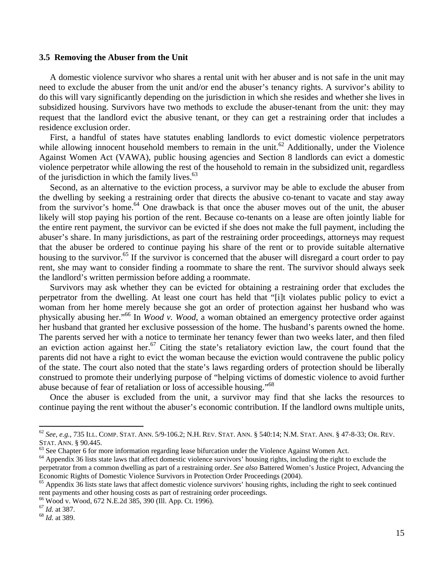#### **3.5 Removing the Abuser from the Unit**

 A domestic violence survivor who shares a rental unit with her abuser and is not safe in the unit may need to exclude the abuser from the unit and/or end the abuser's tenancy rights. A survivor's ability to do this will vary significantly depending on the jurisdiction in which she resides and whether she lives in subsidized housing. Survivors have two methods to exclude the abuser-tenant from the unit: they may request that the landlord evict the abusive tenant, or they can get a restraining order that includes a residence exclusion order.

 First, a handful of states have statutes enabling landlords to evict domestic violence perpetrators while allowing innocent household members to remain in the unit.<sup>62</sup> Additionally, under the Violence Against Women Act (VAWA), public housing agencies and Section 8 landlords can evict a domestic violence perpetrator while allowing the rest of the household to remain in the subsidized unit, regardless of the jurisdiction in which the family lives. $63$ 

 Second, as an alternative to the eviction process, a survivor may be able to exclude the abuser from the dwelling by seeking a restraining order that directs the abusive co-tenant to vacate and stay away from the survivor's home.<sup>64</sup> One drawback is that once the abuser moves out of the unit, the abuser likely will stop paying his portion of the rent. Because co-tenants on a lease are often jointly liable for the entire rent payment, the survivor can be evicted if she does not make the full payment, including the abuser's share. In many jurisdictions, as part of the restraining order proceedings, attorneys may request that the abuser be ordered to continue paying his share of the rent or to provide suitable alternative housing to the survivor.<sup>65</sup> If the survivor is concerned that the abuser will disregard a court order to pay rent, she may want to consider finding a roommate to share the rent. The survivor should always seek the landlord's written permission before adding a roommate.

 Survivors may ask whether they can be evicted for obtaining a restraining order that excludes the perpetrator from the dwelling. At least one court has held that "[i]t violates public policy to evict a woman from her home merely because she got an order of protection against her husband who was physically abusing her."66 In *Wood v. Wood*, a woman obtained an emergency protective order against her husband that granted her exclusive possession of the home. The husband's parents owned the home. The parents served her with a notice to terminate her tenancy fewer than two weeks later, and then filed an eviction action against her.<sup>67</sup> Citing the state's retaliatory eviction law, the court found that the parents did not have a right to evict the woman because the eviction would contravene the public policy of the state. The court also noted that the state's laws regarding orders of protection should be liberally construed to promote their underlying purpose of "helping victims of domestic violence to avoid further abuse because of fear of retaliation or loss of accessible housing."68

 Once the abuser is excluded from the unit, a survivor may find that she lacks the resources to continue paying the rent without the abuser's economic contribution. If the landlord owns multiple units,

<sup>62</sup> *See, e.g.*, 735 ILL. COMP. STAT. ANN. 5/9-106.2; N.H. REV. STAT. ANN. § 540:14; N.M. STAT. ANN. § 47-8-33; OR. REV.

 $63$  See Chapter 6 for more information regarding lease bifurcation under the Violence Against Women Act.

<sup>&</sup>lt;sup>64</sup> Appendix 36 lists state laws that affect domestic violence survivors' housing rights, including the right to exclude the perpetrator from a common dwelling as part of a restraining order. *See also* Battered Women's Justice Project, Advancing the Economic Rights of Domestic Violence Survivors in Protection Order Proceedings (2004).<br><sup>65</sup> Appendix 36 lists state laws that affect domestic violence survivors' housing rights, including the right to seek continued

rent payments and other housing costs as part of restraining order proceedings.<br><sup>66</sup> Wood v. Wood, 672 N.E.2d 385, 390 (Ill. App. Ct. 1996).<br><sup>67</sup> Id. at 387.

<sup>67</sup> *Id.* at 387. 68 *Id.* at 389.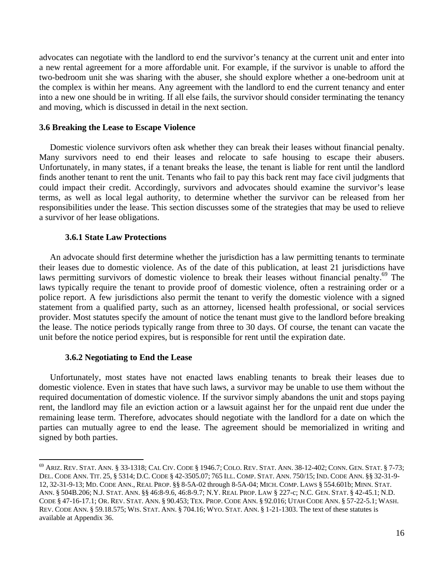advocates can negotiate with the landlord to end the survivor's tenancy at the current unit and enter into a new rental agreement for a more affordable unit. For example, if the survivor is unable to afford the two-bedroom unit she was sharing with the abuser, she should explore whether a one-bedroom unit at the complex is within her means. Any agreement with the landlord to end the current tenancy and enter into a new one should be in writing. If all else fails, the survivor should consider terminating the tenancy and moving, which is discussed in detail in the next section.

#### **3.6 Breaking the Lease to Escape Violence**

Domestic violence survivors often ask whether they can break their leases without financial penalty. Many survivors need to end their leases and relocate to safe housing to escape their abusers. Unfortunately, in many states, if a tenant breaks the lease, the tenant is liable for rent until the landlord finds another tenant to rent the unit. Tenants who fail to pay this back rent may face civil judgments that could impact their credit. Accordingly, survivors and advocates should examine the survivor's lease terms, as well as local legal authority, to determine whether the survivor can be released from her responsibilities under the lease. This section discusses some of the strategies that may be used to relieve a survivor of her lease obligations.

#### **3.6.1 State Law Protections**

 An advocate should first determine whether the jurisdiction has a law permitting tenants to terminate their leases due to domestic violence. As of the date of this publication, at least 21 jurisdictions have laws permitting survivors of domestic violence to break their leases without financial penalty.<sup>69</sup> The laws typically require the tenant to provide proof of domestic violence, often a restraining order or a police report. A few jurisdictions also permit the tenant to verify the domestic violence with a signed statement from a qualified party, such as an attorney, licensed health professional, or social services provider. Most statutes specify the amount of notice the tenant must give to the landlord before breaking the lease. The notice periods typically range from three to 30 days. Of course, the tenant can vacate the unit before the notice period expires, but is responsible for rent until the expiration date.

#### **3.6.2 Negotiating to End the Lease**

 Unfortunately, most states have not enacted laws enabling tenants to break their leases due to domestic violence. Even in states that have such laws, a survivor may be unable to use them without the required documentation of domestic violence. If the survivor simply abandons the unit and stops paying rent, the landlord may file an eviction action or a lawsuit against her for the unpaid rent due under the remaining lease term. Therefore, advocates should negotiate with the landlord for a date on which the parties can mutually agree to end the lease. The agreement should be memorialized in writing and signed by both parties.

<sup>69</sup> ARIZ. REV. STAT. ANN. § 33-1318; CAL CIV. CODE § 1946.7; COLO. REV. STAT. ANN. 38-12-402; CONN. GEN. STAT. § 7-73; DEL. CODE ANN. TIT. 25, § 5314; D.C. CODE § 42-3505.07; 765 ILL. COMP. STAT. ANN. 750/15; IND. CODE ANN. §§ 32-31-9- 12, 32-31-9-13; MD. CODE ANN., REAL PROP. §§ 8-5A-02 through 8-5A-04; MICH. COMP. LAWS § 554.601b; MINN. STAT. ANN. § 504B.206; N.J. STAT. ANN. §§ 46:8-9.6, 46:8-9.7; N.Y. REAL PROP. LAW § 227-c; N.C. GEN. STAT. § 42-45.1; N.D. CODE § 47-16-17.1; OR. REV. STAT. ANN. § 90.453; TEX. PROP. CODE ANN. § 92.016; UTAH CODE ANN. § 57-22-5.1; WASH. REV. CODE ANN. § 59.18.575; WIS. STAT. ANN. § 704.16; WYO. STAT. ANN. § 1-21-1303. The text of these statutes is available at Appendix 36.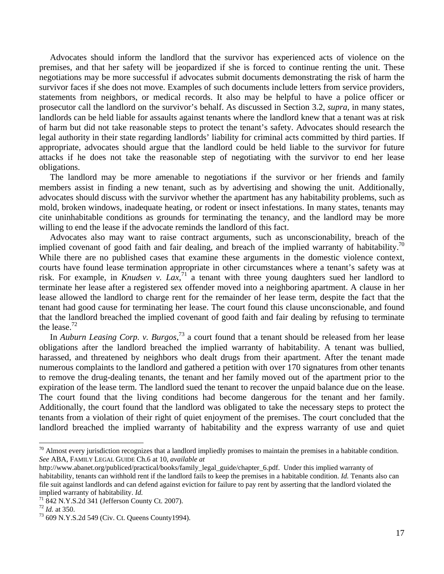Advocates should inform the landlord that the survivor has experienced acts of violence on the premises, and that her safety will be jeopardized if she is forced to continue renting the unit. These negotiations may be more successful if advocates submit documents demonstrating the risk of harm the survivor faces if she does not move. Examples of such documents include letters from service providers, statements from neighbors, or medical records. It also may be helpful to have a police officer or prosecutor call the landlord on the survivor's behalf. As discussed in Section 3.2, *supra*, in many states, landlords can be held liable for assaults against tenants where the landlord knew that a tenant was at risk of harm but did not take reasonable steps to protect the tenant's safety. Advocates should research the legal authority in their state regarding landlords' liability for criminal acts committed by third parties. If appropriate, advocates should argue that the landlord could be held liable to the survivor for future attacks if he does not take the reasonable step of negotiating with the survivor to end her lease obligations.

 The landlord may be more amenable to negotiations if the survivor or her friends and family members assist in finding a new tenant, such as by advertising and showing the unit. Additionally, advocates should discuss with the survivor whether the apartment has any habitability problems, such as mold, broken windows, inadequate heating, or rodent or insect infestations. In many states, tenants may cite uninhabitable conditions as grounds for terminating the tenancy, and the landlord may be more willing to end the lease if the advocate reminds the landlord of this fact.

 Advocates also may want to raise contract arguments, such as unconscionability, breach of the implied covenant of good faith and fair dealing, and breach of the implied warranty of habitability.<sup>70</sup> While there are no published cases that examine these arguments in the domestic violence context, courts have found lease termination appropriate in other circumstances where a tenant's safety was at risk. For example, in *Knudsen v. Lax*,<sup>71</sup> a tenant with three young daughters sued her landlord to terminate her lease after a registered sex offender moved into a neighboring apartment. A clause in her lease allowed the landlord to charge rent for the remainder of her lease term, despite the fact that the tenant had good cause for terminating her lease. The court found this clause unconscionable, and found that the landlord breached the implied covenant of good faith and fair dealing by refusing to terminate the lease.72

In *Auburn Leasing Corp. v. Burgos*<sup>73</sup> a court found that a tenant should be released from her lease obligations after the landlord breached the implied warranty of habitability. A tenant was bullied, harassed, and threatened by neighbors who dealt drugs from their apartment. After the tenant made numerous complaints to the landlord and gathered a petition with over 170 signatures from other tenants to remove the drug-dealing tenants, the tenant and her family moved out of the apartment prior to the expiration of the lease term. The landlord sued the tenant to recover the unpaid balance due on the lease. The court found that the living conditions had become dangerous for the tenant and her family. Additionally, the court found that the landlord was obligated to take the necessary steps to protect the tenants from a violation of their right of quiet enjoyment of the premises. The court concluded that the landlord breached the implied warranty of habitability and the express warranty of use and quiet

 $70$  Almost every jurisdiction recognizes that a landlord impliedly promises to maintain the premises in a habitable condition. *See* ABA, FAMILY LEGAL GUIDE Ch.6 at 10, *available at* 

http://www.abanet.org/publiced/practical/books/family\_legal\_guide/chapter\_6.pdf. Under this implied warranty of habitability, tenants can withhold rent if the landlord fails to keep the premises in a habitable condition. *Id.* Tenants also can file suit against landlords and can defend against eviction for failure to pay rent by asserting that the landlord violated the implied warranty of habitability. *Id.*<br><sup>71</sup> 842 N.Y.S.2d 341 (Jefferson County Ct. 2007).<br><sup>72</sup> *Id.* at 350.

<sup>&</sup>lt;sup>73</sup> 609 N.Y.S.2d 549 (Civ. Ct. Queens County1994).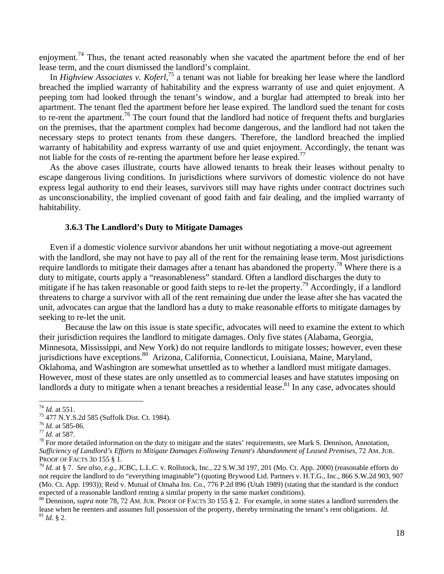enjoyment.<sup>74</sup> Thus, the tenant acted reasonably when she vacated the apartment before the end of her lease term, and the court dismissed the landlord's complaint.

In *Highview Associates v. Koferl*<sup>75</sup> a tenant was not liable for breaking her lease where the landlord breached the implied warranty of habitability and the express warranty of use and quiet enjoyment. A peeping tom had looked through the tenant's window, and a burglar had attempted to break into her apartment. The tenant fled the apartment before her lease expired. The landlord sued the tenant for costs to re-rent the apartment.<sup>76</sup> The court found that the landlord had notice of frequent thefts and burglaries on the premises, that the apartment complex had become dangerous, and the landlord had not taken the necessary steps to protect tenants from these dangers. Therefore, the landlord breached the implied warranty of habitability and express warranty of use and quiet enjoyment. Accordingly, the tenant was not liable for the costs of re-renting the apartment before her lease expired.<sup>77</sup>

 As the above cases illustrate, courts have allowed tenants to break their leases without penalty to escape dangerous living conditions. In jurisdictions where survivors of domestic violence do not have express legal authority to end their leases, survivors still may have rights under contract doctrines such as unconscionability, the implied covenant of good faith and fair dealing, and the implied warranty of habitability.

#### **3.6.3 The Landlord's Duty to Mitigate Damages**

 Even if a domestic violence survivor abandons her unit without negotiating a move-out agreement with the landlord, she may not have to pay all of the rent for the remaining lease term. Most jurisdictions require landlords to mitigate their damages after a tenant has abandoned the property.78 Where there is a duty to mitigate, courts apply a "reasonableness" standard. Often a landlord discharges the duty to mitigate if he has taken reasonable or good faith steps to re-let the property.<sup>79</sup> Accordingly, if a landlord threatens to charge a survivor with all of the rent remaining due under the lease after she has vacated the unit, advocates can argue that the landlord has a duty to make reasonable efforts to mitigate damages by seeking to re-let the unit.

Because the law on this issue is state specific, advocates will need to examine the extent to which their jurisdiction requires the landlord to mitigate damages. Only five states (Alabama, Georgia, Minnesota, Mississippi, and New York) do not require landlords to mitigate losses; however, even these jurisdictions have exceptions.<sup>80</sup> Arizona, California, Connecticut, Louisiana, Maine, Maryland, Oklahoma, and Washington are somewhat unsettled as to whether a landlord must mitigate damages. However, most of these states are only unsettled as to commercial leases and have statutes imposing on landlords a duty to mitigate when a tenant breaches a residential lease.<sup>81</sup> In any case, advocates should

<sup>80</sup> Dennison, *supra* note 78, 72 AM. JUR. PROOF OF FACTS 3D 155 § 2. For example, in some states a landlord surrenders the lease when he reenters and assumes full possession of the property, thereby terminating the tenant's rent obligations. *Id.* <sup>81</sup> *Id.* § 2.

<sup>&</sup>lt;sup>74</sup> *Id.* at 551.<br><sup>75</sup> 477 N.Y.S.2d 585 (Suffolk Dist. Ct. 1984).<br><sup>76</sup> *Id.* at 585-86.

<sup>&</sup>lt;sup>77</sup> *Id.* at 587. *The Id.* at 587. *The information on the duty to mitigate and the states' requirements, see Mark S. Dennison, Annotation,*  $\frac{78}{100}$  *For more detailed information on the duty to mitigate and the stat Sufficiency of Landlord's Efforts to Mitigate Damages Following Tenant's Abandonment of Leased Premises*, 72 AM. JUR. PROOF OF FACTS 3D 155 § 1.<sup>79</sup> *Id.* at § 7. *See also, e.g.,* JCBC, L.L.C. v. Rollstock, Inc*.*, 22 S.W.3d 197, 201 (Mo. Ct. App. 2000) (reasonable efforts do

not require the landlord to do "everything imaginable") (quoting Brywood Ltd. Partners v. H.T.G., Inc., 866 S.W.2d 903, 907 (Mo. Ct. App. 1993)); Reid v. Mutual of Omaha Ins. Co., 776 P.2d 896 (Utah 1989) (stating that the standard is the conduct expected of a reasonable landlord renting a similar property in the same market conditions).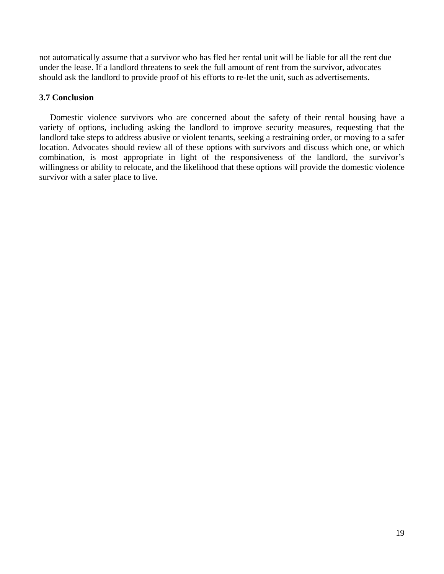not automatically assume that a survivor who has fled her rental unit will be liable for all the rent due under the lease. If a landlord threatens to seek the full amount of rent from the survivor, advocates should ask the landlord to provide proof of his efforts to re-let the unit, such as advertisements.

#### **3.7 Conclusion**

 Domestic violence survivors who are concerned about the safety of their rental housing have a variety of options, including asking the landlord to improve security measures, requesting that the landlord take steps to address abusive or violent tenants, seeking a restraining order, or moving to a safer location. Advocates should review all of these options with survivors and discuss which one, or which combination, is most appropriate in light of the responsiveness of the landlord, the survivor's willingness or ability to relocate, and the likelihood that these options will provide the domestic violence survivor with a safer place to live.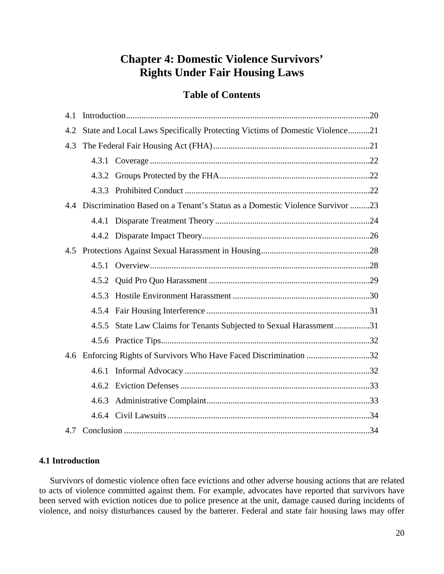# **Chapter 4: Domestic Violence Survivors' Rights Under Fair Housing Laws**

#### **Table of Contents**

| 4.1 |  |                                                                                  |  |
|-----|--|----------------------------------------------------------------------------------|--|
| 4.2 |  | State and Local Laws Specifically Protecting Victims of Domestic Violence21      |  |
| 4.3 |  |                                                                                  |  |
|     |  |                                                                                  |  |
|     |  |                                                                                  |  |
|     |  |                                                                                  |  |
|     |  | 4.4 Discrimination Based on a Tenant's Status as a Domestic Violence Survivor 23 |  |
|     |  |                                                                                  |  |
|     |  |                                                                                  |  |
|     |  |                                                                                  |  |
|     |  |                                                                                  |  |
|     |  |                                                                                  |  |
|     |  |                                                                                  |  |
|     |  |                                                                                  |  |
|     |  | 4.5.5 State Law Claims for Tenants Subjected to Sexual Harassment 31             |  |
|     |  |                                                                                  |  |
| 4.6 |  | Enforcing Rights of Survivors Who Have Faced Discrimination 32                   |  |
|     |  |                                                                                  |  |
|     |  |                                                                                  |  |
|     |  |                                                                                  |  |
|     |  |                                                                                  |  |
| 4.7 |  |                                                                                  |  |

#### **4.1 Introduction**

 Survivors of domestic violence often face evictions and other adverse housing actions that are related to acts of violence committed against them. For example, advocates have reported that survivors have been served with eviction notices due to police presence at the unit, damage caused during incidents of violence, and noisy disturbances caused by the batterer. Federal and state fair housing laws may offer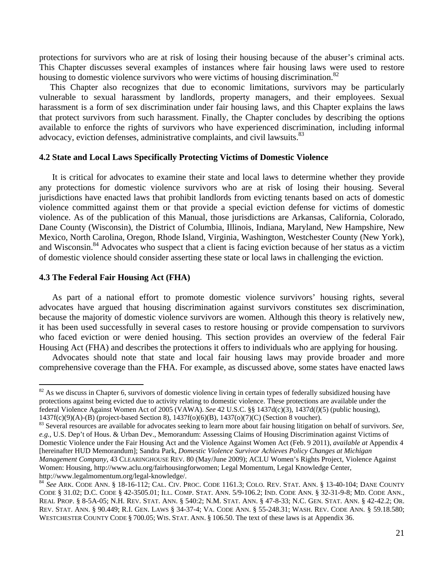protections for survivors who are at risk of losing their housing because of the abuser's criminal acts. This Chapter discusses several examples of instances where fair housing laws were used to restore housing to domestic violence survivors who were victims of housing discrimination.<sup>82</sup>

 This Chapter also recognizes that due to economic limitations, survivors may be particularly vulnerable to sexual harassment by landlords, property managers, and their employees. Sexual harassment is a form of sex discrimination under fair housing laws, and this Chapter explains the laws that protect survivors from such harassment. Finally, the Chapter concludes by describing the options available to enforce the rights of survivors who have experienced discrimination, including informal advocacy, eviction defenses, administrative complaints, and civil lawsuits.<sup>83</sup>

#### **4.2 State and Local Laws Specifically Protecting Victims of Domestic Violence**

It is critical for advocates to examine their state and local laws to determine whether they provide any protections for domestic violence survivors who are at risk of losing their housing. Several jurisdictions have enacted laws that prohibit landlords from evicting tenants based on acts of domestic violence committed against them or that provide a special eviction defense for victims of domestic violence. As of the publication of this Manual, those jurisdictions are Arkansas, California, Colorado, Dane County (Wisconsin), the District of Columbia, Illinois, Indiana, Maryland, New Hampshire, New Mexico, North Carolina, Oregon, Rhode Island, Virginia, Washington, Westchester County (New York), and Wisconsin.<sup>84</sup> Advocates who suspect that a client is facing eviction because of her status as a victim of domestic violence should consider asserting these state or local laws in challenging the eviction.

#### **4.3 The Federal Fair Housing Act (FHA)**

As part of a national effort to promote domestic violence survivors' housing rights, several advocates have argued that housing discrimination against survivors constitutes sex discrimination, because the majority of domestic violence survivors are women. Although this theory is relatively new, it has been used successfully in several cases to restore housing or provide compensation to survivors who faced eviction or were denied housing. This section provides an overview of the federal Fair Housing Act (FHA) and describes the protections it offers to individuals who are applying for housing.

Advocates should note that state and local fair housing laws may provide broader and more comprehensive coverage than the FHA. For example, as discussed above, some states have enacted laws

 $82$  As we discuss in Chapter 6, survivors of domestic violence living in certain types of federally subsidized housing have protections against being evicted due to activity relating to domestic violence. These protections are available under the federal Violence Against Women Act of 2005 (VAWA). *See* 42 U.S.C. §§ 1437d(c)(3), 1437d(*l)*(5) (public housing), 1437f(c)(9)(A)-(B) (project-based Section 8), 1437f(o)(6)(B), 1437(o)(7)(C) (Section 8 voucher).

<sup>83</sup> Several resources are available for advocates seeking to learn more about fair housing litigation on behalf of survivors. *See, e.g.*, U.S. Dep't of Hous. & Urban Dev., Memorandum: Assessing Claims of Housing Discrimination against Victims of Domestic Violence under the Fair Housing Act and the Violence Against Women Act (Feb. 9 2011), *available at* Appendix 4 [hereinafter HUD Memorandum]; Sandra Park, *Domestic Violence Survivor Achieves Policy Changes at Michigan Management Company*, 43 CLEARINGHOUSE REV. 80 (May/June 2009); ACLU Women's Rights Project, Violence Against Women: Housing, http://www.aclu.org/fairhousingforwomen; Legal Momentum, Legal Knowledge Center, http://www.legalmomentum.org/legal-knowledge/.

<sup>84</sup> *See* ARK. CODE ANN. § 18-16-112; CAL. CIV. PROC. CODE 1161.3; COLO. REV. STAT. ANN. § 13-40-104; DANE COUNTY CODE § 31.02; D.C. CODE § 42-3505.01; ILL. COMP. STAT. ANN. 5/9-106.2; IND. CODE ANN. § 32-31-9-8; MD. CODE ANN., REAL PROP. § 8-5A-05; N.H. REV. STAT. ANN. § 540:2; N.M. STAT. ANN. § 47-8-33; N.C. GEN. STAT. ANN. § 42-42.2; OR. REV. STAT. ANN. § 90.449; R.I. GEN. LAWS § 34-37-4; VA. CODE ANN. § 55-248.31; WASH. REV. CODE ANN. § 59.18.580; WESTCHESTER COUNTY CODE § 700.05; WIS. STAT. ANN. § 106.50. The text of these laws is at Appendix 36.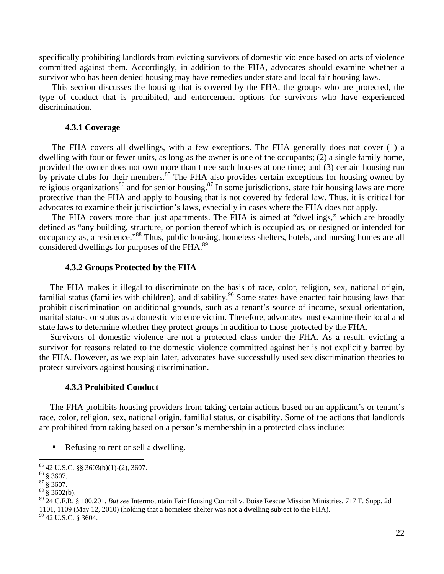specifically prohibiting landlords from evicting survivors of domestic violence based on acts of violence committed against them. Accordingly, in addition to the FHA, advocates should examine whether a survivor who has been denied housing may have remedies under state and local fair housing laws.

This section discusses the housing that is covered by the FHA, the groups who are protected, the type of conduct that is prohibited, and enforcement options for survivors who have experienced discrimination.

#### **4.3.1 Coverage**

The FHA covers all dwellings, with a few exceptions. The FHA generally does not cover (1) a dwelling with four or fewer units, as long as the owner is one of the occupants; (2) a single family home, provided the owner does not own more than three such houses at one time; and (3) certain housing run by private clubs for their members.<sup>85</sup> The FHA also provides certain exceptions for housing owned by religious organizations<sup>86</sup> and for senior housing.<sup>87</sup> In some jurisdictions, state fair housing laws are more protective than the FHA and apply to housing that is not covered by federal law. Thus, it is critical for advocates to examine their jurisdiction's laws, especially in cases where the FHA does not apply.

The FHA covers more than just apartments. The FHA is aimed at "dwellings," which are broadly defined as "any building, structure, or portion thereof which is occupied as, or designed or intended for occupancy as, a residence."88 Thus, public housing, homeless shelters, hotels, and nursing homes are all considered dwellings for purposes of the FHA.89

#### **4.3.2 Groups Protected by the FHA**

 The FHA makes it illegal to discriminate on the basis of race, color, religion, sex, national origin, familial status (families with children), and disability.<sup>90</sup> Some states have enacted fair housing laws that prohibit discrimination on additional grounds, such as a tenant's source of income, sexual orientation, marital status, or status as a domestic violence victim. Therefore, advocates must examine their local and state laws to determine whether they protect groups in addition to those protected by the FHA.

 Survivors of domestic violence are not a protected class under the FHA. As a result, evicting a survivor for reasons related to the domestic violence committed against her is not explicitly barred by the FHA. However, as we explain later, advocates have successfully used sex discrimination theories to protect survivors against housing discrimination.

#### **4.3.3 Prohibited Conduct**

 The FHA prohibits housing providers from taking certain actions based on an applicant's or tenant's race, color, religion, sex, national origin, familial status, or disability. Some of the actions that landlords are prohibited from taking based on a person's membership in a protected class include:

Refusing to rent or sell a dwelling.

 85 42 U.S.C. §§ 3603(b)(1)-(2), 3607.

 $86 \text{ }$  \$ 3607.

 $87\frac{8}{9}3607.$ 

 $88\frac{8}{9}3602(b).$ 

<sup>89 24</sup> C.F.R. § 100.201. *But see* Intermountain Fair Housing Council v. Boise Rescue Mission Ministries, 717 F. Supp. 2d 1101, 1109 (May 12, 2010) (holding that a homeless shelter was not a dwelling subject to the FHA).  $^{90}$  42 U.S.C. § 3604.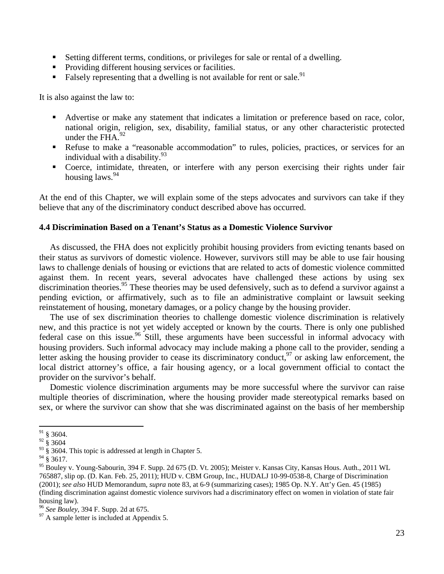- Setting different terms, conditions, or privileges for sale or rental of a dwelling.
- **Providing different housing services or facilities.**
- Falsely representing that a dwelling is not available for rent or sale.<sup>91</sup>

It is also against the law to:

- Advertise or make any statement that indicates a limitation or preference based on race, color, national origin, religion, sex, disability, familial status, or any other characteristic protected under the FHA. $92$
- Refuse to make a "reasonable accommodation" to rules, policies, practices, or services for an individual with a disability. $93$
- Coerce, intimidate, threaten, or interfere with any person exercising their rights under fair housing laws.<sup>94</sup>

At the end of this Chapter, we will explain some of the steps advocates and survivors can take if they believe that any of the discriminatory conduct described above has occurred.

#### **4.4 Discrimination Based on a Tenant's Status as a Domestic Violence Survivor**

 As discussed, the FHA does not explicitly prohibit housing providers from evicting tenants based on their status as survivors of domestic violence. However, survivors still may be able to use fair housing laws to challenge denials of housing or evictions that are related to acts of domestic violence committed against them. In recent years, several advocates have challenged these actions by using sex discrimination theories.<sup>95</sup> These theories may be used defensively, such as to defend a survivor against a pending eviction, or affirmatively, such as to file an administrative complaint or lawsuit seeking reinstatement of housing, monetary damages, or a policy change by the housing provider.

 The use of sex discrimination theories to challenge domestic violence discrimination is relatively new, and this practice is not yet widely accepted or known by the courts. There is only one published federal case on this issue.<sup>96</sup> Still, these arguments have been successful in informal advocacy with housing providers. Such informal advocacy may include making a phone call to the provider, sending a letter asking the housing provider to cease its discriminatory conduct,  $97$  or asking law enforcement, the local district attorney's office, a fair housing agency, or a local government official to contact the provider on the survivor's behalf.

 Domestic violence discrimination arguments may be more successful where the survivor can raise multiple theories of discrimination, where the housing provider made stereotypical remarks based on sex, or where the survivor can show that she was discriminated against on the basis of her membership

 $91$  § 3604.

 $92\,$  § 3604

<sup>&</sup>lt;sup>93</sup> § 3604. This topic is addressed at length in Chapter 5.

 $94\,$  § 3617.

<sup>95</sup> Bouley v. Young-Sabourin, 394 F. Supp. 2d 675 (D. Vt. 2005); Meister v. Kansas City, Kansas Hous. Auth., 2011 WL 765887, slip op. (D. Kan. Feb. 25, 2011); HUD v. CBM Group, Inc., HUDALJ 10-99-0538-8, Charge of Discrimination (2001); *see also* HUD Memorandum, *supra* note 83, at 6-9 (summarizing cases); 1985 Op. N.Y. Att'y Gen. 45 (1985) (finding discrimination against domestic violence survivors had a discriminatory effect on women in violation of state fair housing law).

<sup>&</sup>lt;sup>96</sup> *See Bouley*, 394 F. Supp. 2d at 675.<br><sup>97</sup> A sample letter is included at Appendix 5.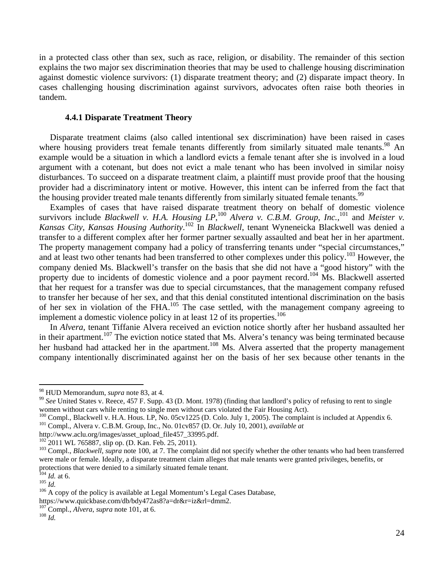in a protected class other than sex, such as race, religion, or disability. The remainder of this section explains the two major sex discrimination theories that may be used to challenge housing discrimination against domestic violence survivors: (1) disparate treatment theory; and (2) disparate impact theory. In cases challenging housing discrimination against survivors, advocates often raise both theories in tandem.

#### **4.4.1 Disparate Treatment Theory**

 Disparate treatment claims (also called intentional sex discrimination) have been raised in cases where housing providers treat female tenants differently from similarly situated male tenants.<sup>98</sup> An example would be a situation in which a landlord evicts a female tenant after she is involved in a loud argument with a cotenant, but does not evict a male tenant who has been involved in similar noisy disturbances. To succeed on a disparate treatment claim, a plaintiff must provide proof that the housing provider had a discriminatory intent or motive. However, this intent can be inferred from the fact that the housing provider treated male tenants differently from similarly situated female tenants.<sup>99</sup>

 Examples of cases that have raised disparate treatment theory on behalf of domestic violence survivors include *Blackwell v. H.A. Housing LP*,<sup>100</sup> *Alvera v. C.B.M. Group, Inc.*,<sup>101</sup> and *Meister v. Kansas City, Kansas Housing Authority*. 102 In *Blackwell*, tenant Wyneneicka Blackwell was denied a transfer to a different complex after her former partner sexually assaulted and beat her in her apartment. The property management company had a policy of transferring tenants under "special circumstances," and at least two other tenants had been transferred to other complexes under this policy.<sup>103</sup> However, the company denied Ms. Blackwell's transfer on the basis that she did not have a "good history" with the property due to incidents of domestic violence and a poor payment record.<sup>104</sup> Ms. Blackwell asserted that her request for a transfer was due to special circumstances, that the management company refused to transfer her because of her sex, and that this denial constituted intentional discrimination on the basis of her sex in violation of the FHA.105 The case settled, with the management company agreeing to implement a domestic violence policy in at least 12 of its properties.<sup>106</sup>

 In *Alvera*, tenant Tiffanie Alvera received an eviction notice shortly after her husband assaulted her in their apartment.<sup>107</sup> The eviction notice stated that Ms. Alvera's tenancy was being terminated because her husband had attacked her in the apartment.<sup>108</sup> Ms. Alvera asserted that the property management company intentionally discriminated against her on the basis of her sex because other tenants in the

<sup>&</sup>lt;sup>98</sup> HUD Memorandum, *supra* note 83, at 4.<br><sup>99</sup> *See* United States v. Reece, 457 F. Supp. 43 (D. Mont. 1978) (finding that landlord's policy of refusing to rent to single women without cars while renting to single men without cars violated the Fair Housing Act).

<sup>&</sup>lt;sup>100</sup> Compl., Blackwell v. H.A. Hous. LP, No. 05cv1225 (D. Colo. July 1, 2005). The complaint is included at Appendix 6. <sup>101</sup> Compl., Alvera v. C.B.M. Group, Inc., No. 01cv857 (D. Or. July 10, 2001), *available at* 

http://www.aclu.org/images/asset\_upload\_file457\_33995.pdf.<br><sup>102</sup> 2011 WL 765887, slip op. (D. Kan. Feb. 25, 2011).

<sup>&</sup>lt;sup>103</sup> Compl., *Blackwell*, *supra* note 100, at 7. The complaint did not specify whether the other tenants who had been transferred were male or female. Ideally, a disparate treatment claim alleges that male tenants were granted privileges, benefits, or protections that were denied to a similarly situated female tenant.<br> $\frac{104}{Id}$  *Id.* at 6.

<sup>105</sup> *Id.*<br><sup>105</sup> *Id.* 200 *I* at 6. 106 *Id.* 106 A copy of the policy is available at Legal Momentum's Legal Cases Database,

https://www.quickbase.com/db/bdy472as8?a=dr&r=iz&rl=dmm2.

<sup>107</sup> Compl., *Alvera*, *supra* note 101, at 6. 108 *Id.*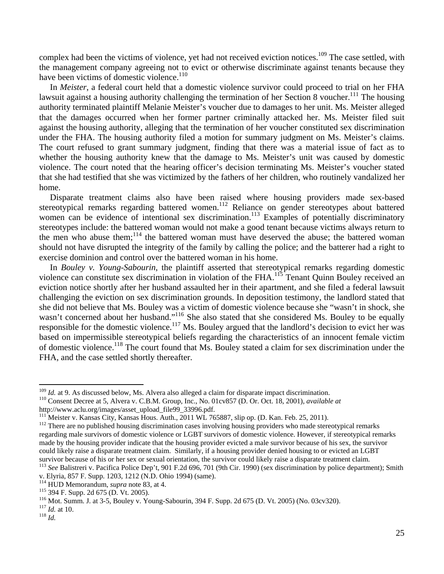complex had been the victims of violence, yet had not received eviction notices.<sup>109</sup> The case settled, with the management company agreeing not to evict or otherwise discriminate against tenants because they have been victims of domestic violence.<sup>110</sup>

 In *Meister*, a federal court held that a domestic violence survivor could proceed to trial on her FHA lawsuit against a housing authority challenging the termination of her Section 8 voucher.<sup>111</sup> The housing authority terminated plaintiff Melanie Meister's voucher due to damages to her unit. Ms. Meister alleged that the damages occurred when her former partner criminally attacked her. Ms. Meister filed suit against the housing authority, alleging that the termination of her voucher constituted sex discrimination under the FHA. The housing authority filed a motion for summary judgment on Ms. Meister's claims. The court refused to grant summary judgment, finding that there was a material issue of fact as to whether the housing authority knew that the damage to Ms. Meister's unit was caused by domestic violence. The court noted that the hearing officer's decision terminating Ms. Meister's voucher stated that she had testified that she was victimized by the fathers of her children, who routinely vandalized her home.

 Disparate treatment claims also have been raised where housing providers made sex-based stereotypical remarks regarding battered women.<sup>112</sup> Reliance on gender stereotypes about battered women can be evidence of intentional sex discrimination.<sup>113</sup> Examples of potentially discriminatory stereotypes include: the battered woman would not make a good tenant because victims always return to the men who abuse them; $^{114}$  the battered woman must have deserved the abuse; the battered woman should not have disrupted the integrity of the family by calling the police; and the batterer had a right to exercise dominion and control over the battered woman in his home.

 In *Bouley v. Young-Sabourin*, the plaintiff asserted that stereotypical remarks regarding domestic violence can constitute sex discrimination in violation of the FHA.<sup>115</sup> Tenant Quinn Bouley received an eviction notice shortly after her husband assaulted her in their apartment, and she filed a federal lawsuit challenging the eviction on sex discrimination grounds. In deposition testimony, the landlord stated that she did not believe that Ms. Bouley was a victim of domestic violence because she "wasn't in shock, she wasn't concerned about her husband."<sup>116</sup> She also stated that she considered Ms. Bouley to be equally responsible for the domestic violence.<sup>117</sup> Ms. Bouley argued that the landlord's decision to evict her was based on impermissible stereotypical beliefs regarding the characteristics of an innocent female victim of domestic violence.<sup>118</sup> The court found that Ms. Bouley stated a claim for sex discrimination under the FHA, and the case settled shortly thereafter.

<sup>&</sup>lt;sup>109</sup> *Id.* at 9. As discussed below, Ms. Alvera also alleged a claim for disparate impact discrimination.<br><sup>110</sup> Consent Decree at 5, Alvera v. C.B.M. Group, Inc., No. 01cv857 (D. Or. Oct. 18, 2001), *available at* 

http://www.aclu.org/images/asset\_upload\_file99\_33996.pdf.<br>
<sup>111</sup> Meister v. Kansas City, Kansas Hous. Auth., 2011 WL 765887, slip op. (D. Kan. Feb. 25, 2011).

 $112$  There are no published housing discrimination cases involving housing providers who made stereotypical remarks regarding male survivors of domestic violence or LGBT survivors of domestic violence. However, if stereotypical remarks made by the housing provider indicate that the housing provider evicted a male survivor because of his sex, the survivor could likely raise a disparate treatment claim. Similarly, if a housing provider denied housing to or evicted an LGBT survivor because of his or her sex or sexual orientation, the survivor could likely raise a disparate treatment claim.<br><sup>113</sup> See Balistreri v. Pacifica Police Dep't, 901 F.2d 696, 701 (9th Cir. 1990) (sex discrimination by

v. Elyria, 857 F. Supp. 1203, 1212 (N.D. Ohio 1994) (same). <sup>114</sup> HUD Memorandum, *supra* note 83, at 4.

<sup>&</sup>lt;sup>115</sup> 394 F. Supp. 2d 675 (D. Vt. 2005).<br><sup>116</sup> Mot. Summ. J. at 3-5, Bouley v. Young-Sabourin, 394 F. Supp. 2d 675 (D. Vt. 2005) (No. 03cv320).<br><sup>117</sup> Id. at 10.<br><sup>118</sup> Id.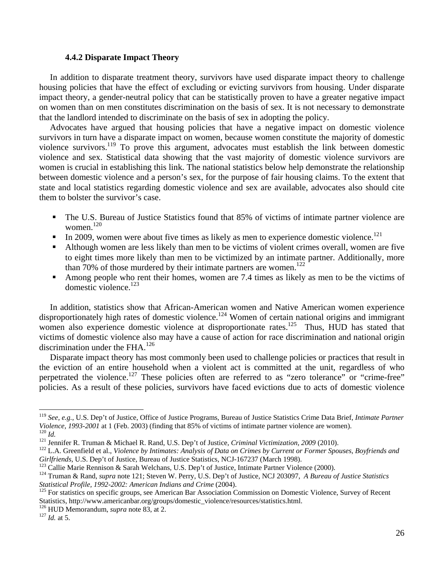## **4.4.2 Disparate Impact Theory**

 In addition to disparate treatment theory, survivors have used disparate impact theory to challenge housing policies that have the effect of excluding or evicting survivors from housing. Under disparate impact theory, a gender-neutral policy that can be statistically proven to have a greater negative impact on women than on men constitutes discrimination on the basis of sex. It is not necessary to demonstrate that the landlord intended to discriminate on the basis of sex in adopting the policy.

 Advocates have argued that housing policies that have a negative impact on domestic violence survivors in turn have a disparate impact on women, because women constitute the majority of domestic violence survivors.119 To prove this argument, advocates must establish the link between domestic violence and sex. Statistical data showing that the vast majority of domestic violence survivors are women is crucial in establishing this link. The national statistics below help demonstrate the relationship between domestic violence and a person's sex, for the purpose of fair housing claims. To the extent that state and local statistics regarding domestic violence and sex are available, advocates also should cite them to bolster the survivor's case.

- The U.S. Bureau of Justice Statistics found that 85% of victims of intimate partner violence are women. $120$
- In 2009, women were about five times as likely as men to experience domestic violence.<sup>121</sup>
- Although women are less likely than men to be victims of violent crimes overall, women are five to eight times more likely than men to be victimized by an intimate partner. Additionally, more than 70% of those murdered by their intimate partners are women.<sup>122</sup>
- Among people who rent their homes, women are 7.4 times as likely as men to be the victims of domestic violence. $123$

 In addition, statistics show that African-American women and Native American women experience disproportionately high rates of domestic violence.<sup>124</sup> Women of certain national origins and immigrant women also experience domestic violence at disproportionate rates.<sup>125</sup> Thus, HUD has stated that victims of domestic violence also may have a cause of action for race discrimination and national origin discrimination under the FHA.<sup>126</sup>

 Disparate impact theory has most commonly been used to challenge policies or practices that result in the eviction of an entire household when a violent act is committed at the unit, regardless of who perpetrated the violence.<sup>127</sup> These policies often are referred to as "zero tolerance" or "crime-free" policies. As a result of these policies, survivors have faced evictions due to acts of domestic violence

<sup>119</sup> *See, e.g.*, U.S. Dep't of Justice, Office of Justice Programs, Bureau of Justice Statistics Crime Data Brief, *Intimate Partner*  Violence, 1993-2001 at 1 (Feb. 2003) (finding that 85% of victims of intimate partner violence are women).<br><sup>120</sup> Id.<br><sup>121</sup> Jennifer R. Truman & Michael R. Rand, U.S. Dep't of Justice, *Criminal Victimization*, 2009 (2010).

Girlfriends, U.S. Dep't of Justice, Bureau of Justice Statistics, NCJ-167237 (March 1998).<br><sup>123</sup> Callie Marie Rennison & Sarah Welchans, U.S. Dep't of Justice, Intimate Partner Violence (2000).<br><sup>124</sup> Truman & Rand, *supra* 

*Statistical Profile, 1992-2002: American Indians and Crime* (2004).<br><sup>125</sup> For statistics on specific groups, see American Bar Association Commission on Domestic Violence, Survey of Recent

Statistics, http://www.americanbar.org/groups/domestic\_violence/resources/statistics.html. <sup>126</sup> HUD Memorandum, *supra* note 83, at 2. <sup>127</sup> *Id.* at 5.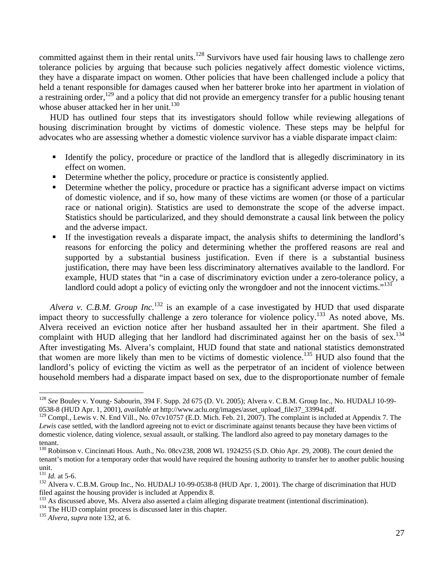committed against them in their rental units.<sup>128</sup> Survivors have used fair housing laws to challenge zero tolerance policies by arguing that because such policies negatively affect domestic violence victims, they have a disparate impact on women. Other policies that have been challenged include a policy that held a tenant responsible for damages caused when her batterer broke into her apartment in violation of a restraining order,<sup>129</sup> and a policy that did not provide an emergency transfer for a public housing tenant whose abuser attacked her in her unit.<sup>130</sup>

 HUD has outlined four steps that its investigators should follow while reviewing allegations of housing discrimination brought by victims of domestic violence. These steps may be helpful for advocates who are assessing whether a domestic violence survivor has a viable disparate impact claim:

- Identify the policy, procedure or practice of the landlord that is allegedly discriminatory in its effect on women.
- Determine whether the policy, procedure or practice is consistently applied.
- Determine whether the policy, procedure or practice has a significant adverse impact on victims of domestic violence, and if so, how many of these victims are women (or those of a particular race or national origin). Statistics are used to demonstrate the scope of the adverse impact. Statistics should be particularized, and they should demonstrate a causal link between the policy and the adverse impact.
- If the investigation reveals a disparate impact, the analysis shifts to determining the landlord's reasons for enforcing the policy and determining whether the proffered reasons are real and supported by a substantial business justification. Even if there is a substantial business justification, there may have been less discriminatory alternatives available to the landlord. For example, HUD states that "in a case of discriminatory eviction under a zero-tolerance policy, a landlord could adopt a policy of evicting only the wrongdoer and not the innocent victims."<sup>131</sup>

 *Alvera v. C.B.M. Group Inc.*132 is an example of a case investigated by HUD that used disparate impact theory to successfully challenge a zero tolerance for violence policy.<sup>133</sup> As noted above, Ms. Alvera received an eviction notice after her husband assaulted her in their apartment. She filed a complaint with HUD alleging that her landlord had discriminated against her on the basis of sex.<sup>134</sup> After investigating Ms. Alvera's complaint, HUD found that state and national statistics demonstrated that women are more likely than men to be victims of domestic violence.135 HUD also found that the landlord's policy of evicting the victim as well as the perpetrator of an incident of violence between household members had a disparate impact based on sex, due to the disproportionate number of female

<sup>128</sup> *See* Bouley v. Young- Sabourin, 394 F. Supp. 2d 675 (D. Vt. 2005); Alvera v. C.B.M. Group Inc., No. HUDALJ 10-99- 0538-8 (HUD Apr. 1, 2001), *available at* http://www.aclu.org/images/asset\_upload\_file37\_33994.pdf.

<sup>&</sup>lt;sup>129</sup> Compl., Lewis v. N. End Vill., No. 07cv10757 (E.D. Mich. Feb. 21, 2007). The complaint is included at Appendix 7. The *Lewis* case settled, with the landlord agreeing not to evict or discriminate against tenants because they have been victims of domestic violence, dating violence, sexual assault, or stalking. The landlord also agreed to pay monetary damages to the tenant.

<sup>&</sup>lt;sup>130</sup> Robinson v. Cincinnati Hous. Auth., No. 08cv238, 2008 WL 1924255 (S.D. Ohio Apr. 29, 2008). The court denied the tenant's motion for a temporary order that would have required the housing authority to transfer her to another public housing unit.<br> $^{131}$  *Id.* at 5-6.

<sup>&</sup>lt;sup>132</sup> Alvera v. C.B.M. Group Inc., No. HUDALJ 10-99-0538-8 (HUD Apr. 1, 2001). The charge of discrimination that HUD filed against the housing provider is included at Appendix 8.

<sup>&</sup>lt;sup>133</sup> As discussed above, Ms. Alvera also asserted a claim alleging disparate treatment (intentional discrimination).<br><sup>134</sup> The HUD complaint process is discussed later in this chapter.<br><sup>135</sup> Alvera, supra note 132, at 6.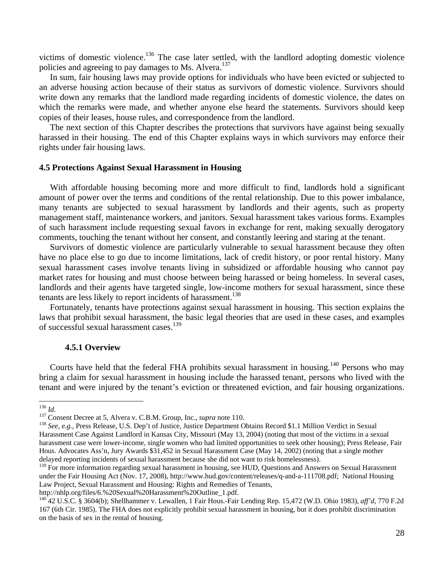victims of domestic violence.<sup>136</sup> The case later settled, with the landlord adopting domestic violence policies and agreeing to pay damages to Ms. Alvera.<sup>137</sup>

 In sum, fair housing laws may provide options for individuals who have been evicted or subjected to an adverse housing action because of their status as survivors of domestic violence. Survivors should write down any remarks that the landlord made regarding incidents of domestic violence, the dates on which the remarks were made, and whether anyone else heard the statements. Survivors should keep copies of their leases, house rules, and correspondence from the landlord.

 The next section of this Chapter describes the protections that survivors have against being sexually harassed in their housing. The end of this Chapter explains ways in which survivors may enforce their rights under fair housing laws.

## **4.5 Protections Against Sexual Harassment in Housing**

 With affordable housing becoming more and more difficult to find, landlords hold a significant amount of power over the terms and conditions of the rental relationship. Due to this power imbalance, many tenants are subjected to sexual harassment by landlords and their agents, such as property management staff, maintenance workers, and janitors. Sexual harassment takes various forms. Examples of such harassment include requesting sexual favors in exchange for rent, making sexually derogatory comments, touching the tenant without her consent, and constantly leering and staring at the tenant.

 Survivors of domestic violence are particularly vulnerable to sexual harassment because they often have no place else to go due to income limitations, lack of credit history, or poor rental history. Many sexual harassment cases involve tenants living in subsidized or affordable housing who cannot pay market rates for housing and must choose between being harassed or being homeless. In several cases, landlords and their agents have targeted single, low-income mothers for sexual harassment, since these tenants are less likely to report incidents of harassment.<sup>138</sup>

 Fortunately, tenants have protections against sexual harassment in housing. This section explains the laws that prohibit sexual harassment, the basic legal theories that are used in these cases, and examples of successful sexual harassment cases.139

#### **4.5.1 Overview**

Courts have held that the federal FHA prohibits sexual harassment in housing.<sup>140</sup> Persons who may bring a claim for sexual harassment in housing include the harassed tenant, persons who lived with the tenant and were injured by the tenant's eviction or threatened eviction, and fair housing organizations.

<sup>&</sup>lt;sup>136</sup> *Id.*<br><sup>137</sup> Consent Decree at 5, Alvera v. C.B.M. Group, Inc., *supra* note 110.<br><sup>138</sup> *See, e.g.*, Press Release, U.S. Dep't of Justice, Justice Department Obtains Record \$1.1 Million Verdict in Sexual Harassment Case Against Landlord in Kansas City, Missouri (May 13, 2004) (noting that most of the victims in a sexual harassment case were lower-income, single women who had limited opportunities to seek other housing); Press Release, Fair Hous. Advocates Ass'n, Jury Awards \$31,452 in Sexual Harassment Case (May 14, 2002) (noting that a single mother delayed reporting incidents of sexual harassment because she did not want to risk homelessness).

<sup>&</sup>lt;sup>139</sup> For more information regarding sexual harassment in housing, see HUD, Questions and Answers on Sexual Harassment under the Fair Housing Act (Nov. 17, 2008), http://www.hud.gov/content/releases/q-and-a-111708.pdf; National Housing Law Project, Sexual Harassment and Housing: Rights and Remedies of Tenants,

http://nhlp.org/files/6.%20Sexual%20Harassment%20Outline\_1.pdf.<br><sup>140</sup> 42 U.S.C. § 3604(b); Shellhammer v. Lewallen, 1 Fair Hous.-Fair Lending Rep. 15,472 (W.D. Ohio 1983), *aff'd*, 770 F.2d 167 (6th Cir. 1985). The FHA does not explicitly prohibit sexual harassment in housing, but it does prohibit discrimination on the basis of sex in the rental of housing.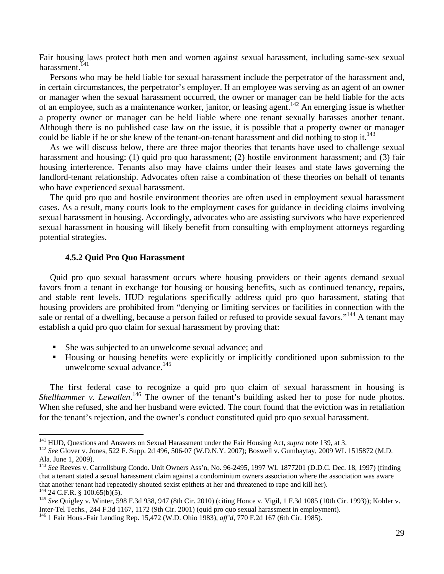Fair housing laws protect both men and women against sexual harassment, including same-sex sexual harassment.<sup>141</sup>

 Persons who may be held liable for sexual harassment include the perpetrator of the harassment and, in certain circumstances, the perpetrator's employer. If an employee was serving as an agent of an owner or manager when the sexual harassment occurred, the owner or manager can be held liable for the acts of an employee, such as a maintenance worker, janitor, or leasing agent.142 An emerging issue is whether a property owner or manager can be held liable where one tenant sexually harasses another tenant. Although there is no published case law on the issue, it is possible that a property owner or manager could be liable if he or she knew of the tenant-on-tenant harassment and did nothing to stop it.<sup>143</sup>

 As we will discuss below, there are three major theories that tenants have used to challenge sexual harassment and housing: (1) quid pro quo harassment; (2) hostile environment harassment; and (3) fair housing interference. Tenants also may have claims under their leases and state laws governing the landlord-tenant relationship. Advocates often raise a combination of these theories on behalf of tenants who have experienced sexual harassment.

 The quid pro quo and hostile environment theories are often used in employment sexual harassment cases. As a result, many courts look to the employment cases for guidance in deciding claims involving sexual harassment in housing. Accordingly, advocates who are assisting survivors who have experienced sexual harassment in housing will likely benefit from consulting with employment attorneys regarding potential strategies.

## **4.5.2 Quid Pro Quo Harassment**

 Quid pro quo sexual harassment occurs where housing providers or their agents demand sexual favors from a tenant in exchange for housing or housing benefits, such as continued tenancy, repairs, and stable rent levels. HUD regulations specifically address quid pro quo harassment, stating that housing providers are prohibited from "denying or limiting services or facilities in connection with the sale or rental of a dwelling, because a person failed or refused to provide sexual favors."<sup>144</sup> A tenant may establish a quid pro quo claim for sexual harassment by proving that:

- She was subjected to an unwelcome sexual advance; and
- Housing or housing benefits were explicitly or implicitly conditioned upon submission to the unwelcome sexual advance. $145$

 The first federal case to recognize a quid pro quo claim of sexual harassment in housing is Shellhammer v. Lewallen.<sup>146</sup> The owner of the tenant's building asked her to pose for nude photos. When she refused, she and her husband were evicted. The court found that the eviction was in retaliation for the tenant's rejection, and the owner's conduct constituted quid pro quo sexual harassment.

<sup>&</sup>lt;sup>141</sup> HUD, Questions and Answers on Sexual Harassment under the Fair Housing Act, *supra* note 139, at 3.<br><sup>142</sup> See Glover v. Jones, 522 F. Supp. 2d 496, 506-07 (W.D.N.Y. 2007); Boswell v. Gumbaytay, 2009 WL 1515872 (M.D. Ala. June 1, 2009).

<sup>143</sup> *See* Reeves v. Carrollsburg Condo. Unit Owners Ass'n, No. 96-2495, 1997 WL 1877201 (D.D.C. Dec. 18, 1997) (finding that a tenant stated a sexual harassment claim against a condominium owners association where the association was aware that another tenant had repeatedly shouted sexist epithets at her and threatened to rape and kill her).<br><sup>144</sup> 24 C.F.R. § 100.65(b)(5).

<sup>&</sup>lt;sup>145</sup> See Quigley v. Winter, 598 F.3d 938, 947 (8th Cir. 2010) (citing Honce v. Vigil, 1 F.3d 1085 (10th Cir. 1993)); Kohler v. Inter-Tel Techs., 244 F.3d 1167, 1172 (9th Cir. 2001) (quid pro quo sexual harassment in employment).

<sup>146 1</sup> Fair Hous.-Fair Lending Rep. 15,472 (W.D. Ohio 1983), *aff'd*, 770 F.2d 167 (6th Cir. 1985).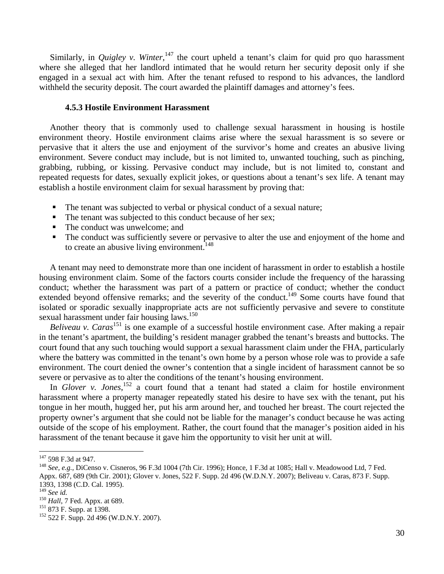Similarly, in *Quigley v. Winter*,<sup>147</sup> the court upheld a tenant's claim for quid pro quo harassment where she alleged that her landlord intimated that he would return her security deposit only if she engaged in a sexual act with him. After the tenant refused to respond to his advances, the landlord withheld the security deposit. The court awarded the plaintiff damages and attorney's fees.

## **4.5.3 Hostile Environment Harassment**

 Another theory that is commonly used to challenge sexual harassment in housing is hostile environment theory. Hostile environment claims arise where the sexual harassment is so severe or pervasive that it alters the use and enjoyment of the survivor's home and creates an abusive living environment. Severe conduct may include, but is not limited to, unwanted touching, such as pinching, grabbing, rubbing, or kissing. Pervasive conduct may include, but is not limited to, constant and repeated requests for dates, sexually explicit jokes, or questions about a tenant's sex life. A tenant may establish a hostile environment claim for sexual harassment by proving that:

- The tenant was subjected to verbal or physical conduct of a sexual nature;
- The tenant was subjected to this conduct because of her sex;
- The conduct was unwelcome; and
- The conduct was sufficiently severe or pervasive to alter the use and enjoyment of the home and to create an abusive living environment.<sup> $148$ </sup>

 A tenant may need to demonstrate more than one incident of harassment in order to establish a hostile housing environment claim. Some of the factors courts consider include the frequency of the harassing conduct; whether the harassment was part of a pattern or practice of conduct; whether the conduct extended beyond offensive remarks; and the severity of the conduct.<sup>149</sup> Some courts have found that isolated or sporadic sexually inappropriate acts are not sufficiently pervasive and severe to constitute sexual harassment under fair housing laws.<sup>150</sup>

*Beliveau v. Caras*<sup>151</sup> is one example of a successful hostile environment case. After making a repair in the tenant's apartment, the building's resident manager grabbed the tenant's breasts and buttocks. The court found that any such touching would support a sexual harassment claim under the FHA, particularly where the battery was committed in the tenant's own home by a person whose role was to provide a safe environment. The court denied the owner's contention that a single incident of harassment cannot be so severe or pervasive as to alter the conditions of the tenant's housing environment.

In *Glover v. Jones*,<sup>152</sup> a court found that a tenant had stated a claim for hostile environment harassment where a property manager repeatedly stated his desire to have sex with the tenant, put his tongue in her mouth, hugged her, put his arm around her, and touched her breast. The court rejected the property owner's argument that she could not be liable for the manager's conduct because he was acting outside of the scope of his employment. Rather, the court found that the manager's position aided in his harassment of the tenant because it gave him the opportunity to visit her unit at will.

<sup>&</sup>lt;sup>147</sup> 598 F.3d at 947.<br><sup>148</sup> *See, e.g.*, DiCenso v. Cisneros, 96 F.3d 1004 (7th Cir. 1996); Honce, 1 F.3d at 1085; Hall v. Meadowood Ltd, 7 Fed. Appx. 687, 689 (9th Cir. 2001); Glover v. Jones, 522 F. Supp. 2d 496 (W.D.N.Y. 2007); Beliveau v. Caras, 873 F. Supp.

<sup>1393, 1398 (</sup>C.D. Cal. 1995).<br><sup>149</sup> See id.

<sup>150</sup> *Hall*, 7 Fed. Appx. at 689.<br>
<sup>151</sup> 873 F. Supp. at 1398.<br>
<sup>152</sup> 522 F. Supp. 2d 496 (W.D.N.Y. 2007).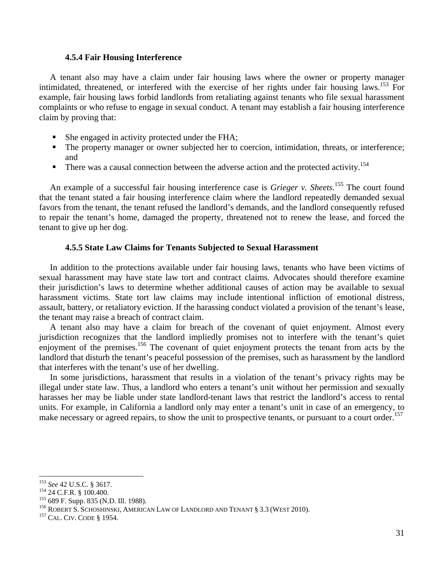## **4.5.4 Fair Housing Interference**

 A tenant also may have a claim under fair housing laws where the owner or property manager intimidated, threatened, or interfered with the exercise of her rights under fair housing laws.<sup>153</sup> For example, fair housing laws forbid landlords from retaliating against tenants who file sexual harassment complaints or who refuse to engage in sexual conduct. A tenant may establish a fair housing interference claim by proving that:

- She engaged in activity protected under the FHA;
- The property manager or owner subjected her to coercion, intimidation, threats, or interference; and
- There was a causal connection between the adverse action and the protected activity.<sup>154</sup>

An example of a successful fair housing interference case is *Grieger v. Sheets*.<sup>155</sup> The court found that the tenant stated a fair housing interference claim where the landlord repeatedly demanded sexual favors from the tenant, the tenant refused the landlord's demands, and the landlord consequently refused to repair the tenant's home, damaged the property, threatened not to renew the lease, and forced the tenant to give up her dog.

## **4.5.5 State Law Claims for Tenants Subjected to Sexual Harassment**

 In addition to the protections available under fair housing laws, tenants who have been victims of sexual harassment may have state law tort and contract claims. Advocates should therefore examine their jurisdiction's laws to determine whether additional causes of action may be available to sexual harassment victims. State tort law claims may include intentional infliction of emotional distress, assault, battery, or retaliatory eviction. If the harassing conduct violated a provision of the tenant's lease, the tenant may raise a breach of contract claim.

 A tenant also may have a claim for breach of the covenant of quiet enjoyment. Almost every jurisdiction recognizes that the landlord impliedly promises not to interfere with the tenant's quiet enjoyment of the premises.<sup>156</sup> The covenant of quiet enjoyment protects the tenant from acts by the landlord that disturb the tenant's peaceful possession of the premises, such as harassment by the landlord that interferes with the tenant's use of her dwelling.

 In some jurisdictions, harassment that results in a violation of the tenant's privacy rights may be illegal under state law. Thus, a landlord who enters a tenant's unit without her permission and sexually harasses her may be liable under state landlord-tenant laws that restrict the landlord's access to rental units. For example, in California a landlord only may enter a tenant's unit in case of an emergency, to make necessary or agreed repairs, to show the unit to prospective tenants, or pursuant to a court order.<sup>157</sup>

<sup>&</sup>lt;sup>153</sup> See 42 U.S.C. § 3617.<br><sup>154</sup> 24 C.F.R. § 100.400.

<sup>&</sup>lt;sup>155</sup> 689 F. Supp. 835 (N.D. Ill. 1988).<br><sup>156</sup> ROBERT S. SCHOSHINSKI, AMERICAN LAW OF LANDLORD AND TENANT § 3.3 (WEST 2010).<br><sup>157</sup> CAL. CIV. CODE § 1954.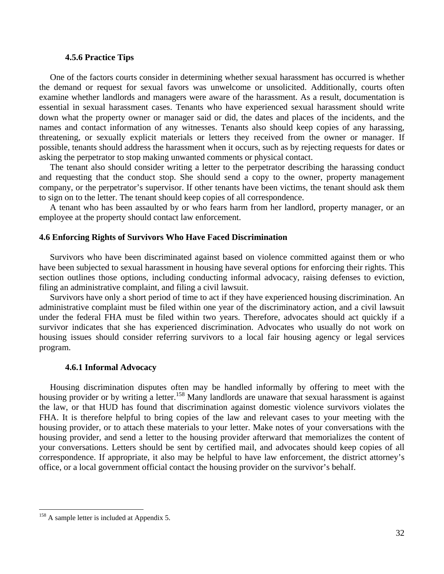## **4.5.6 Practice Tips**

 One of the factors courts consider in determining whether sexual harassment has occurred is whether the demand or request for sexual favors was unwelcome or unsolicited. Additionally, courts often examine whether landlords and managers were aware of the harassment. As a result, documentation is essential in sexual harassment cases. Tenants who have experienced sexual harassment should write down what the property owner or manager said or did, the dates and places of the incidents, and the names and contact information of any witnesses. Tenants also should keep copies of any harassing, threatening, or sexually explicit materials or letters they received from the owner or manager. If possible, tenants should address the harassment when it occurs, such as by rejecting requests for dates or asking the perpetrator to stop making unwanted comments or physical contact.

 The tenant also should consider writing a letter to the perpetrator describing the harassing conduct and requesting that the conduct stop. She should send a copy to the owner, property management company, or the perpetrator's supervisor. If other tenants have been victims, the tenant should ask them to sign on to the letter. The tenant should keep copies of all correspondence.

 A tenant who has been assaulted by or who fears harm from her landlord, property manager, or an employee at the property should contact law enforcement.

#### **4.6 Enforcing Rights of Survivors Who Have Faced Discrimination**

 Survivors who have been discriminated against based on violence committed against them or who have been subjected to sexual harassment in housing have several options for enforcing their rights. This section outlines those options, including conducting informal advocacy, raising defenses to eviction, filing an administrative complaint, and filing a civil lawsuit.

 Survivors have only a short period of time to act if they have experienced housing discrimination. An administrative complaint must be filed within one year of the discriminatory action, and a civil lawsuit under the federal FHA must be filed within two years. Therefore, advocates should act quickly if a survivor indicates that she has experienced discrimination. Advocates who usually do not work on housing issues should consider referring survivors to a local fair housing agency or legal services program.

#### **4.6.1 Informal Advocacy**

 Housing discrimination disputes often may be handled informally by offering to meet with the housing provider or by writing a letter.<sup>158</sup> Many landlords are unaware that sexual harassment is against the law, or that HUD has found that discrimination against domestic violence survivors violates the FHA. It is therefore helpful to bring copies of the law and relevant cases to your meeting with the housing provider, or to attach these materials to your letter. Make notes of your conversations with the housing provider, and send a letter to the housing provider afterward that memorializes the content of your conversations. Letters should be sent by certified mail, and advocates should keep copies of all correspondence. If appropriate, it also may be helpful to have law enforcement, the district attorney's office, or a local government official contact the housing provider on the survivor's behalf.

<sup>&</sup>lt;sup>158</sup> A sample letter is included at Appendix 5.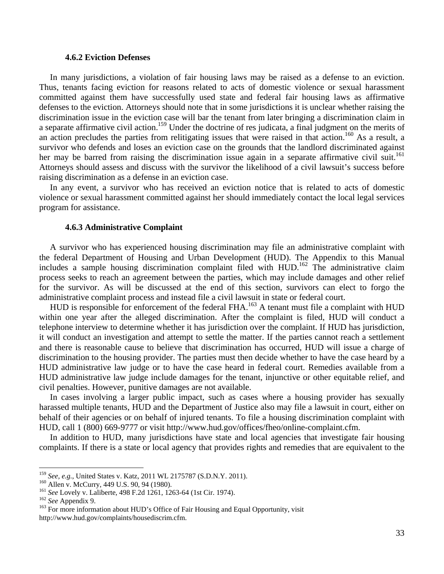## **4.6.2 Eviction Defenses**

 In many jurisdictions, a violation of fair housing laws may be raised as a defense to an eviction. Thus, tenants facing eviction for reasons related to acts of domestic violence or sexual harassment committed against them have successfully used state and federal fair housing laws as affirmative defenses to the eviction. Attorneys should note that in some jurisdictions it is unclear whether raising the discrimination issue in the eviction case will bar the tenant from later bringing a discrimination claim in a separate affirmative civil action.<sup>159</sup> Under the doctrine of res judicata, a final judgment on the merits of an action precludes the parties from relitigating issues that were raised in that action.<sup>160</sup> As a result, a survivor who defends and loses an eviction case on the grounds that the landlord discriminated against her may be barred from raising the discrimination issue again in a separate affirmative civil suit.<sup>161</sup> Attorneys should assess and discuss with the survivor the likelihood of a civil lawsuit's success before raising discrimination as a defense in an eviction case.

 In any event, a survivor who has received an eviction notice that is related to acts of domestic violence or sexual harassment committed against her should immediately contact the local legal services program for assistance.

#### **4.6.3 Administrative Complaint**

 A survivor who has experienced housing discrimination may file an administrative complaint with the federal Department of Housing and Urban Development (HUD). The Appendix to this Manual includes a sample housing discrimination complaint filed with HUD.<sup>162</sup> The administrative claim process seeks to reach an agreement between the parties, which may include damages and other relief for the survivor. As will be discussed at the end of this section, survivors can elect to forgo the administrative complaint process and instead file a civil lawsuit in state or federal court.

HUD is responsible for enforcement of the federal FHA.<sup>163</sup> A tenant must file a complaint with HUD within one year after the alleged discrimination. After the complaint is filed, HUD will conduct a telephone interview to determine whether it has jurisdiction over the complaint. If HUD has jurisdiction, it will conduct an investigation and attempt to settle the matter. If the parties cannot reach a settlement and there is reasonable cause to believe that discrimination has occurred, HUD will issue a charge of discrimination to the housing provider. The parties must then decide whether to have the case heard by a HUD administrative law judge or to have the case heard in federal court. Remedies available from a HUD administrative law judge include damages for the tenant, injunctive or other equitable relief, and civil penalties. However, punitive damages are not available.

 In cases involving a larger public impact, such as cases where a housing provider has sexually harassed multiple tenants, HUD and the Department of Justice also may file a lawsuit in court, either on behalf of their agencies or on behalf of injured tenants. To file a housing discrimination complaint with HUD, call 1 (800) 669-9777 or visit http://www.hud.gov/offices/fheo/online-complaint.cfm.

 In addition to HUD, many jurisdictions have state and local agencies that investigate fair housing complaints. If there is a state or local agency that provides rights and remedies that are equivalent to the

<sup>&</sup>lt;sup>159</sup> See, e.g., United States v. Katz, 2011 WL 2175787 (S.D.N.Y. 2011).

<sup>&</sup>lt;sup>160</sup> Allen v. McCurry, 449 U.S. 90, 94 (1980).<br><sup>161</sup> *See* Lovely v. Laliberte, 498 F.2d 1261, 1263-64 (1st Cir. 1974).<br><sup>162</sup> *See* Appendix 9.<br><sup>162</sup> For more information about HUD's Office of Fair Housing and Equal Oppo http://www.hud.gov/complaints/housediscrim.cfm.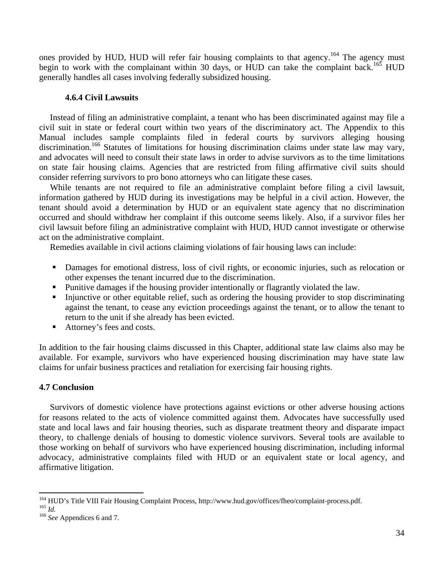ones provided by HUD, HUD will refer fair housing complaints to that agency.<sup>164</sup> The agency must begin to work with the complainant within 30 days, or HUD can take the complaint back.<sup>165</sup> HUD generally handles all cases involving federally subsidized housing.

## **4.6.4 Civil Lawsuits**

 Instead of filing an administrative complaint, a tenant who has been discriminated against may file a civil suit in state or federal court within two years of the discriminatory act. The Appendix to this Manual includes sample complaints filed in federal courts by survivors alleging housing discrimination.<sup>166</sup> Statutes of limitations for housing discrimination claims under state law may vary, and advocates will need to consult their state laws in order to advise survivors as to the time limitations on state fair housing claims. Agencies that are restricted from filing affirmative civil suits should consider referring survivors to pro bono attorneys who can litigate these cases.

 While tenants are not required to file an administrative complaint before filing a civil lawsuit, information gathered by HUD during its investigations may be helpful in a civil action. However, the tenant should avoid a determination by HUD or an equivalent state agency that no discrimination occurred and should withdraw her complaint if this outcome seems likely. Also, if a survivor files her civil lawsuit before filing an administrative complaint with HUD, HUD cannot investigate or otherwise act on the administrative complaint.

Remedies available in civil actions claiming violations of fair housing laws can include:

- Damages for emotional distress, loss of civil rights, or economic injuries, such as relocation or other expenses the tenant incurred due to the discrimination.
- Punitive damages if the housing provider intentionally or flagrantly violated the law.
- Injunctive or other equitable relief, such as ordering the housing provider to stop discriminating against the tenant, to cease any eviction proceedings against the tenant, or to allow the tenant to return to the unit if she already has been evicted.
- Attorney's fees and costs.

In addition to the fair housing claims discussed in this Chapter, additional state law claims also may be available. For example, survivors who have experienced housing discrimination may have state law claims for unfair business practices and retaliation for exercising fair housing rights.

## **4.7 Conclusion**

 Survivors of domestic violence have protections against evictions or other adverse housing actions for reasons related to the acts of violence committed against them. Advocates have successfully used state and local laws and fair housing theories, such as disparate treatment theory and disparate impact theory, to challenge denials of housing to domestic violence survivors. Several tools are available to those working on behalf of survivors who have experienced housing discrimination, including informal advocacy, administrative complaints filed with HUD or an equivalent state or local agency, and affirmative litigation.

 <sup>164</sup> HUD's Title VIII Fair Housing Complaint Process, http://www.hud.gov/offices/fheo/complaint-process.pdf.<br><sup>165</sup> *Id. See* Appendices 6 and 7.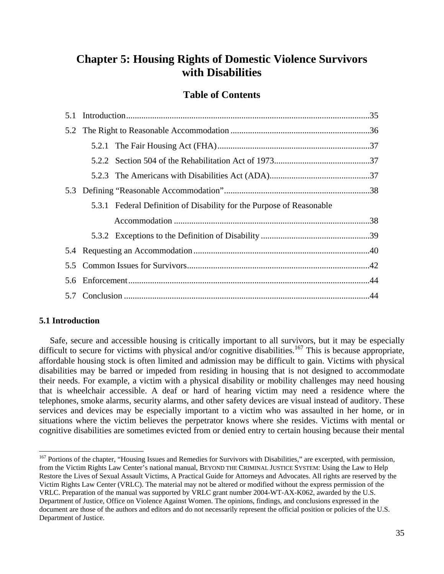# **Chapter 5: Housing Rights of Domestic Violence Survivors with Disabilities**

## **Table of Contents**

|  | 5.3.1 Federal Definition of Disability for the Purpose of Reasonable |  |
|--|----------------------------------------------------------------------|--|
|  |                                                                      |  |
|  |                                                                      |  |
|  |                                                                      |  |
|  |                                                                      |  |
|  |                                                                      |  |
|  |                                                                      |  |

## **5.1 Introduction**

 Safe, secure and accessible housing is critically important to all survivors, but it may be especially difficult to secure for victims with physical and/or cognitive disabilities.<sup>167</sup> This is because appropriate, affordable housing stock is often limited and admission may be difficult to gain. Victims with physical disabilities may be barred or impeded from residing in housing that is not designed to accommodate their needs. For example, a victim with a physical disability or mobility challenges may need housing that is wheelchair accessible. A deaf or hard of hearing victim may need a residence where the telephones, smoke alarms, security alarms, and other safety devices are visual instead of auditory. These services and devices may be especially important to a victim who was assaulted in her home, or in situations where the victim believes the perpetrator knows where she resides. Victims with mental or cognitive disabilities are sometimes evicted from or denied entry to certain housing because their mental

 <sup>167</sup> Portions of the chapter, "Housing Issues and Remedies for Survivors with Disabilities," are excerpted, with permission, from the Victim Rights Law Center's national manual, BEYOND THE CRIMINAL JUSTICE SYSTEM: Using the Law to Help Restore the Lives of Sexual Assault Victims, A Practical Guide for Attorneys and Advocates. All rights are reserved by the Victim Rights Law Center (VRLC). The material may not be altered or modified without the express permission of the VRLC. Preparation of the manual was supported by VRLC grant number 2004-WT-AX-K062, awarded by the U.S. Department of Justice, Office on Violence Against Women. The opinions, findings, and conclusions expressed in the document are those of the authors and editors and do not necessarily represent the official position or policies of the U.S. Department of Justice.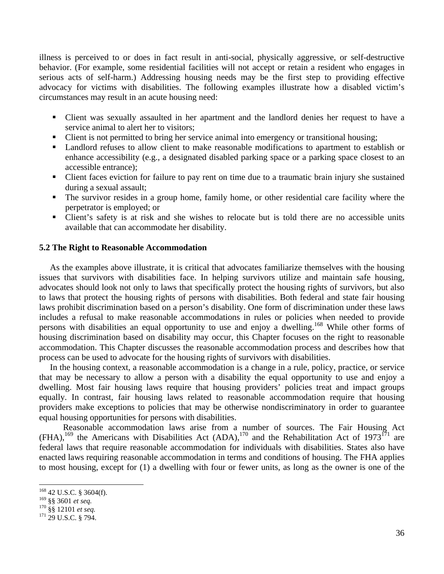illness is perceived to or does in fact result in anti-social, physically aggressive, or self-destructive behavior. (For example, some residential facilities will not accept or retain a resident who engages in serious acts of self-harm.) Addressing housing needs may be the first step to providing effective advocacy for victims with disabilities. The following examples illustrate how a disabled victim's circumstances may result in an acute housing need:

- Client was sexually assaulted in her apartment and the landlord denies her request to have a service animal to alert her to visitors;
- Client is not permitted to bring her service animal into emergency or transitional housing;
- Landlord refuses to allow client to make reasonable modifications to apartment to establish or enhance accessibility (e.g., a designated disabled parking space or a parking space closest to an accessible entrance);
- Client faces eviction for failure to pay rent on time due to a traumatic brain injury she sustained during a sexual assault;
- The survivor resides in a group home, family home, or other residential care facility where the perpetrator is employed; or
- Client's safety is at risk and she wishes to relocate but is told there are no accessible units available that can accommodate her disability.

## **5.2 The Right to Reasonable Accommodation**

As the examples above illustrate, it is critical that advocates familiarize themselves with the housing issues that survivors with disabilities face. In helping survivors utilize and maintain safe housing, advocates should look not only to laws that specifically protect the housing rights of survivors, but also to laws that protect the housing rights of persons with disabilities. Both federal and state fair housing laws prohibit discrimination based on a person's disability. One form of discrimination under these laws includes a refusal to make reasonable accommodations in rules or policies when needed to provide persons with disabilities an equal opportunity to use and enjoy a dwelling.<sup>168</sup> While other forms of housing discrimination based on disability may occur, this Chapter focuses on the right to reasonable accommodation. This Chapter discusses the reasonable accommodation process and describes how that process can be used to advocate for the housing rights of survivors with disabilities.

 In the housing context, a reasonable accommodation is a change in a rule, policy, practice, or service that may be necessary to allow a person with a disability the equal opportunity to use and enjoy a dwelling. Most fair housing laws require that housing providers' policies treat and impact groups equally. In contrast, fair housing laws related to reasonable accommodation require that housing providers make exceptions to policies that may be otherwise nondiscriminatory in order to guarantee equal housing opportunities for persons with disabilities.

 Reasonable accommodation laws arise from a number of sources. The Fair Housing Act  $(FHA)$ ,<sup>169</sup> the Americans with Disabilities Act  $(ADA)$ ,<sup>170</sup> and the Rehabilitation Act of 1973<sup>171</sup> are federal laws that require reasonable accommodation for individuals with disabilities. States also have enacted laws requiring reasonable accommodation in terms and conditions of housing. The FHA applies to most housing, except for (1) a dwelling with four or fewer units, as long as the owner is one of the

 $^{168}_{169}$  42 U.S.C. § 3604(f).<br> $^{169}_{169}$  §§ 3601 *et seq.* 

<sup>169 §§ 3601</sup> *et seq.* 170 §§ 12101 *et seq.* 171 29 U.S.C. § 794.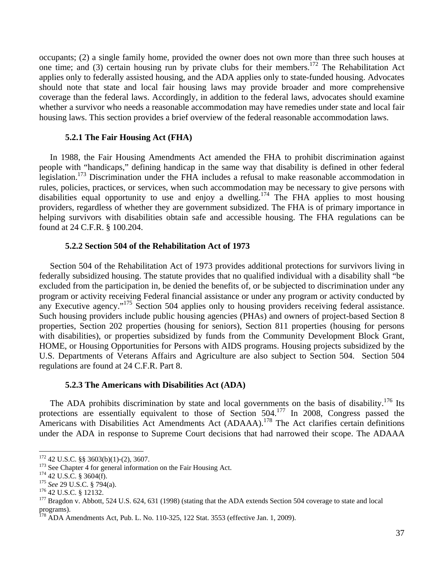occupants; (2) a single family home, provided the owner does not own more than three such houses at one time; and (3) certain housing run by private clubs for their members.<sup>172</sup> The Rehabilitation Act applies only to federally assisted housing, and the ADA applies only to state-funded housing. Advocates should note that state and local fair housing laws may provide broader and more comprehensive coverage than the federal laws. Accordingly, in addition to the federal laws, advocates should examine whether a survivor who needs a reasonable accommodation may have remedies under state and local fair housing laws. This section provides a brief overview of the federal reasonable accommodation laws.

## **5.2.1 The Fair Housing Act (FHA)**

 In 1988, the Fair Housing Amendments Act amended the FHA to prohibit discrimination against people with "handicaps," defining handicap in the same way that disability is defined in other federal legislation.<sup>173</sup> Discrimination under the FHA includes a refusal to make reasonable accommodation in rules, policies, practices, or services, when such accommodation may be necessary to give persons with disabilities equal opportunity to use and enjoy a dwelling.<sup>174</sup> The FHA applies to most housing providers, regardless of whether they are government subsidized. The FHA is of primary importance in helping survivors with disabilities obtain safe and accessible housing. The FHA regulations can be found at 24 C.F.R. § 100.204.

#### **5.2.2 Section 504 of the Rehabilitation Act of 1973**

 Section 504 of the Rehabilitation Act of 1973 provides additional protections for survivors living in federally subsidized housing. The statute provides that no qualified individual with a disability shall "be excluded from the participation in, be denied the benefits of, or be subjected to discrimination under any program or activity receiving Federal financial assistance or under any program or activity conducted by any Executive agency."<sup>175</sup> Section 504 applies only to housing providers receiving federal assistance. Such housing providers include public housing agencies (PHAs) and owners of project-based Section 8 properties, Section 202 properties (housing for seniors), Section 811 properties (housing for persons with disabilities), or properties subsidized by funds from the Community Development Block Grant, HOME, or Housing Opportunities for Persons with AIDS programs. Housing projects subsidized by the U.S. Departments of Veterans Affairs and Agriculture are also subject to Section 504. Section 504 regulations are found at 24 C.F.R. Part 8.

## **5.2.3 The Americans with Disabilities Act (ADA)**

The ADA prohibits discrimination by state and local governments on the basis of disability.<sup>176</sup> Its protections are essentially equivalent to those of Section 504.<sup>177</sup> In 2008, Congress passed the Americans with Disabilities Act Amendments Act (ADAAA).<sup>178</sup> The Act clarifies certain definitions under the ADA in response to Supreme Court decisions that had narrowed their scope. The ADAAA

<sup>&</sup>lt;sup>172</sup> 42 U.S.C. §§ 3603(b)(1)-(2), 3607.

<sup>&</sup>lt;sup>173</sup> See Chapter 4 for general information on the Fair Housing Act.<br><sup>174</sup> 42 U.S.C. § 3604(f).<br><sup>175</sup> See 29 U.S.C. § 794(a).<br><sup>176</sup> 42 U.S.C. § 12132.<br><sup>176</sup> 42 U.S.C. § 12132. programs).

 $178$  ADA Amendments Act, Pub. L. No. 110-325, 122 Stat. 3553 (effective Jan. 1, 2009).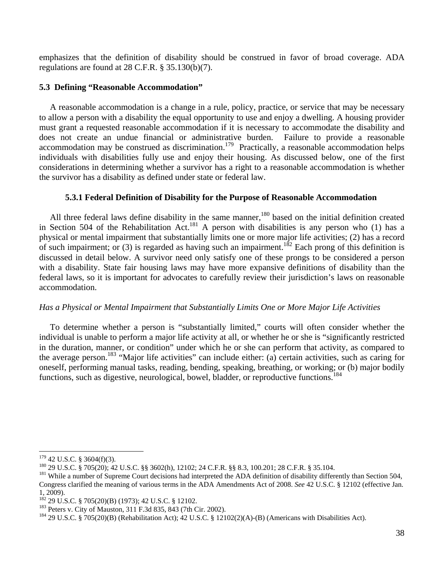emphasizes that the definition of disability should be construed in favor of broad coverage. ADA regulations are found at 28 C.F.R. § 35.130(b)(7).

## **5.3 Defining "Reasonable Accommodation"**

 A reasonable accommodation is a change in a rule, policy, practice, or service that may be necessary to allow a person with a disability the equal opportunity to use and enjoy a dwelling. A housing provider must grant a requested reasonable accommodation if it is necessary to accommodate the disability and does not create an undue financial or administrative burden. Failure to provide a reasonable accommodation may be construed as discrimination.<sup>179</sup> Practically, a reasonable accommodation helps individuals with disabilities fully use and enjoy their housing. As discussed below, one of the first considerations in determining whether a survivor has a right to a reasonable accommodation is whether the survivor has a disability as defined under state or federal law.

## **5.3.1 Federal Definition of Disability for the Purpose of Reasonable Accommodation**

All three federal laws define disability in the same manner,<sup>180</sup> based on the initial definition created in Section 504 of the Rehabilitation Act.<sup>181</sup> A person with disabilities is any person who (1) has a physical or mental impairment that substantially limits one or more major life activities; (2) has a record of such impairment; or (3) is regarded as having such an impairment.<sup>182</sup> Each prong of this definition is discussed in detail below. A survivor need only satisfy one of these prongs to be considered a person with a disability. State fair housing laws may have more expansive definitions of disability than the federal laws, so it is important for advocates to carefully review their jurisdiction's laws on reasonable accommodation.

## *Has a Physical or Mental Impairment that Substantially Limits One or More Major Life Activities*

 To determine whether a person is "substantially limited," courts will often consider whether the individual is unable to perform a major life activity at all, or whether he or she is "significantly restricted in the duration, manner, or condition" under which he or she can perform that activity, as compared to the average person.183 "Major life activities" can include either: (a) certain activities, such as caring for oneself, performing manual tasks, reading, bending, speaking, breathing, or working; or (b) major bodily functions, such as digestive, neurological, bowel, bladder, or reproductive functions.<sup>184</sup>

<sup>&</sup>lt;sup>179</sup> 42 U.S.C. § 3604(f)(3).<br><sup>180</sup> 29 U.S.C. § 705(20); 42 U.S.C. §§ 3602(h), 12102; 24 C.F.R. §§ 8.3, 100.201; 28 C.F.R. § 35.104.<br><sup>181</sup> While a number of Supreme Court decisions had interpreted the ADA definition of di Congress clarified the meaning of various terms in the ADA Amendments Act of 2008. *See* 42 U.S.C. § 12102 (effective Jan. 1, 2009).<br><sup>182</sup> 29 U.S.C. § 705(20)(B) (1973); 42 U.S.C. § 12102.

<sup>&</sup>lt;sup>183</sup> Peters v. City of Mauston, 311 F.3d 835, 843 (7th Cir. 2002).<br><sup>184</sup> 29 U.S.C. § 705(20)(B) (Rehabilitation Act); 42 U.S.C. § 12102(2)(A)-(B) (Americans with Disabilities Act).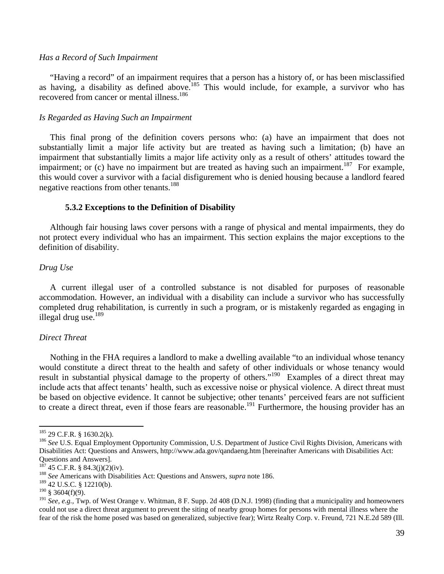## *Has a Record of Such Impairment*

 "Having a record" of an impairment requires that a person has a history of, or has been misclassified as having, a disability as defined above.<sup>185</sup> This would include, for example, a survivor who has recovered from cancer or mental illness.<sup>186</sup>

#### *Is Regarded as Having Such an Impairment*

 This final prong of the definition covers persons who: (a) have an impairment that does not substantially limit a major life activity but are treated as having such a limitation; (b) have an impairment that substantially limits a major life activity only as a result of others' attitudes toward the impairment; or (c) have no impairment but are treated as having such an impairment.<sup>187</sup> For example, this would cover a survivor with a facial disfigurement who is denied housing because a landlord feared negative reactions from other tenants.<sup>188</sup>

## **5.3.2 Exceptions to the Definition of Disability**

 Although fair housing laws cover persons with a range of physical and mental impairments, they do not protect every individual who has an impairment. This section explains the major exceptions to the definition of disability.

## *Drug Use*

 A current illegal user of a controlled substance is not disabled for purposes of reasonable accommodation. However, an individual with a disability can include a survivor who has successfully completed drug rehabilitation, is currently in such a program, or is mistakenly regarded as engaging in illegal drug use. $189$ 

## *Direct Threat*

 Nothing in the FHA requires a landlord to make a dwelling available "to an individual whose tenancy would constitute a direct threat to the health and safety of other individuals or whose tenancy would result in substantial physical damage to the property of others."190 Examples of a direct threat may include acts that affect tenants' health, such as excessive noise or physical violence. A direct threat must be based on objective evidence. It cannot be subjective; other tenants' perceived fears are not sufficient to create a direct threat, even if those fears are reasonable.<sup>191</sup> Furthermore, the housing provider has an

<sup>&</sup>lt;sup>185</sup> 29 C.F.R. § 1630.2(k).<br><sup>186</sup> *See* U.S. Equal Employment Opportunity Commission, U.S. Department of Justice Civil Rights Division, Americans with Disabilities Act: Questions and Answers, http://www.ada.gov/qandaeng.htm [hereinafter Americans with Disabilities Act: Questions and Answers].

<sup>&</sup>lt;sup>187</sup> 45 C.F.R. § 84.3(j)(2)(iv).<br><sup>188</sup> *See* Americans with Disabilities Act: Questions and Answers, *supra* note 186.

<sup>189 42</sup> U.S.C. § 12210(b).

 $190 \text{ }$  \$ 3604(f)(9).

<sup>191</sup> *See, e.g.,* Twp. of West Orange v. Whitman, 8 F. Supp. 2d 408 (D.N.J. 1998) (finding that a municipality and homeowners could not use a direct threat argument to prevent the siting of nearby group homes for persons with mental illness where the fear of the risk the home posed was based on generalized, subjective fear); Wirtz Realty Corp. v. Freund, 721 N.E.2d 589 (Ill.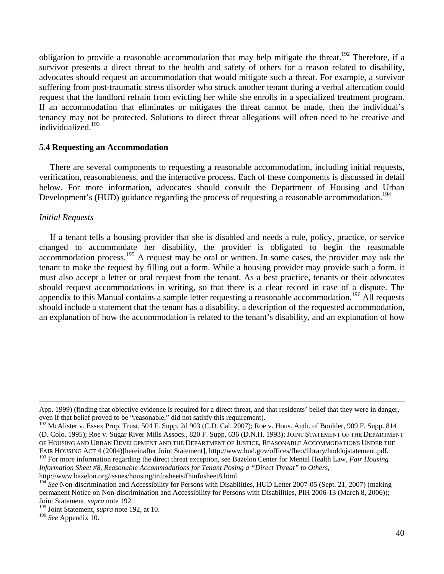obligation to provide a reasonable accommodation that may help mitigate the threat.<sup>192</sup> Therefore, if a survivor presents a direct threat to the health and safety of others for a reason related to disability, advocates should request an accommodation that would mitigate such a threat. For example, a survivor suffering from post-traumatic stress disorder who struck another tenant during a verbal altercation could request that the landlord refrain from evicting her while she enrolls in a specialized treatment program. If an accommodation that eliminates or mitigates the threat cannot be made, then the individual's tenancy may not be protected. Solutions to direct threat allegations will often need to be creative and individualized.193

## **5.4 Requesting an Accommodation**

 There are several components to requesting a reasonable accommodation, including initial requests, verification, reasonableness, and the interactive process. Each of these components is discussed in detail below. For more information, advocates should consult the Department of Housing and Urban Development's (HUD) guidance regarding the process of requesting a reasonable accommodation.<sup>194</sup>

## *Initial Requests*

 If a tenant tells a housing provider that she is disabled and needs a rule, policy, practice, or service changed to accommodate her disability, the provider is obligated to begin the reasonable accommodation process.<sup>195</sup> A request may be oral or written. In some cases, the provider may ask the tenant to make the request by filling out a form. While a housing provider may provide such a form, it must also accept a letter or oral request from the tenant. As a best practice, tenants or their advocates should request accommodations in writing, so that there is a clear record in case of a dispute. The appendix to this Manual contains a sample letter requesting a reasonable accommodation.<sup>196</sup> All requests should include a statement that the tenant has a disability, a description of the requested accommodation, an explanation of how the accommodation is related to the tenant's disability, and an explanation of how

<u> 1989 - Johann Stoff, amerikansk politiker (d. 1989)</u>

193 For more information regarding the direct threat exception, see Bazelon Center for Mental Health Law, *Fair Housing Information Sheet #8, Reasonable Accommodations for Tenant Posing a "Direct Threat" to Others*, http://www.bazelon.org/issues/housing/infosheets/fhinfosheet8.html.

App. 1999) (finding that objective evidence is required for a direct threat, and that residents' belief that they were in danger, even if that belief proved to be "reasonable," did not satisfy this requirement).

<sup>&</sup>lt;sup>192</sup> McAlister v. Essex Prop. Trust, 504 F. Supp. 2d 903 (C.D. Cal. 2007); Roe v. Hous. Auth. of Boulder, 909 F. Supp. 814 (D. Colo. 1995); Roe v. Sugar River Mills Assocs., 820 F. Supp. 636 (D.N.H. 1993); JOINT STATEMENT OF THE DEPARTMENT OF HOUSING AND URBAN DEVELOPMENT AND THE DEPARTMENT OF JUSTICE, REASONABLE ACCOMMODATIONS UNDER THE FAIR HOUSING ACT 4 (2004)[hereinafter Joint Statement], http://www.hud.gov/offices/fheo/library/huddojstatement.pdf.

<sup>&</sup>lt;sup>194</sup> See Non-discrimination and Accessibility for Persons with Disabilities, HUD Letter 2007-05 (Sept. 21, 2007) (making permanent Notice on Non-discrimination and Accessibility for Persons with Disabilities, PIH 2006-13 (March 8, 2006)); Joint Statement, *supra* note 192.

<sup>195</sup> Joint Statement, *supra* note 192, at 10.

<sup>196</sup> *See* Appendix 10.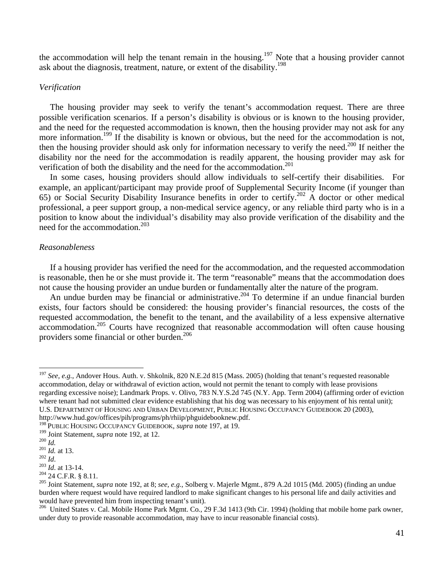the accommodation will help the tenant remain in the housing.<sup>197</sup> Note that a housing provider cannot ask about the diagnosis, treatment, nature, or extent of the disability.<sup>198</sup>

## *Verification*

 The housing provider may seek to verify the tenant's accommodation request. There are three possible verification scenarios. If a person's disability is obvious or is known to the housing provider, and the need for the requested accommodation is known, then the housing provider may not ask for any more information.<sup>199</sup> If the disability is known or obvious, but the need for the accommodation is not, then the housing provider should ask only for information necessary to verify the need.<sup>200</sup> If neither the disability nor the need for the accommodation is readily apparent, the housing provider may ask for verification of both the disability and the need for the accommodation.<sup>201</sup>

 In some cases, housing providers should allow individuals to self-certify their disabilities. For example, an applicant/participant may provide proof of Supplemental Security Income (if younger than 65) or Social Security Disability Insurance benefits in order to certify.202 A doctor or other medical professional, a peer support group, a non-medical service agency, or any reliable third party who is in a position to know about the individual's disability may also provide verification of the disability and the need for the accommodation.<sup>203</sup>

## *Reasonableness*

 If a housing provider has verified the need for the accommodation, and the requested accommodation is reasonable, then he or she must provide it. The term "reasonable" means that the accommodation does not cause the housing provider an undue burden or fundamentally alter the nature of the program.

An undue burden may be financial or administrative.<sup>204</sup> To determine if an undue financial burden exists, four factors should be considered: the housing provider's financial resources, the costs of the requested accommodation, the benefit to the tenant, and the availability of a less expensive alternative accommodation.<sup>205</sup> Courts have recognized that reasonable accommodation will often cause housing providers some financial or other burden.<sup>206</sup>

<sup>197</sup> *See, e.g.*, Andover Hous. Auth. v. Shkolnik, 820 N.E.2d 815 (Mass. 2005) (holding that tenant's requested reasonable accommodation, delay or withdrawal of eviction action, would not permit the tenant to comply with lease provisions regarding excessive noise); Landmark Props. v. Olivo, 783 N.Y.S.2d 745 (N.Y. App. Term 2004) (affirming order of eviction where tenant had not submitted clear evidence establishing that his dog was necessary to his enjoyment of his rental unit); U.S. DEPARTMENT OF HOUSING AND URBAN DEVELOPMENT, PUBLIC HOUSING OCCUPANCY GUIDEBOOK 20 (2003), http://www.hud.gov/offices/pih/programs/ph/rhiip/phguidebooknew.pdf.

<sup>&</sup>lt;sup>198</sup> PUBLIC HOUSING OCCUPANCY GUIDEBOOK, *supra* note 197, at 19.<br><sup>199</sup> Joint Statement, *supra* note 192, at 12.

<sup>&</sup>lt;sup>200</sup> *Id.*<br>
<sup>201</sup> *Id.* at 13.<br>
<sup>202</sup> *Id.* at 13-14.<br>
<sup>203</sup> *Id.* at 13-14.<br>
<sup>203</sup> *Id.* at 13-14.<br>
<sup>204</sup> <sup>24</sup> C.F.R. § 8.11.<br>
<sup>204</sup> <sup>24</sup> C.F.R. § 8.11.<br>
<sup>205</sup> Joint Statement, *supra* note 192, at 8; *see, e.g.*, Solbe burden where request would have required landlord to make significant changes to his personal life and daily activities and would have prevented him from inspecting tenant's unit).

<sup>&</sup>lt;sup>206</sup> United States v. Cal. Mobile Home Park Mgmt. Co., 29 F.3d 1413 (9th Cir. 1994) (holding that mobile home park owner, under duty to provide reasonable accommodation, may have to incur reasonable financial costs).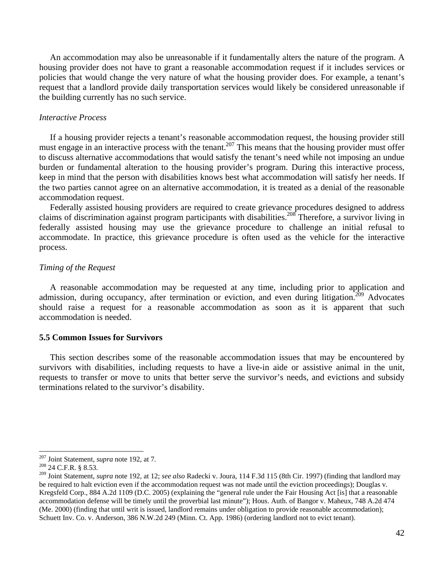An accommodation may also be unreasonable if it fundamentally alters the nature of the program. A housing provider does not have to grant a reasonable accommodation request if it includes services or policies that would change the very nature of what the housing provider does. For example, a tenant's request that a landlord provide daily transportation services would likely be considered unreasonable if the building currently has no such service.

## *Interactive Process*

 If a housing provider rejects a tenant's reasonable accommodation request, the housing provider still must engage in an interactive process with the tenant.<sup>207</sup> This means that the housing provider must offer to discuss alternative accommodations that would satisfy the tenant's need while not imposing an undue burden or fundamental alteration to the housing provider's program. During this interactive process, keep in mind that the person with disabilities knows best what accommodation will satisfy her needs. If the two parties cannot agree on an alternative accommodation, it is treated as a denial of the reasonable accommodation request.

 Federally assisted housing providers are required to create grievance procedures designed to address claims of discrimination against program participants with disabilities.<sup>208</sup> Therefore, a survivor living in federally assisted housing may use the grievance procedure to challenge an initial refusal to accommodate. In practice, this grievance procedure is often used as the vehicle for the interactive process.

## *Timing of the Request*

 A reasonable accommodation may be requested at any time, including prior to application and admission, during occupancy, after termination or eviction, and even during litigation.<sup>209</sup> Advocates should raise a request for a reasonable accommodation as soon as it is apparent that such accommodation is needed.

## **5.5 Common Issues for Survivors**

 This section describes some of the reasonable accommodation issues that may be encountered by survivors with disabilities, including requests to have a live-in aide or assistive animal in the unit, requests to transfer or move to units that better serve the survivor's needs, and evictions and subsidy terminations related to the survivor's disability.

<sup>207</sup> Joint Statement, *supra* note 192, at 7. 208 24 C.F.R. § 8.53.

<sup>209</sup> Joint Statement, *supra* note 192, at 12; *see also* Radecki v. Joura, 114 F.3d 115 (8th Cir. 1997) (finding that landlord may be required to halt eviction even if the accommodation request was not made until the eviction proceedings); Douglas v. Kregsfeld Corp., 884 A.2d 1109 (D.C. 2005) (explaining the "general rule under the Fair Housing Act [is] that a reasonable accommodation defense will be timely until the proverbial last minute"); Hous. Auth. of Bangor v. Maheux, 748 A.2d 474 (Me. 2000) (finding that until writ is issued, landlord remains under obligation to provide reasonable accommodation); Schuett Inv. Co. v. Anderson, 386 N.W.2d 249 (Minn. Ct. App. 1986) (ordering landlord not to evict tenant).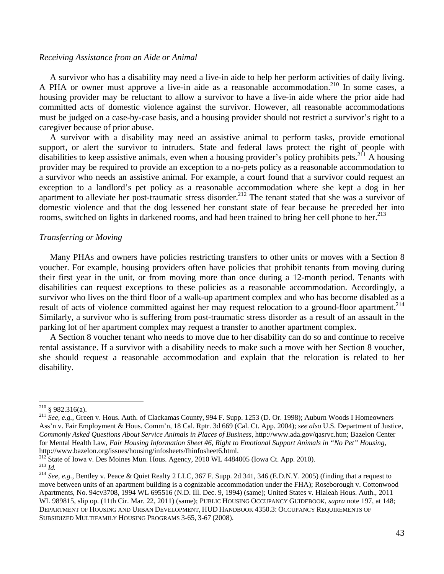## *Receiving Assistance from an Aide or Animal*

 A survivor who has a disability may need a live-in aide to help her perform activities of daily living. A PHA or owner must approve a live-in aide as a reasonable accommodation.<sup>210</sup> In some cases, a housing provider may be reluctant to allow a survivor to have a live-in aide where the prior aide had committed acts of domestic violence against the survivor. However, all reasonable accommodations must be judged on a case-by-case basis, and a housing provider should not restrict a survivor's right to a caregiver because of prior abuse.

 A survivor with a disability may need an assistive animal to perform tasks, provide emotional support, or alert the survivor to intruders. State and federal laws protect the right of people with disabilities to keep assistive animals, even when a housing provider's policy prohibits pets.<sup>211</sup> A housing provider may be required to provide an exception to a no-pets policy as a reasonable accommodation to a survivor who needs an assistive animal. For example, a court found that a survivor could request an exception to a landlord's pet policy as a reasonable accommodation where she kept a dog in her apartment to alleviate her post-traumatic stress disorder.<sup>212</sup> The tenant stated that she was a survivor of domestic violence and that the dog lessened her constant state of fear because he preceded her into rooms, switched on lights in darkened rooms, and had been trained to bring her cell phone to her.<sup>213</sup>

#### *Transferring or Moving*

 Many PHAs and owners have policies restricting transfers to other units or moves with a Section 8 voucher. For example, housing providers often have policies that prohibit tenants from moving during their first year in the unit, or from moving more than once during a 12-month period. Tenants with disabilities can request exceptions to these policies as a reasonable accommodation. Accordingly, a survivor who lives on the third floor of a walk-up apartment complex and who has become disabled as a result of acts of violence committed against her may request relocation to a ground-floor apartment.<sup>214</sup> Similarly, a survivor who is suffering from post-traumatic stress disorder as a result of an assault in the parking lot of her apartment complex may request a transfer to another apartment complex.

 A Section 8 voucher tenant who needs to move due to her disability can do so and continue to receive rental assistance. If a survivor with a disability needs to make such a move with her Section 8 voucher, she should request a reasonable accommodation and explain that the relocation is related to her disability.

<sup>&</sup>lt;sup>210</sup> § 982.316(a).<br><sup>211</sup> *See, e.g.*, Green v. Hous. Auth. of Clackamas County, 994 F. Supp. 1253 (D. Or. 1998); Auburn Woods I Homeowners Ass'n v. Fair Employment & Hous. Comm'n, 18 Cal. Rptr. 3d 669 (Cal. Ct. App. 2004); *see also* U.S. Department of Justice, *Commonly Asked Questions About Service Animals in Places of Business*, http://www.ada.gov/qasrvc.htm; Bazelon Center for Mental Health Law, *Fair Housing Information Sheet #6, Right to Emotional Support Animals in "No Pet" Housing*, http://www.bazelon.org/issues/housing/infosheets/fhinfosheet6.html.<br><sup>212</sup> State of Iowa v. Des Moines Mun. Hous. Agency, 2010 WL 4484005 (Iowa Ct. App. 2010).

<sup>&</sup>lt;sup>213</sup> *Id.*<br><sup>214</sup> *See, e.g.*, Bentley v. Peace & Quiet Realty 2 LLC, 367 F. Supp. 2d 341, 346 (E.D.N.Y. 2005) (finding that a request to move between units of an apartment building is a cognizable accommodation under the FHA); Roseborough v. Cottonwood Apartments, No. 94cv3708, 1994 WL 695516 (N.D. Ill. Dec. 9, 1994) (same); United States v. Hialeah Hous. Auth., 2011 WL 989815, slip op. (11th Cir. Mar. 22, 2011) (same); PUBLIC HOUSING OCCUPANCY GUIDEBOOK, *supra* note 197, at 148; DEPARTMENT OF HOUSING AND URBAN DEVELOPMENT, HUD HANDBOOK 4350.3: OCCUPANCY REQUIREMENTS OF SUBSIDIZED MULTIFAMILY HOUSING PROGRAMS 3-65, 3-67 (2008).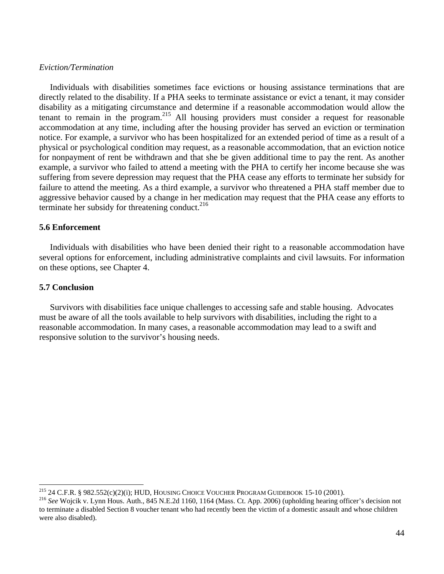## *Eviction/Termination*

 Individuals with disabilities sometimes face evictions or housing assistance terminations that are directly related to the disability. If a PHA seeks to terminate assistance or evict a tenant, it may consider disability as a mitigating circumstance and determine if a reasonable accommodation would allow the tenant to remain in the program.215 All housing providers must consider a request for reasonable accommodation at any time, including after the housing provider has served an eviction or termination notice. For example, a survivor who has been hospitalized for an extended period of time as a result of a physical or psychological condition may request, as a reasonable accommodation, that an eviction notice for nonpayment of rent be withdrawn and that she be given additional time to pay the rent. As another example, a survivor who failed to attend a meeting with the PHA to certify her income because she was suffering from severe depression may request that the PHA cease any efforts to terminate her subsidy for failure to attend the meeting. As a third example, a survivor who threatened a PHA staff member due to aggressive behavior caused by a change in her medication may request that the PHA cease any efforts to terminate her subsidy for threatening conduct. $216$ 

## **5.6 Enforcement**

 Individuals with disabilities who have been denied their right to a reasonable accommodation have several options for enforcement, including administrative complaints and civil lawsuits. For information on these options, see Chapter 4.

## **5.7 Conclusion**

 Survivors with disabilities face unique challenges to accessing safe and stable housing. Advocates must be aware of all the tools available to help survivors with disabilities, including the right to a reasonable accommodation. In many cases, a reasonable accommodation may lead to a swift and responsive solution to the survivor's housing needs.

<sup>&</sup>lt;sup>215</sup> 24 C.F.R. § 982.552(c)(2)(i); HUD, HOUSING CHOICE VOUCHER PROGRAM GUIDEBOOK 15-10 (2001).

<sup>&</sup>lt;sup>216</sup> See Wojcik v. Lynn Hous. Auth., 845 N.E.2d 1160, 1164 (Mass. Ct. App. 2006) (upholding hearing officer's decision not to terminate a disabled Section 8 voucher tenant who had recently been the victim of a domestic assault and whose children were also disabled).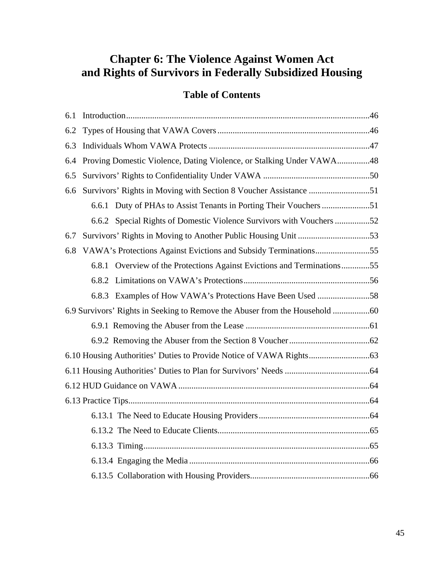# **Chapter 6: The Violence Against Women Act and Rights of Survivors in Federally Subsidized Housing**

## **Table of Contents**

| 6.1 |                                                                             |  |  |  |
|-----|-----------------------------------------------------------------------------|--|--|--|
| 6.2 |                                                                             |  |  |  |
| 6.3 |                                                                             |  |  |  |
| 6.4 | Proving Domestic Violence, Dating Violence, or Stalking Under VAWA48        |  |  |  |
| 6.5 |                                                                             |  |  |  |
| 6.6 | Survivors' Rights in Moving with Section 8 Voucher Assistance 51            |  |  |  |
|     |                                                                             |  |  |  |
|     | 6.6.2 Special Rights of Domestic Violence Survivors with Vouchers 52        |  |  |  |
| 6.7 |                                                                             |  |  |  |
| 6.8 |                                                                             |  |  |  |
|     | 6.8.1 Overview of the Protections Against Evictions and Terminations55      |  |  |  |
|     |                                                                             |  |  |  |
|     |                                                                             |  |  |  |
|     | 6.9 Survivors' Rights in Seeking to Remove the Abuser from the Household 60 |  |  |  |
|     |                                                                             |  |  |  |
|     |                                                                             |  |  |  |
|     |                                                                             |  |  |  |
|     |                                                                             |  |  |  |
|     |                                                                             |  |  |  |
|     |                                                                             |  |  |  |
|     |                                                                             |  |  |  |
|     |                                                                             |  |  |  |
|     |                                                                             |  |  |  |
|     |                                                                             |  |  |  |
|     |                                                                             |  |  |  |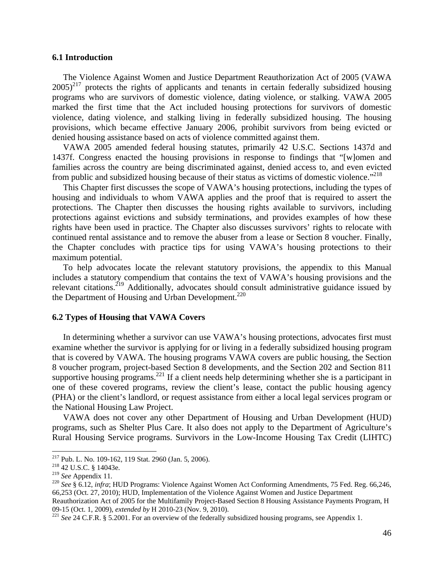## **6.1 Introduction**

 The Violence Against Women and Justice Department Reauthorization Act of 2005 (VAWA  $2005$ <sup>217</sup> protects the rights of applicants and tenants in certain federally subsidized housing programs who are survivors of domestic violence, dating violence, or stalking. VAWA 2005 marked the first time that the Act included housing protections for survivors of domestic violence, dating violence, and stalking living in federally subsidized housing. The housing provisions, which became effective January 2006, prohibit survivors from being evicted or denied housing assistance based on acts of violence committed against them.

 VAWA 2005 amended federal housing statutes, primarily 42 U.S.C. Sections 1437d and 1437f. Congress enacted the housing provisions in response to findings that "[w]omen and families across the country are being discriminated against, denied access to, and even evicted from public and subsidized housing because of their status as victims of domestic violence."<sup>218</sup>

 This Chapter first discusses the scope of VAWA's housing protections, including the types of housing and individuals to whom VAWA applies and the proof that is required to assert the protections. The Chapter then discusses the housing rights available to survivors, including protections against evictions and subsidy terminations, and provides examples of how these rights have been used in practice. The Chapter also discusses survivors' rights to relocate with continued rental assistance and to remove the abuser from a lease or Section 8 voucher. Finally, the Chapter concludes with practice tips for using VAWA's housing protections to their maximum potential.

 To help advocates locate the relevant statutory provisions, the appendix to this Manual includes a statutory compendium that contains the text of VAWA's housing provisions and the relevant citations.<sup>219</sup> Additionally, advocates should consult administrative guidance issued by the Department of Housing and Urban Development.<sup>220</sup>

#### **6.2 Types of Housing that VAWA Covers**

 In determining whether a survivor can use VAWA's housing protections, advocates first must examine whether the survivor is applying for or living in a federally subsidized housing program that is covered by VAWA. The housing programs VAWA covers are public housing, the Section 8 voucher program, project-based Section 8 developments, and the Section 202 and Section 811 supportive housing programs.<sup>221</sup> If a client needs help determining whether she is a participant in one of these covered programs, review the client's lease, contact the public housing agency (PHA) or the client's landlord, or request assistance from either a local legal services program or the National Housing Law Project.

 VAWA does not cover any other Department of Housing and Urban Development (HUD) programs, such as Shelter Plus Care. It also does not apply to the Department of Agriculture's Rural Housing Service programs. Survivors in the Low-Income Housing Tax Credit (LIHTC)

<sup>&</sup>lt;sup>217</sup> Pub. L. No. 109-162, 119 Stat. 2960 (Jan. 5, 2006).<br><sup>218</sup> 42 U.S.C. § 14043e.

<sup>218 42</sup> U.S.C. § 14043e.<br><sup>219</sup> *See* Appendix 11.<br><sup>219</sup> *See* § 6.12, *infra*; HUD Programs: Violence Against Women Act Conforming Amendments, 75 Fed. Reg. 66,246, 66,253 (Oct. 27, 2010); HUD, Implementation of the Violence Against Women and Justice Department

Reauthorization Act of 2005 for the Multifamily Project-Based Section 8 Housing Assistance Payments Program, H 09-15 (Oct. 1, 2009), *extended by* H 2010-23 (Nov. 9, 2010).<br><sup>221</sup> *See* 24 C.F.R. § 5.2001. For an overview of the federally subsidized housing programs, see Appendix 1.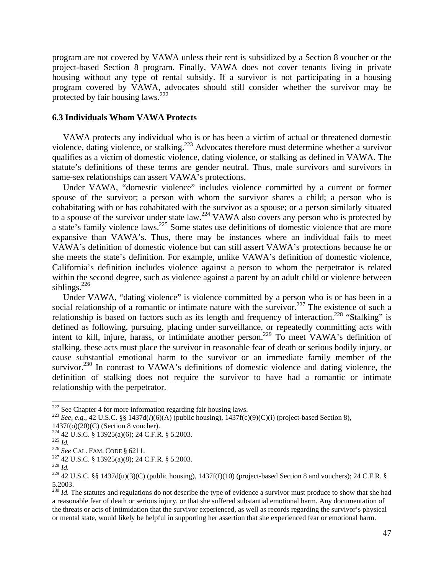program are not covered by VAWA unless their rent is subsidized by a Section 8 voucher or the project-based Section 8 program. Finally, VAWA does not cover tenants living in private housing without any type of rental subsidy. If a survivor is not participating in a housing program covered by VAWA, advocates should still consider whether the survivor may be protected by fair housing laws. $^{222}$ 

### **6.3 Individuals Whom VAWA Protects**

 VAWA protects any individual who is or has been a victim of actual or threatened domestic violence, dating violence, or stalking.223 Advocates therefore must determine whether a survivor qualifies as a victim of domestic violence, dating violence, or stalking as defined in VAWA. The statute's definitions of these terms are gender neutral. Thus, male survivors and survivors in same-sex relationships can assert VAWA's protections.

 Under VAWA, "domestic violence" includes violence committed by a current or former spouse of the survivor; a person with whom the survivor shares a child; a person who is cohabitating with or has cohabitated with the survivor as a spouse; or a person similarly situated to a spouse of the survivor under state law.<sup>224</sup> VAWA also covers any person who is protected by a state's family violence laws.<sup>225</sup> Some states use definitions of domestic violence that are more expansive than VAWA's. Thus, there may be instances where an individual fails to meet VAWA's definition of domestic violence but can still assert VAWA's protections because he or she meets the state's definition. For example, unlike VAWA's definition of domestic violence, California's definition includes violence against a person to whom the perpetrator is related within the second degree, such as violence against a parent by an adult child or violence between siblings. $226$ 

 Under VAWA, "dating violence" is violence committed by a person who is or has been in a social relationship of a romantic or intimate nature with the survivor.<sup>227</sup> The existence of such a relationship is based on factors such as its length and frequency of interaction.<sup>228</sup> "Stalking" is defined as following, pursuing, placing under surveillance, or repeatedly committing acts with intent to kill, injure, harass, or intimidate another person.229 To meet VAWA's definition of stalking, these acts must place the survivor in reasonable fear of death or serious bodily injury, or cause substantial emotional harm to the survivor or an immediate family member of the survivor.<sup>230</sup> In contrast to VAWA's definitions of domestic violence and dating violence, the definition of stalking does not require the survivor to have had a romantic or intimate relationship with the perpetrator.

- 
- 1437f(o)(20)(C) (Section 8 voucher).<br><sup>224</sup> 42 U.S.C. § 13925(a)(6); 24 C.F.R. § 5.2003.
- 225 *Id.*<br><sup>226</sup> See CAL. FAM. CODE § 6211.<br><sup>227</sup> 42 U.S.C. § 13925(a)(8); 24 C.F.R. § 5.2003.<br><sup>228</sup> *Id*
- 

<sup>&</sup>lt;sup>222</sup> See Chapter 4 for more information regarding fair housing laws.

<sup>&</sup>lt;sup>223</sup> See, e.g., 42 U.S.C. §§ 1437d(*l*)(6)(A) (public housing), 1437f(c)(9)(C)(i) (project-based Section 8),

<sup>&</sup>lt;sup>229</sup> 42 U.S.C. §§ 1437d(u)(3)(C) (public housing), 1437f(f)(10) (project-based Section 8 and vouchers); 24 C.F.R. § 5.2003.

<sup>&</sup>lt;sup>230</sup> *Id.* The statutes and regulations do not describe the type of evidence a survivor must produce to show that she had a reasonable fear of death or serious injury, or that she suffered substantial emotional harm. Any documentation of the threats or acts of intimidation that the survivor experienced, as well as records regarding the survivor's physical or mental state, would likely be helpful in supporting her assertion that she experienced fear or emotional harm.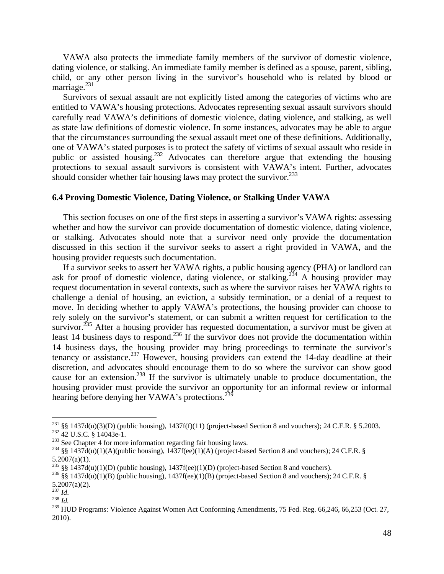VAWA also protects the immediate family members of the survivor of domestic violence, dating violence, or stalking. An immediate family member is defined as a spouse, parent, sibling, child, or any other person living in the survivor's household who is related by blood or marriage. $^{231}$ 

 Survivors of sexual assault are not explicitly listed among the categories of victims who are entitled to VAWA's housing protections. Advocates representing sexual assault survivors should carefully read VAWA's definitions of domestic violence, dating violence, and stalking, as well as state law definitions of domestic violence. In some instances, advocates may be able to argue that the circumstances surrounding the sexual assault meet one of these definitions. Additionally, one of VAWA's stated purposes is to protect the safety of victims of sexual assault who reside in public or assisted housing.232 Advocates can therefore argue that extending the housing protections to sexual assault survivors is consistent with VAWA's intent. Further, advocates should consider whether fair housing laws may protect the survivor.  $233$ 

## **6.4 Proving Domestic Violence, Dating Violence, or Stalking Under VAWA**

 This section focuses on one of the first steps in asserting a survivor's VAWA rights: assessing whether and how the survivor can provide documentation of domestic violence, dating violence, or stalking. Advocates should note that a survivor need only provide the documentation discussed in this section if the survivor seeks to assert a right provided in VAWA, and the housing provider requests such documentation.

 If a survivor seeks to assert her VAWA rights, a public housing agency (PHA) or landlord can ask for proof of domestic violence, dating violence, or stalking.<sup>234</sup> A housing provider may request documentation in several contexts, such as where the survivor raises her VAWA rights to challenge a denial of housing, an eviction, a subsidy termination, or a denial of a request to move. In deciding whether to apply VAWA's protections, the housing provider can choose to rely solely on the survivor's statement, or can submit a written request for certification to the survivor.<sup>235</sup> After a housing provider has requested documentation, a survivor must be given at least 14 business days to respond.<sup>236</sup> If the survivor does not provide the documentation within 14 business days, the housing provider may bring proceedings to terminate the survivor's tenancy or assistance.<sup>237</sup> However, housing providers can extend the 14-day deadline at their discretion, and advocates should encourage them to do so where the survivor can show good cause for an extension.238 If the survivor is ultimately unable to produce documentation, the housing provider must provide the survivor an opportunity for an informal review or informal hearing before denying her VAWA's protections.<sup>27</sup>

<sup>&</sup>lt;sup>231</sup> §§ 1437d(u)(3)(D) (public housing), 1437f(f)(11) (project-based Section 8 and vouchers); 24 C.F.R. § 5.2003.<br><sup>232</sup> 42 U.S.C. § 14043e-1.<br><sup>233</sup> See Chapter 4 for more information regarding fair housing laws.<br><sup>234</sup> §§

 $5.2007(a)(1)$ .<br>  $235 \& 1437d(u)(1)(D)$  (public housing), 1437f(ee)(1)(D) (project-based Section 8 and vouchers).

<sup>&</sup>lt;sup>236</sup> §§ 1437d(u)(1)(B) (public housing), 1437f(ee)(1)(B) (project-based Section 8 and vouchers); 24 C.F.R. § 5.2007(a)(2).

<sup>237</sup> *Id*. 238 *Id.*

<sup>&</sup>lt;sup>239</sup> HUD Programs: Violence Against Women Act Conforming Amendments, 75 Fed. Reg. 66,246, 66,253 (Oct. 27, 2010).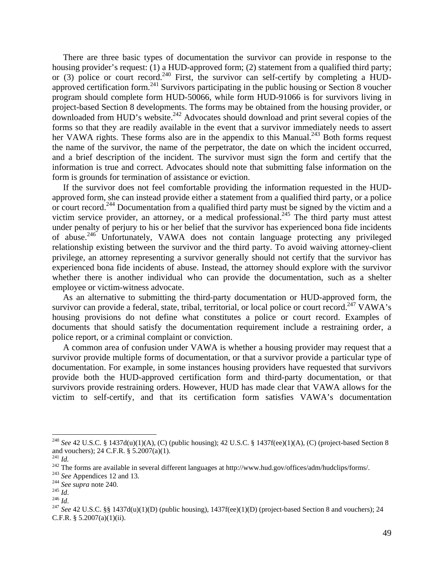There are three basic types of documentation the survivor can provide in response to the housing provider's request: (1) a HUD-approved form; (2) statement from a qualified third party; or (3) police or court record.<sup>240</sup> First, the survivor can self-certify by completing a HUDapproved certification form.<sup>241</sup> Survivors participating in the public housing or Section 8 voucher program should complete form HUD-50066, while form HUD-91066 is for survivors living in project-based Section 8 developments. The forms may be obtained from the housing provider, or downloaded from HUD's website.<sup>242</sup> Advocates should download and print several copies of the forms so that they are readily available in the event that a survivor immediately needs to assert her VAWA rights. These forms also are in the appendix to this Manual.<sup>243</sup> Both forms request the name of the survivor, the name of the perpetrator, the date on which the incident occurred, and a brief description of the incident. The survivor must sign the form and certify that the information is true and correct. Advocates should note that submitting false information on the form is grounds for termination of assistance or eviction.

 If the survivor does not feel comfortable providing the information requested in the HUDapproved form, she can instead provide either a statement from a qualified third party, or a police or court record.244 Documentation from a qualified third party must be signed by the victim and a victim service provider, an attorney, or a medical professional.<sup>245</sup> The third party must attest under penalty of perjury to his or her belief that the survivor has experienced bona fide incidents of abuse.246 Unfortunately, VAWA does not contain language protecting any privileged relationship existing between the survivor and the third party. To avoid waiving attorney-client privilege, an attorney representing a survivor generally should not certify that the survivor has experienced bona fide incidents of abuse. Instead, the attorney should explore with the survivor whether there is another individual who can provide the documentation, such as a shelter employee or victim-witness advocate.

 As an alternative to submitting the third-party documentation or HUD-approved form, the survivor can provide a federal, state, tribal, territorial, or local police or court record.<sup>247</sup> VAWA's housing provisions do not define what constitutes a police or court record. Examples of documents that should satisfy the documentation requirement include a restraining order, a police report, or a criminal complaint or conviction.

 A common area of confusion under VAWA is whether a housing provider may request that a survivor provide multiple forms of documentation, or that a survivor provide a particular type of documentation. For example, in some instances housing providers have requested that survivors provide both the HUD-approved certification form and third-party documentation, or that survivors provide restraining orders. However, HUD has made clear that VAWA allows for the victim to self-certify, and that its certification form satisfies VAWA's documentation

<sup>240</sup> *See* 42 U.S.C. § 1437d(u)(1)(A), (C) (public housing); 42 U.S.C. § 1437f(ee)(1)(A), (C) (project-based Section 8 and vouchers); 24 C.F.R. § 5.2007(a)(1).<br> $^{241}$  *Id* 

<sup>&</sup>lt;sup>242</sup><br>
<sup>242</sup> The forms are available in several different languages at http://www.hud.gov/offices/adm/hudclips/forms/.<br>
<sup>243</sup> See Appendices 12 and 13.<br>
<sup>244</sup> See supra note 240.<br>
<sup>245</sup> Id.<br>
<sup>246</sup> Id.<br>
<sup>246</sup> Id.<br>
<sup>246</sup> Id

C.F.R.  $§ 5.2007(a)(1)(ii)$ .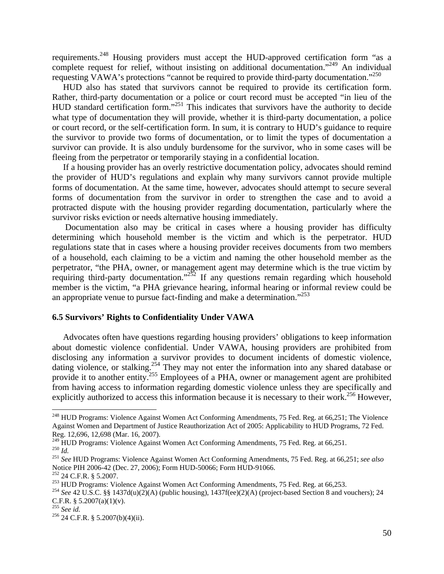requirements.248 Housing providers must accept the HUD-approved certification form "as a complete request for relief, without insisting on additional documentation."<sup>249</sup> An individual requesting VAWA's protections "cannot be required to provide third-party documentation."<sup>250</sup>

 HUD also has stated that survivors cannot be required to provide its certification form. Rather, third-party documentation or a police or court record must be accepted "in lieu of the HUD standard certification form."251 This indicates that survivors have the authority to decide what type of documentation they will provide, whether it is third-party documentation, a police or court record, or the self-certification form. In sum, it is contrary to HUD's guidance to require the survivor to provide two forms of documentation, or to limit the types of documentation a survivor can provide. It is also unduly burdensome for the survivor, who in some cases will be fleeing from the perpetrator or temporarily staying in a confidential location.

 If a housing provider has an overly restrictive documentation policy, advocates should remind the provider of HUD's regulations and explain why many survivors cannot provide multiple forms of documentation. At the same time, however, advocates should attempt to secure several forms of documentation from the survivor in order to strengthen the case and to avoid a protracted dispute with the housing provider regarding documentation, particularly where the survivor risks eviction or needs alternative housing immediately.

Documentation also may be critical in cases where a housing provider has difficulty determining which household member is the victim and which is the perpetrator. HUD regulations state that in cases where a housing provider receives documents from two members of a household, each claiming to be a victim and naming the other household member as the perpetrator, "the PHA, owner, or management agent may determine which is the true victim by requiring third-party documentation."<sup>252</sup> If any questions remain regarding which household member is the victim, "a PHA grievance hearing, informal hearing or informal review could be an appropriate venue to pursue fact-finding and make a determination."<sup>253</sup>

## **6.5 Survivors' Rights to Confidentiality Under VAWA**

 Advocates often have questions regarding housing providers' obligations to keep information about domestic violence confidential. Under VAWA, housing providers are prohibited from disclosing any information a survivor provides to document incidents of domestic violence, dating violence, or stalking.<sup>254</sup> They may not enter the information into any shared database or provide it to another entity.<sup>255</sup> Employees of a PHA, owner or management agent are prohibited from having access to information regarding domestic violence unless they are specifically and explicitly authorized to access this information because it is necessary to their work.<sup>256</sup> However,

<sup>&</sup>lt;sup>248</sup> HUD Programs: Violence Against Women Act Conforming Amendments, 75 Fed. Reg. at 66,251; The Violence Against Women and Department of Justice Reauthorization Act of 2005: Applicability to HUD Programs, 72 Fed. Reg. 12,696, 12,698 (Mar. 16, 2007).<br><sup>249</sup> HUD Programs: Violence Against Women Act Conforming Amendments, 75 Fed. Reg. at 66,251.

 $^{250}$  *Id.*<br> $^{251}$  *See* HUD Programs: Violence Against Women Act Conforming Amendments, 75 Fed. Reg. at 66,251; see also

Notice PIH 2006-42 (Dec. 27, 2006); Form HUD-50066; Form HUD-91066.<br><sup>252</sup> 24 C.F.R. § 5.2007.

<sup>&</sup>lt;sup>253</sup> HUD Programs: Violence Against Women Act Conforming Amendments, 75 Fed. Reg. at 66,253.<br><sup>254</sup> See 42 U.S.C. §§ 1437d(u)(2)(A) (public housing), 1437f(ee)(2)(A) (project-based Section 8 and vouchers); 24

C.F.R. § 5.2007(a)(1)(v).<br> $^{255}$  See id.

<sup>&</sup>lt;sup>256</sup> 24 C.F.R. § 5.2007(b)(4)(ii).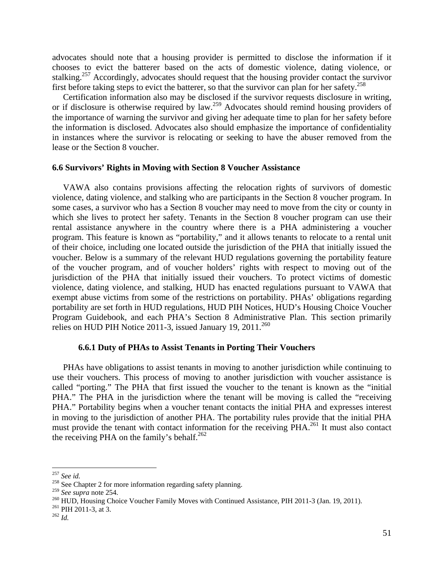advocates should note that a housing provider is permitted to disclose the information if it chooses to evict the batterer based on the acts of domestic violence, dating violence, or stalking.<sup>257</sup> Accordingly, advocates should request that the housing provider contact the survivor first before taking steps to evict the batterer, so that the survivor can plan for her safety.<sup>258</sup>

 Certification information also may be disclosed if the survivor requests disclosure in writing, or if disclosure is otherwise required by law.<sup>259</sup> Advocates should remind housing providers of the importance of warning the survivor and giving her adequate time to plan for her safety before the information is disclosed. Advocates also should emphasize the importance of confidentiality in instances where the survivor is relocating or seeking to have the abuser removed from the lease or the Section 8 voucher.

## **6.6 Survivors' Rights in Moving with Section 8 Voucher Assistance**

 VAWA also contains provisions affecting the relocation rights of survivors of domestic violence, dating violence, and stalking who are participants in the Section 8 voucher program. In some cases, a survivor who has a Section 8 voucher may need to move from the city or county in which she lives to protect her safety. Tenants in the Section 8 voucher program can use their rental assistance anywhere in the country where there is a PHA administering a voucher program. This feature is known as "portability," and it allows tenants to relocate to a rental unit of their choice, including one located outside the jurisdiction of the PHA that initially issued the voucher. Below is a summary of the relevant HUD regulations governing the portability feature of the voucher program, and of voucher holders' rights with respect to moving out of the jurisdiction of the PHA that initially issued their vouchers. To protect victims of domestic violence, dating violence, and stalking, HUD has enacted regulations pursuant to VAWA that exempt abuse victims from some of the restrictions on portability. PHAs' obligations regarding portability are set forth in HUD regulations, HUD PIH Notices, HUD's Housing Choice Voucher Program Guidebook, and each PHA's Section 8 Administrative Plan. This section primarily relies on HUD PIH Notice 2011-3, issued January 19, 2011.<sup>260</sup>

## **6.6.1 Duty of PHAs to Assist Tenants in Porting Their Vouchers**

 PHAs have obligations to assist tenants in moving to another jurisdiction while continuing to use their vouchers. This process of moving to another jurisdiction with voucher assistance is called "porting." The PHA that first issued the voucher to the tenant is known as the "initial PHA." The PHA in the jurisdiction where the tenant will be moving is called the "receiving PHA." Portability begins when a voucher tenant contacts the initial PHA and expresses interest in moving to the jurisdiction of another PHA. The portability rules provide that the initial PHA must provide the tenant with contact information for the receiving PHA.<sup>261</sup> It must also contact the receiving PHA on the family's behalf. $262$ 

<sup>&</sup>lt;sup>257</sup> *See id.* <sup>258</sup> See Chapter 2 for more information regarding safety planning. <sup>259</sup> *See supra* note 254.

<sup>&</sup>lt;sup>260</sup> HUD, Housing Choice Voucher Family Moves with Continued Assistance, PIH 2011-3 (Jan. 19, 2011).<br><sup>261</sup> PIH 2011-3, at 3. <sup>262</sup> *Id.*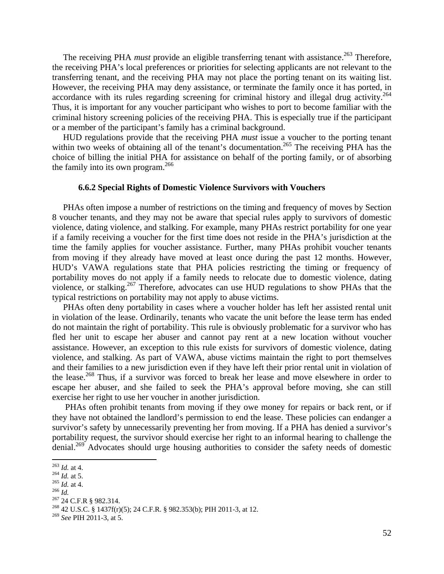The receiving PHA *must* provide an eligible transferring tenant with assistance.<sup>263</sup> Therefore, the receiving PHA's local preferences or priorities for selecting applicants are not relevant to the transferring tenant, and the receiving PHA may not place the porting tenant on its waiting list. However, the receiving PHA may deny assistance, or terminate the family once it has ported, in accordance with its rules regarding screening for criminal history and illegal drug activity.<sup>264</sup> Thus, it is important for any voucher participant who wishes to port to become familiar with the criminal history screening policies of the receiving PHA. This is especially true if the participant or a member of the participant's family has a criminal background.

 HUD regulations provide that the receiving PHA *must* issue a voucher to the porting tenant within two weeks of obtaining all of the tenant's documentation.<sup>265</sup> The receiving PHA has the choice of billing the initial PHA for assistance on behalf of the porting family, or of absorbing the family into its own program. $^{266}$ 

## **6.6.2 Special Rights of Domestic Violence Survivors with Vouchers**

 PHAs often impose a number of restrictions on the timing and frequency of moves by Section 8 voucher tenants, and they may not be aware that special rules apply to survivors of domestic violence, dating violence, and stalking. For example, many PHAs restrict portability for one year if a family receiving a voucher for the first time does not reside in the PHA's jurisdiction at the time the family applies for voucher assistance. Further, many PHAs prohibit voucher tenants from moving if they already have moved at least once during the past 12 months. However, HUD's VAWA regulations state that PHA policies restricting the timing or frequency of portability moves do not apply if a family needs to relocate due to domestic violence, dating violence, or stalking.<sup>267</sup> Therefore, advocates can use HUD regulations to show PHAs that the typical restrictions on portability may not apply to abuse victims.

 PHAs often deny portability in cases where a voucher holder has left her assisted rental unit in violation of the lease. Ordinarily, tenants who vacate the unit before the lease term has ended do not maintain the right of portability. This rule is obviously problematic for a survivor who has fled her unit to escape her abuser and cannot pay rent at a new location without voucher assistance. However, an exception to this rule exists for survivors of domestic violence, dating violence, and stalking. As part of VAWA, abuse victims maintain the right to port themselves and their families to a new jurisdiction even if they have left their prior rental unit in violation of the lease.<sup>268</sup> Thus, if a survivor was forced to break her lease and move elsewhere in order to escape her abuser, and she failed to seek the PHA's approval before moving, she can still exercise her right to use her voucher in another jurisdiction.

 PHAs often prohibit tenants from moving if they owe money for repairs or back rent, or if they have not obtained the landlord's permission to end the lease. These policies can endanger a survivor's safety by unnecessarily preventing her from moving. If a PHA has denied a survivor's portability request, the survivor should exercise her right to an informal hearing to challenge the denial.<sup>269</sup> Advocates should urge housing authorities to consider the safety needs of domestic

<sup>&</sup>lt;sup>263</sup> *Id.* at 4.<br><sup>264</sup> *Id.* at 5.<br><sup>265</sup> *Id.* at 4.<br><sup>267</sup> 24 C.F.R § 982.314.<br><sup>268</sup> 42 U.S.C. § 1437f(r)(5); 24 C.F.R. § 982.353(b); PIH 2011-3, at 12.

<sup>269</sup> *See* PIH 2011-3, at 5.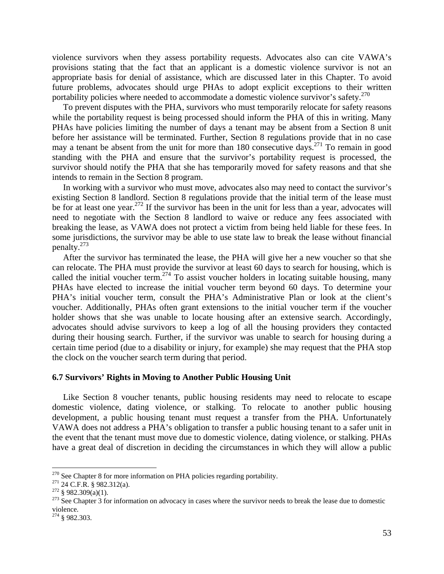violence survivors when they assess portability requests. Advocates also can cite VAWA's provisions stating that the fact that an applicant is a domestic violence survivor is not an appropriate basis for denial of assistance, which are discussed later in this Chapter. To avoid future problems, advocates should urge PHAs to adopt explicit exceptions to their written portability policies where needed to accommodate a domestic violence survivor's safety.<sup>270</sup>

 To prevent disputes with the PHA, survivors who must temporarily relocate for safety reasons while the portability request is being processed should inform the PHA of this in writing. Many PHAs have policies limiting the number of days a tenant may be absent from a Section 8 unit before her assistance will be terminated. Further, Section 8 regulations provide that in no case may a tenant be absent from the unit for more than 180 consecutive days.<sup>271</sup> To remain in good standing with the PHA and ensure that the survivor's portability request is processed, the survivor should notify the PHA that she has temporarily moved for safety reasons and that she intends to remain in the Section 8 program.

 In working with a survivor who must move, advocates also may need to contact the survivor's existing Section 8 landlord. Section 8 regulations provide that the initial term of the lease must be for at least one year.<sup>272</sup> If the survivor has been in the unit for less than a year, advocates will need to negotiate with the Section 8 landlord to waive or reduce any fees associated with breaking the lease, as VAWA does not protect a victim from being held liable for these fees. In some jurisdictions, the survivor may be able to use state law to break the lease without financial penalty.273

 After the survivor has terminated the lease, the PHA will give her a new voucher so that she can relocate. The PHA must provide the survivor at least 60 days to search for housing, which is called the initial voucher term.<sup>274</sup> To assist voucher holders in locating suitable housing, many PHAs have elected to increase the initial voucher term beyond 60 days. To determine your PHA's initial voucher term, consult the PHA's Administrative Plan or look at the client's voucher. Additionally, PHAs often grant extensions to the initial voucher term if the voucher holder shows that she was unable to locate housing after an extensive search. Accordingly, advocates should advise survivors to keep a log of all the housing providers they contacted during their housing search. Further, if the survivor was unable to search for housing during a certain time period (due to a disability or injury, for example) she may request that the PHA stop the clock on the voucher search term during that period.

#### **6.7 Survivors' Rights in Moving to Another Public Housing Unit**

 Like Section 8 voucher tenants, public housing residents may need to relocate to escape domestic violence, dating violence, or stalking. To relocate to another public housing development, a public housing tenant must request a transfer from the PHA. Unfortunately VAWA does not address a PHA's obligation to transfer a public housing tenant to a safer unit in the event that the tenant must move due to domestic violence, dating violence, or stalking. PHAs have a great deal of discretion in deciding the circumstances in which they will allow a public

 $270$  See Chapter 8 for more information on PHA policies regarding portability.

<sup>&</sup>lt;sup>271</sup> 24 C.F.R. § 982.312(a).<br><sup>272</sup> § 982.309(a)(1).<br><sup>272</sup> § 982.309(a)(1).<br><sup>273</sup> See Chapter 3 for information on advocacy in cases where the survivor needs to break the lease due to domestic violence.

 $274$  § 982.303.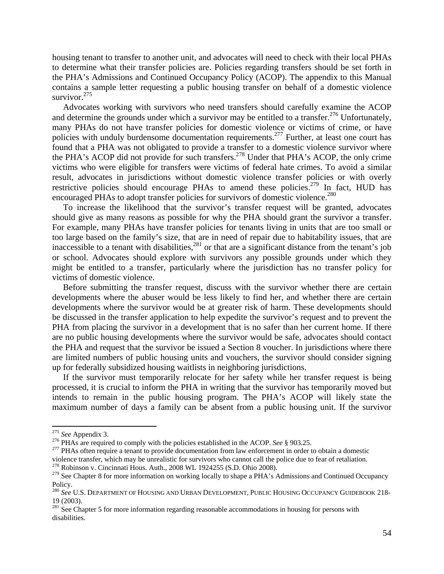housing tenant to transfer to another unit, and advocates will need to check with their local PHAs to determine what their transfer policies are. Policies regarding transfers should be set forth in the PHA's Admissions and Continued Occupancy Policy (ACOP). The appendix to this Manual contains a sample letter requesting a public housing transfer on behalf of a domestic violence survivor. $275$ 

 Advocates working with survivors who need transfers should carefully examine the ACOP and determine the grounds under which a survivor may be entitled to a transfer.<sup>276</sup> Unfortunately, many PHAs do not have transfer policies for domestic violence or victims of crime, or have policies with unduly burdensome documentation requirements.<sup>277</sup> Further, at least one court has found that a PHA was not obligated to provide a transfer to a domestic violence survivor where the PHA's ACOP did not provide for such transfers.<sup>278</sup> Under that PHA's ACOP, the only crime victims who were eligible for transfers were victims of federal hate crimes. To avoid a similar result, advocates in jurisdictions without domestic violence transfer policies or with overly restrictive policies should encourage PHAs to amend these policies.<sup>279</sup> In fact, HUD has encouraged PHAs to adopt transfer policies for survivors of domestic violence.<sup>280</sup>

 To increase the likelihood that the survivor's transfer request will be granted, advocates should give as many reasons as possible for why the PHA should grant the survivor a transfer. For example, many PHAs have transfer policies for tenants living in units that are too small or too large based on the family's size, that are in need of repair due to habitability issues, that are inaccessible to a tenant with disabilities,  $281$  or that are a significant distance from the tenant's job or school. Advocates should explore with survivors any possible grounds under which they might be entitled to a transfer, particularly where the jurisdiction has no transfer policy for victims of domestic violence.

 Before submitting the transfer request, discuss with the survivor whether there are certain developments where the abuser would be less likely to find her, and whether there are certain developments where the survivor would be at greater risk of harm. These developments should be discussed in the transfer application to help expedite the survivor's request and to prevent the PHA from placing the survivor in a development that is no safer than her current home. If there are no public housing developments where the survivor would be safe, advocates should contact the PHA and request that the survivor be issued a Section 8 voucher. In jurisdictions where there are limited numbers of public housing units and vouchers, the survivor should consider signing up for federally subsidized housing waitlists in neighboring jurisdictions.

 If the survivor must temporarily relocate for her safety while her transfer request is being processed, it is crucial to inform the PHA in writing that the survivor has temporarily moved but intends to remain in the public housing program. The PHA's ACOP will likely state the maximum number of days a family can be absent from a public housing unit. If the survivor

<sup>&</sup>lt;sup>275</sup> See Appendix 3.<br><sup>276</sup> PHAs are required to comply with the policies established in the ACOP. See § 903.25.<br><sup>277</sup> PHAs often require a tenant to provide documentation from law enforcement in order to obtain a domesti violence transfer, which may be unrealistic for survivors who cannot call the police due to fear of retaliation. 278 Robinson v. Cincinnati Hous. Auth., 2008 WL 1924255 (S.D. Ohio 2008).

<sup>&</sup>lt;sup>279</sup> See Chapter 8 for more information on working locally to shape a PHA's Admissions and Continued Occupancy Policy.

<sup>280</sup> *See* U.S. DEPARTMENT OF HOUSING AND URBAN DEVELOPMENT, PUBLIC HOUSING OCCUPANCY GUIDEBOOK 218- 19 (2003).

<sup>&</sup>lt;sup>281</sup> See Chapter 5 for more information regarding reasonable accommodations in housing for persons with disabilities.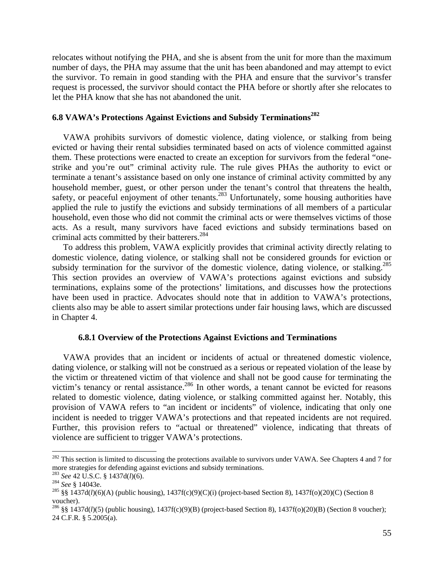relocates without notifying the PHA, and she is absent from the unit for more than the maximum number of days, the PHA may assume that the unit has been abandoned and may attempt to evict the survivor. To remain in good standing with the PHA and ensure that the survivor's transfer request is processed, the survivor should contact the PHA before or shortly after she relocates to let the PHA know that she has not abandoned the unit.

## **6.8 VAWA's Protections Against Evictions and Subsidy Terminations<sup>282</sup>**

 VAWA prohibits survivors of domestic violence, dating violence, or stalking from being evicted or having their rental subsidies terminated based on acts of violence committed against them. These protections were enacted to create an exception for survivors from the federal "onestrike and you're out" criminal activity rule. The rule gives PHAs the authority to evict or terminate a tenant's assistance based on only one instance of criminal activity committed by any household member, guest, or other person under the tenant's control that threatens the health, safety, or peaceful enjoyment of other tenants.<sup>283</sup> Unfortunately, some housing authorities have applied the rule to justify the evictions and subsidy terminations of all members of a particular household, even those who did not commit the criminal acts or were themselves victims of those acts. As a result, many survivors have faced evictions and subsidy terminations based on criminal acts committed by their batterers.<sup>284</sup>

 To address this problem, VAWA explicitly provides that criminal activity directly relating to domestic violence, dating violence, or stalking shall not be considered grounds for eviction or subsidy termination for the survivor of the domestic violence, dating violence, or stalking.<sup>285</sup> This section provides an overview of VAWA's protections against evictions and subsidy terminations, explains some of the protections' limitations, and discusses how the protections have been used in practice. Advocates should note that in addition to VAWA's protections, clients also may be able to assert similar protections under fair housing laws, which are discussed in Chapter 4.

## **6.8.1 Overview of the Protections Against Evictions and Terminations**

 VAWA provides that an incident or incidents of actual or threatened domestic violence, dating violence, or stalking will not be construed as a serious or repeated violation of the lease by the victim or threatened victim of that violence and shall not be good cause for terminating the victim's tenancy or rental assistance.<sup>286</sup> In other words, a tenant cannot be evicted for reasons related to domestic violence, dating violence, or stalking committed against her. Notably, this provision of VAWA refers to "an incident or incidents" of violence, indicating that only one incident is needed to trigger VAWA's protections and that repeated incidents are not required. Further, this provision refers to "actual or threatened" violence, indicating that threats of violence are sufficient to trigger VAWA's protections.

 $282$  This section is limited to discussing the protections available to survivors under VAWA. See Chapters 4 and 7 for more strategies for defending against evictions and subsidy terminations.<br><sup>283</sup> See 42 U.S.C. § 1437d(*l*)(6).

<sup>&</sup>lt;sup>284</sup> *See* § 14043e.<br><sup>285</sup> §§ 1437d(*l*)(6)(A) (public housing), 1437f(c)(9)(C)(i) (project-based Section 8), 1437f(o)(20)(C) (Section 8 voucher).

<sup>286 §§ 1437</sup>d(*l*)(5) (public housing), 1437f(c)(9)(B) (project-based Section 8), 1437f(o)(20)(B) (Section 8 voucher); 24 C.F.R. § 5.2005(a).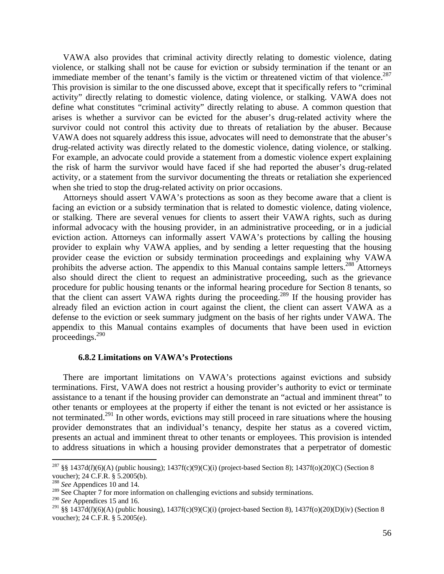VAWA also provides that criminal activity directly relating to domestic violence, dating violence, or stalking shall not be cause for eviction or subsidy termination if the tenant or an immediate member of the tenant's family is the victim or threatened victim of that violence.<sup>287</sup> This provision is similar to the one discussed above, except that it specifically refers to "criminal activity" directly relating to domestic violence, dating violence, or stalking. VAWA does not define what constitutes "criminal activity" directly relating to abuse. A common question that arises is whether a survivor can be evicted for the abuser's drug-related activity where the survivor could not control this activity due to threats of retaliation by the abuser. Because VAWA does not squarely address this issue, advocates will need to demonstrate that the abuser's drug-related activity was directly related to the domestic violence, dating violence, or stalking. For example, an advocate could provide a statement from a domestic violence expert explaining the risk of harm the survivor would have faced if she had reported the abuser's drug-related activity, or a statement from the survivor documenting the threats or retaliation she experienced when she tried to stop the drug-related activity on prior occasions.

 Attorneys should assert VAWA's protections as soon as they become aware that a client is facing an eviction or a subsidy termination that is related to domestic violence, dating violence, or stalking. There are several venues for clients to assert their VAWA rights, such as during informal advocacy with the housing provider, in an administrative proceeding, or in a judicial eviction action. Attorneys can informally assert VAWA's protections by calling the housing provider to explain why VAWA applies, and by sending a letter requesting that the housing provider cease the eviction or subsidy termination proceedings and explaining why VAWA prohibits the adverse action. The appendix to this Manual contains sample letters.<sup>288</sup> Attorneys also should direct the client to request an administrative proceeding, such as the grievance procedure for public housing tenants or the informal hearing procedure for Section 8 tenants, so that the client can assert VAWA rights during the proceeding.<sup>289</sup> If the housing provider has already filed an eviction action in court against the client, the client can assert VAWA as a defense to the eviction or seek summary judgment on the basis of her rights under VAWA. The appendix to this Manual contains examples of documents that have been used in eviction proceedings.290

#### **6.8.2 Limitations on VAWA's Protections**

 There are important limitations on VAWA's protections against evictions and subsidy terminations. First, VAWA does not restrict a housing provider's authority to evict or terminate assistance to a tenant if the housing provider can demonstrate an "actual and imminent threat" to other tenants or employees at the property if either the tenant is not evicted or her assistance is not terminated.<sup>291</sup> In other words, evictions may still proceed in rare situations where the housing provider demonstrates that an individual's tenancy, despite her status as a covered victim, presents an actual and imminent threat to other tenants or employees. This provision is intended to address situations in which a housing provider demonstrates that a perpetrator of domestic

<sup>&</sup>lt;sup>287</sup> §§ 1437d(*l*)(6)(A) (public housing); 1437f(c)(9)(C)(i) (project-based Section 8); 1437f(o)(20)(C) (Section 8 voucher); 24 C.F.R. § 5.2005(b).

<sup>288</sup> *See* Appendices 10 and 14.

<sup>&</sup>lt;sup>289</sup> See Chapter 7 for more information on challenging evictions and subsidy terminations.

<sup>290</sup> *See* Appendices 15 and 16.

<sup>291 §§ 1437</sup>d(*l*)(6)(A) (public housing), 1437f(c)(9)(C)(i) (project-based Section 8), 1437f(o)(20)(D)(iv) (Section 8 voucher); 24 C.F.R. § 5.2005(e).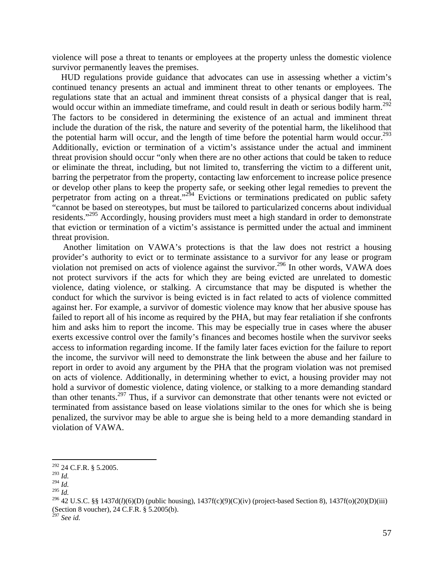violence will pose a threat to tenants or employees at the property unless the domestic violence survivor permanently leaves the premises.

 HUD regulations provide guidance that advocates can use in assessing whether a victim's continued tenancy presents an actual and imminent threat to other tenants or employees. The regulations state that an actual and imminent threat consists of a physical danger that is real, would occur within an immediate timeframe, and could result in death or serious bodily harm.<sup>292</sup> The factors to be considered in determining the existence of an actual and imminent threat include the duration of the risk, the nature and severity of the potential harm, the likelihood that the potential harm will occur, and the length of time before the potential harm would occur.<sup>293</sup> Additionally, eviction or termination of a victim's assistance under the actual and imminent threat provision should occur "only when there are no other actions that could be taken to reduce or eliminate the threat, including, but not limited to, transferring the victim to a different unit, barring the perpetrator from the property, contacting law enforcement to increase police presence or develop other plans to keep the property safe, or seeking other legal remedies to prevent the perpetrator from acting on a threat."<sup>294</sup> Evictions or terminations predicated on public safety "cannot be based on stereotypes, but must be tailored to particularized concerns about individual residents."<sup>295</sup> Accordingly, housing providers must meet a high standard in order to demonstrate that eviction or termination of a victim's assistance is permitted under the actual and imminent threat provision.

 Another limitation on VAWA's protections is that the law does not restrict a housing provider's authority to evict or to terminate assistance to a survivor for any lease or program violation not premised on acts of violence against the survivor.<sup>296</sup> In other words, VAWA does not protect survivors if the acts for which they are being evicted are unrelated to domestic violence, dating violence, or stalking. A circumstance that may be disputed is whether the conduct for which the survivor is being evicted is in fact related to acts of violence committed against her. For example, a survivor of domestic violence may know that her abusive spouse has failed to report all of his income as required by the PHA, but may fear retaliation if she confronts him and asks him to report the income. This may be especially true in cases where the abuser exerts excessive control over the family's finances and becomes hostile when the survivor seeks access to information regarding income. If the family later faces eviction for the failure to report the income, the survivor will need to demonstrate the link between the abuse and her failure to report in order to avoid any argument by the PHA that the program violation was not premised on acts of violence. Additionally, in determining whether to evict, a housing provider may not hold a survivor of domestic violence, dating violence, or stalking to a more demanding standard than other tenants.297 Thus, if a survivor can demonstrate that other tenants were not evicted or terminated from assistance based on lease violations similar to the ones for which she is being penalized, the survivor may be able to argue she is being held to a more demanding standard in violation of VAWA.

 $292$  24 C.F.R. § 5.2005.

 $\frac{^{293}}{^{294}}$ *Id.* 

<sup>295</sup> *Id.*<br><sup>295</sup> *Id.* 296 *Id.* 206 *Id.* 206 42 U.S.C. §§ 1437d(*l*)(6)(D) (public housing), 1437f(c)(9)(C)(iv) (project-based Section 8), 1437f(o)(20)(D)(iii) (Section 8 voucher), 24 C.F.R. § 5.2005(b).

<sup>297</sup> *See id.*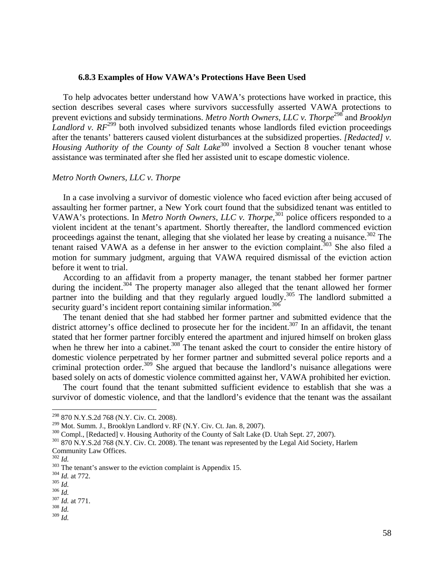#### **6.8.3 Examples of How VAWA's Protections Have Been Used**

 To help advocates better understand how VAWA's protections have worked in practice, this section describes several cases where survivors successfully asserted VAWA protections to prevent evictions and subsidy terminations. *Metro North Owners, LLC v. Thorpe*<sup>298</sup> and *Brooklyn Landlord v.*  $RF^{299}$  both involved subsidized tenants whose landlords filed eviction proceedings after the tenants' batterers caused violent disturbances at the subsidized properties. *[Redacted] v. Housing Authority of the County of Salt Lake*<sup>300</sup> involved a Section 8 voucher tenant whose assistance was terminated after she fled her assisted unit to escape domestic violence.

## *Metro North Owners, LLC v. Thorpe*

 In a case involving a survivor of domestic violence who faced eviction after being accused of assaulting her former partner, a New York court found that the subsidized tenant was entitled to VAWA's protections. In *Metro North Owners, LLC v. Thorpe*,<sup>301</sup> police officers responded to a violent incident at the tenant's apartment. Shortly thereafter, the landlord commenced eviction proceedings against the tenant, alleging that she violated her lease by creating a nuisance.<sup>302</sup> The tenant raised VAWA as a defense in her answer to the eviction complaint.<sup>303</sup> She also filed a motion for summary judgment, arguing that VAWA required dismissal of the eviction action before it went to trial.

 According to an affidavit from a property manager, the tenant stabbed her former partner during the incident.<sup>304</sup> The property manager also alleged that the tenant allowed her former partner into the building and that they regularly argued loudly.<sup>305</sup> The landlord submitted a security guard's incident report containing similar information.<sup>306</sup>

 The tenant denied that she had stabbed her former partner and submitted evidence that the district attorney's office declined to prosecute her for the incident.<sup>307</sup> In an affidavit, the tenant stated that her former partner forcibly entered the apartment and injured himself on broken glass when he threw her into a cabinet.<sup>308</sup> The tenant asked the court to consider the entire history of domestic violence perpetrated by her former partner and submitted several police reports and a criminal protection order.<sup>309</sup> She argued that because the landlord's nuisance allegations were based solely on acts of domestic violence committed against her, VAWA prohibited her eviction.

 The court found that the tenant submitted sufficient evidence to establish that she was a survivor of domestic violence, and that the landlord's evidence that the tenant was the assailant

 $^{298}$  870 N.Y.S.2d 768 (N.Y. Civ. Ct. 2008).<br> $^{299}$  Mot. Summ. J., Brooklyn Landlord v. RF (N.Y. Civ. Ct. Jan. 8, 2007).

 $^{300}$  Compl., [Redacted] v. Housing Authority of the County of Salt Lake (D. Utah Sept. 27, 2007).<br> $^{301}$  870 N.Y.S.2d 768 (N.Y. Civ. Ct. 2008). The tenant was represented by the Legal Aid Society, Harlem Community Law Offices.<br> $\frac{302}{Id}$ 

<sup>&</sup>lt;sup>303</sup> The tenant's answer to the eviction complaint is Appendix 15.<br><sup>304</sup> *Id.* at 772.<br><sup>305</sup> *Id.*  $\frac{304}{500}$  *Id.* at 771.<br><sup>308</sup> *Id.*  $\frac{307}{500}$  *Id.*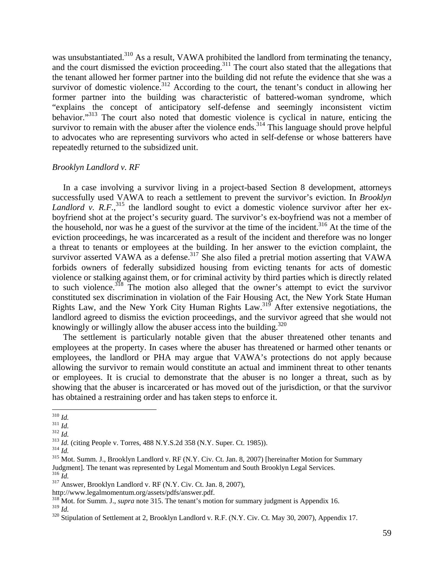was unsubstantiated.<sup>310</sup> As a result, VAWA prohibited the landlord from terminating the tenancy, and the court dismissed the eviction proceeding.<sup>311</sup> The court also stated that the allegations that the tenant allowed her former partner into the building did not refute the evidence that she was a survivor of domestic violence.<sup>312</sup> According to the court, the tenant's conduct in allowing her former partner into the building was characteristic of battered-woman syndrome, which "explains the concept of anticipatory self-defense and seemingly inconsistent victim behavior."<sup>313</sup> The court also noted that domestic violence is cyclical in nature, enticing the survivor to remain with the abuser after the violence ends.<sup>314</sup> This language should prove helpful to advocates who are representing survivors who acted in self-defense or whose batterers have repeatedly returned to the subsidized unit.

## *Brooklyn Landlord v. RF*

 In a case involving a survivor living in a project-based Section 8 development, attorneys successfully used VAWA to reach a settlement to prevent the survivor's eviction. In *Brooklyn*  Landlord v. R.F.,<sup>315</sup> the landlord sought to evict a domestic violence survivor after her exboyfriend shot at the project's security guard. The survivor's ex-boyfriend was not a member of the household, nor was he a guest of the survivor at the time of the incident.<sup>316</sup> At the time of the eviction proceedings, he was incarcerated as a result of the incident and therefore was no longer a threat to tenants or employees at the building. In her answer to the eviction complaint, the survivor asserted VAWA as a defense.<sup>317</sup> She also filed a pretrial motion asserting that VAWA forbids owners of federally subsidized housing from evicting tenants for acts of domestic violence or stalking against them, or for criminal activity by third parties which is directly related to such violence.<sup>318</sup> The motion also alleged that the owner's attempt to evict the survivor constituted sex discrimination in violation of the Fair Housing Act, the New York State Human Rights Law, and the New York City Human Rights Law.<sup>319</sup> After extensive negotiations, the landlord agreed to dismiss the eviction proceedings, and the survivor agreed that she would not knowingly or willingly allow the abuser access into the building. $320$ 

 The settlement is particularly notable given that the abuser threatened other tenants and employees at the property. In cases where the abuser has threatened or harmed other tenants or employees, the landlord or PHA may argue that VAWA's protections do not apply because allowing the survivor to remain would constitute an actual and imminent threat to other tenants or employees. It is crucial to demonstrate that the abuser is no longer a threat, such as by showing that the abuser is incarcerated or has moved out of the jurisdiction, or that the survivor has obtained a restraining order and has taken steps to enforce it.

<sup>&</sup>lt;sup>310</sup> *Id.*<br><sup>312</sup> *Id.*<br><sup>312</sup> *Id.*<br><sup>313</sup> *Id.* (citing People v. Torres, 488 N.Y.S.2d 358 (N.Y. Super. Ct. 1985)).<br><sup>314</sup> *Id.*<br><sup>315</sup> Mot. Summ. J., Brooklyn Landlord v. RF (N.Y. Civ. Ct. Jan. 8, 2007) [hereinafter Motion Judgment]. The tenant was represented by Legal Momentum and South Brooklyn Legal Services.  $^{316}$  *Id.* 

<sup>&</sup>lt;sup>317</sup> Answer, Brooklyn Landlord v. RF (N.Y. Civ. Ct. Jan. 8, 2007),

http://www.legalmomentum.org/assets/pdfs/answer.pdf.

<sup>&</sup>lt;sup>318</sup> Mot. for Summ. J., *supra* note 315. The tenant's motion for summary judgment is Appendix 16.<br><sup>319</sup> Id

<sup>&</sup>lt;sup>320</sup> Stipulation of Settlement at 2, Brooklyn Landlord v. R.F. (N.Y. Civ. Ct. May 30, 2007), Appendix 17.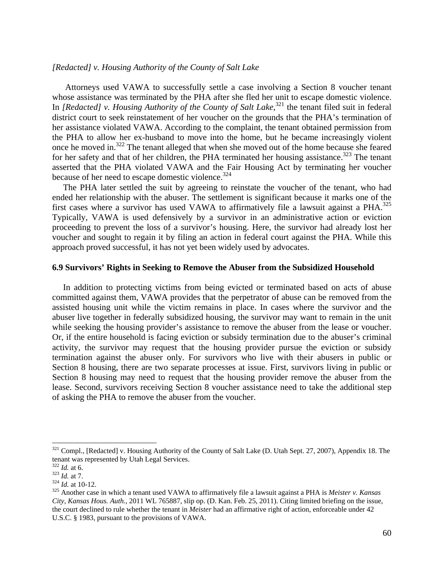## *[Redacted] v. Housing Authority of the County of Salt Lake*

 Attorneys used VAWA to successfully settle a case involving a Section 8 voucher tenant whose assistance was terminated by the PHA after she fled her unit to escape domestic violence. In *[Redacted]* v. Housing Authority of the County of Salt Lake,<sup>321</sup> the tenant filed suit in federal district court to seek reinstatement of her voucher on the grounds that the PHA's termination of her assistance violated VAWA. According to the complaint, the tenant obtained permission from the PHA to allow her ex-husband to move into the home, but he became increasingly violent once he moved in.<sup>322</sup> The tenant alleged that when she moved out of the home because she feared for her safety and that of her children, the PHA terminated her housing assistance.<sup>323</sup> The tenant asserted that the PHA violated VAWA and the Fair Housing Act by terminating her voucher because of her need to escape domestic violence.<sup>324</sup>

 The PHA later settled the suit by agreeing to reinstate the voucher of the tenant, who had ended her relationship with the abuser. The settlement is significant because it marks one of the first cases where a survivor has used VAWA to affirmatively file a lawsuit against a PHA.<sup>325</sup> Typically, VAWA is used defensively by a survivor in an administrative action or eviction proceeding to prevent the loss of a survivor's housing. Here, the survivor had already lost her voucher and sought to regain it by filing an action in federal court against the PHA. While this approach proved successful, it has not yet been widely used by advocates.

#### **6.9 Survivors' Rights in Seeking to Remove the Abuser from the Subsidized Household**

 In addition to protecting victims from being evicted or terminated based on acts of abuse committed against them, VAWA provides that the perpetrator of abuse can be removed from the assisted housing unit while the victim remains in place. In cases where the survivor and the abuser live together in federally subsidized housing, the survivor may want to remain in the unit while seeking the housing provider's assistance to remove the abuser from the lease or voucher. Or, if the entire household is facing eviction or subsidy termination due to the abuser's criminal activity, the survivor may request that the housing provider pursue the eviction or subsidy termination against the abuser only. For survivors who live with their abusers in public or Section 8 housing, there are two separate processes at issue. First, survivors living in public or Section 8 housing may need to request that the housing provider remove the abuser from the lease. Second, survivors receiving Section 8 voucher assistance need to take the additional step of asking the PHA to remove the abuser from the voucher.

<sup>&</sup>lt;sup>321</sup> Compl., [Redacted] v. Housing Authority of the County of Salt Lake (D. Utah Sept. 27, 2007), Appendix 18. The tenant was represented by Utah Legal Services.<br> $\frac{322}{1}$  *Id.* at 6.<br> $\frac{323}{1}$  *Id.* at 7.

<sup>&</sup>lt;sup>324</sup> *Id.* at 10-12.<br><sup>325</sup> Another case in which a tenant used VAWA to affirmatively file a lawsuit against a PHA is *Meister v. Kansas City, Kansas Hous. Auth.*, 2011 WL 765887, slip op. (D. Kan. Feb. 25, 2011). Citing limited briefing on the issue, the court declined to rule whether the tenant in *Meister* had an affirmative right of action, enforceable under 42 U.S.C. § 1983, pursuant to the provisions of VAWA.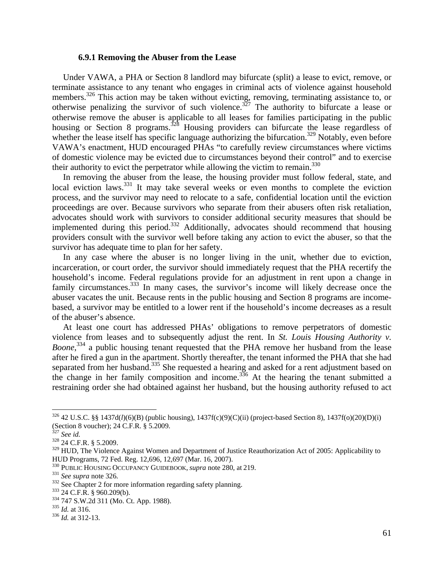#### **6.9.1 Removing the Abuser from the Lease**

 Under VAWA, a PHA or Section 8 landlord may bifurcate (split) a lease to evict, remove, or terminate assistance to any tenant who engages in criminal acts of violence against household members.<sup>326</sup> This action may be taken without evicting, removing, terminating assistance to, or otherwise penalizing the survivor of such violence.<sup>327</sup> The authority to bifurcate a lease or otherwise remove the abuser is applicable to all leases for families participating in the public housing or Section 8 programs.<sup>328</sup> Housing providers can bifurcate the lease regardless of whether the lease itself has specific language authorizing the bifurcation.<sup>329</sup> Notably, even before VAWA's enactment, HUD encouraged PHAs "to carefully review circumstances where victims of domestic violence may be evicted due to circumstances beyond their control" and to exercise their authority to evict the perpetrator while allowing the victim to remain.<sup>330</sup>

 In removing the abuser from the lease, the housing provider must follow federal, state, and local eviction laws.<sup>331</sup> It may take several weeks or even months to complete the eviction process, and the survivor may need to relocate to a safe, confidential location until the eviction proceedings are over. Because survivors who separate from their abusers often risk retaliation, advocates should work with survivors to consider additional security measures that should be implemented during this period.<sup>332</sup> Additionally, advocates should recommend that housing providers consult with the survivor well before taking any action to evict the abuser, so that the survivor has adequate time to plan for her safety.

 In any case where the abuser is no longer living in the unit, whether due to eviction, incarceration, or court order, the survivor should immediately request that the PHA recertify the household's income. Federal regulations provide for an adjustment in rent upon a change in family circumstances.<sup>333</sup> In many cases, the survivor's income will likely decrease once the abuser vacates the unit. Because rents in the public housing and Section 8 programs are incomebased, a survivor may be entitled to a lower rent if the household's income decreases as a result of the abuser's absence.

 At least one court has addressed PHAs' obligations to remove perpetrators of domestic violence from leases and to subsequently adjust the rent. In *St. Louis Housing Authority v.*  Boone,<sup>334</sup> a public housing tenant requested that the PHA remove her husband from the lease after he fired a gun in the apartment. Shortly thereafter, the tenant informed the PHA that she had separated from her husband.<sup>335</sup> She requested a hearing and asked for a rent adjustment based on the change in her family composition and income.<sup>336</sup> At the hearing the tenant submitted a restraining order she had obtained against her husband, but the housing authority refused to act

<sup>326 42</sup> U.S.C. §§ 1437d(*l*)(6)(B) (public housing), 1437f(c)(9)(C)(ii) (project-based Section 8), 1437f(o)(20)(D)(i) (Section 8 voucher); 24 C.F.R.  $\frac{8}{3}$  5.2009.<br><sup>327</sup> See id.

<sup>&</sup>lt;sup>328</sup> 24 C.F.R. § 5.2009.

<sup>&</sup>lt;sup>329</sup> HUD, The Violence Against Women and Department of Justice Reauthorization Act of 2005: Applicability to HUD Programs, 72 Fed. Reg. 12,696, 12,697 (Mar. 16, 2007).

<sup>&</sup>lt;sup>330</sup> PUBLIC HOUSING OCCUPANCY GUIDEBOOK, *supra* note 280, at 219.<br><sup>331</sup> See supra note 326.<br><sup>332</sup> See Chapter 2 for more information regarding safety planning.<br><sup>333</sup> 24 C.F.R. § 960.209(b).<br><sup>334</sup> 747 S.W.2d 311 (Mo. Ct.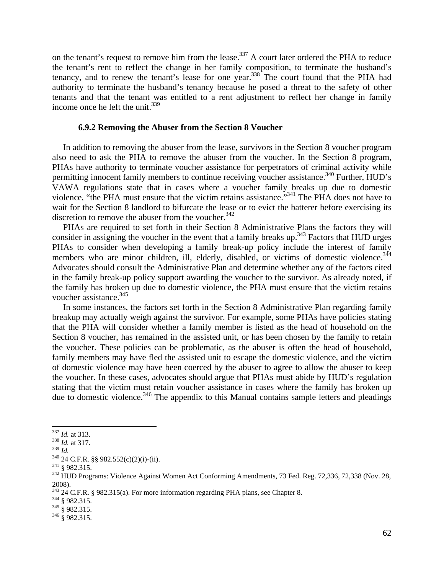on the tenant's request to remove him from the lease.<sup>337</sup> A court later ordered the PHA to reduce the tenant's rent to reflect the change in her family composition, to terminate the husband's tenancy, and to renew the tenant's lease for one year.<sup>338</sup> The court found that the PHA had authority to terminate the husband's tenancy because he posed a threat to the safety of other tenants and that the tenant was entitled to a rent adjustment to reflect her change in family income once he left the unit.  $339$ 

## **6.9.2 Removing the Abuser from the Section 8 Voucher**

 In addition to removing the abuser from the lease, survivors in the Section 8 voucher program also need to ask the PHA to remove the abuser from the voucher. In the Section 8 program, PHAs have authority to terminate voucher assistance for perpetrators of criminal activity while permitting innocent family members to continue receiving voucher assistance.<sup>340</sup> Further, HUD's VAWA regulations state that in cases where a voucher family breaks up due to domestic violence, "the PHA must ensure that the victim retains assistance."341 The PHA does not have to wait for the Section 8 landlord to bifurcate the lease or to evict the batterer before exercising its discretion to remove the abuser from the voucher. $342$ 

 PHAs are required to set forth in their Section 8 Administrative Plans the factors they will consider in assigning the voucher in the event that a family breaks up. $343$  Factors that HUD urges PHAs to consider when developing a family break-up policy include the interest of family members who are minor children, ill, elderly, disabled, or victims of domestic violence.<sup>344</sup> Advocates should consult the Administrative Plan and determine whether any of the factors cited in the family break-up policy support awarding the voucher to the survivor. As already noted, if the family has broken up due to domestic violence, the PHA must ensure that the victim retains voucher assistance. $345$ 

 In some instances, the factors set forth in the Section 8 Administrative Plan regarding family breakup may actually weigh against the survivor. For example, some PHAs have policies stating that the PHA will consider whether a family member is listed as the head of household on the Section 8 voucher, has remained in the assisted unit, or has been chosen by the family to retain the voucher. These policies can be problematic, as the abuser is often the head of household, family members may have fled the assisted unit to escape the domestic violence, and the victim of domestic violence may have been coerced by the abuser to agree to allow the abuser to keep the voucher. In these cases, advocates should argue that PHAs must abide by HUD's regulation stating that the victim must retain voucher assistance in cases where the family has broken up due to domestic violence.<sup>346</sup> The appendix to this Manual contains sample letters and pleadings

<sup>&</sup>lt;sup>337</sup> *Id.* at 313.<br><sup>338</sup> *Id.* at 317.<br><sup>339</sup> *Id.* 

<sup>&</sup>lt;sup>340</sup> 24 C.F.R. §§ 982.552(c)(2)(i)-(ii).<br><sup>341</sup> § 982.315.<br><sup>342</sup> HUD Programs: Violence Against Women Act Conforming Amendments, 73 Fed. Reg. 72,336, 72,338 (Nov. 28, 2008).

<sup>2000).&</sup>lt;br>343 24 C.F.R. § 982.315(a). For more information regarding PHA plans, see Chapter 8.<br>344 § 982.315.<br>346 § 982.315.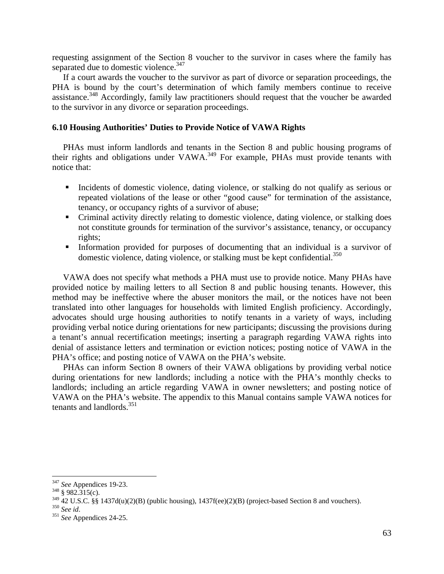requesting assignment of the Section 8 voucher to the survivor in cases where the family has separated due to domestic violence.<sup>347</sup>

 If a court awards the voucher to the survivor as part of divorce or separation proceedings, the PHA is bound by the court's determination of which family members continue to receive assistance.<sup>348</sup> Accordingly, family law practitioners should request that the voucher be awarded to the survivor in any divorce or separation proceedings.

#### **6.10 Housing Authorities' Duties to Provide Notice of VAWA Rights**

 PHAs must inform landlords and tenants in the Section 8 and public housing programs of their rights and obligations under VAWA.<sup>349</sup> For example, PHAs must provide tenants with notice that:

- Incidents of domestic violence, dating violence, or stalking do not qualify as serious or repeated violations of the lease or other "good cause" for termination of the assistance, tenancy, or occupancy rights of a survivor of abuse;
- Criminal activity directly relating to domestic violence, dating violence, or stalking does not constitute grounds for termination of the survivor's assistance, tenancy, or occupancy rights;
- Information provided for purposes of documenting that an individual is a survivor of domestic violence, dating violence, or stalking must be kept confidential.<sup>350</sup>

 VAWA does not specify what methods a PHA must use to provide notice. Many PHAs have provided notice by mailing letters to all Section 8 and public housing tenants. However, this method may be ineffective where the abuser monitors the mail, or the notices have not been translated into other languages for households with limited English proficiency. Accordingly, advocates should urge housing authorities to notify tenants in a variety of ways, including providing verbal notice during orientations for new participants; discussing the provisions during a tenant's annual recertification meetings; inserting a paragraph regarding VAWA rights into denial of assistance letters and termination or eviction notices; posting notice of VAWA in the PHA's office; and posting notice of VAWA on the PHA's website.

 PHAs can inform Section 8 owners of their VAWA obligations by providing verbal notice during orientations for new landlords; including a notice with the PHA's monthly checks to landlords; including an article regarding VAWA in owner newsletters; and posting notice of VAWA on the PHA's website. The appendix to this Manual contains sample VAWA notices for tenants and landlords.<sup>351</sup>

<sup>347</sup> *See* Appendices 19-23. 348 § 982.315(c).

<sup>349 42</sup> U.S.C. §§ 1437d(u)(2)(B) (public housing), 1437f(ee)(2)(B) (project-based Section 8 and vouchers). 350 *See id*. 351 *See* Appendices 24-25.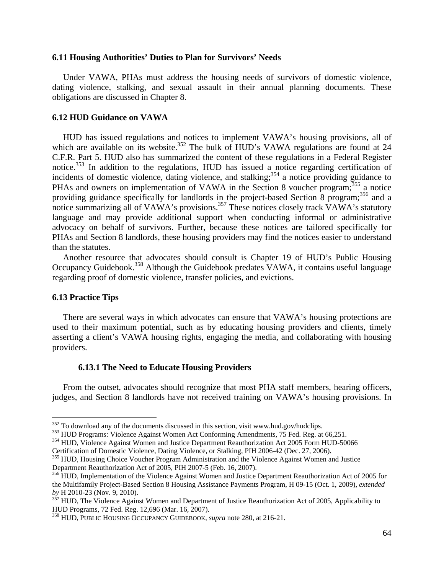#### **6.11 Housing Authorities' Duties to Plan for Survivors' Needs**

 Under VAWA, PHAs must address the housing needs of survivors of domestic violence, dating violence, stalking, and sexual assault in their annual planning documents. These obligations are discussed in Chapter 8.

#### **6.12 HUD Guidance on VAWA**

 HUD has issued regulations and notices to implement VAWA's housing provisions, all of which are available on its website.<sup>352</sup> The bulk of HUD's VAWA regulations are found at 24 C.F.R. Part 5. HUD also has summarized the content of these regulations in a Federal Register notice.<sup>353</sup> In addition to the regulations, HUD has issued a notice regarding certification of incidents of domestic violence, dating violence, and stalking;<sup>354</sup> a notice providing guidance to PHAs and owners on implementation of VAWA in the Section 8 voucher program;<sup>355</sup> a notice providing guidance specifically for landlords in the project-based Section 8 program;<sup>356</sup> and a notice summarizing all of VAWA's provisions.<sup>357</sup> These notices closely track VAWA's statutory language and may provide additional support when conducting informal or administrative advocacy on behalf of survivors. Further, because these notices are tailored specifically for PHAs and Section 8 landlords, these housing providers may find the notices easier to understand than the statutes.

 Another resource that advocates should consult is Chapter 19 of HUD's Public Housing Occupancy Guidebook.<sup>358</sup> Although the Guidebook predates VAWA, it contains useful language regarding proof of domestic violence, transfer policies, and evictions.

### **6.13 Practice Tips**

 There are several ways in which advocates can ensure that VAWA's housing protections are used to their maximum potential, such as by educating housing providers and clients, timely asserting a client's VAWA housing rights, engaging the media, and collaborating with housing providers.

#### **6.13.1 The Need to Educate Housing Providers**

 From the outset, advocates should recognize that most PHA staff members, hearing officers, judges, and Section 8 landlords have not received training on VAWA's housing provisions. In

<sup>352</sup> To download any of the documents discussed in this section, visit www.hud.gov/hudclips.

<sup>&</sup>lt;sup>353</sup> HUD Programs: Violence Against Women Act Conforming Amendments, 75 Fed. Reg. at 66,251.<br><sup>354</sup> HUD, Violence Against Women and Justice Department Reauthorization Act 2005 Form HUD-50066

Certification of Domestic Violence, Dating Violence, or Stalking, PIH 2006-42 (Dec. 27, 2006). 355 HUD, Housing Choice Voucher Program Administration and the Violence Against Women and Justice

Department Reauthorization Act of 2005, PIH 2007-5 (Feb. 16, 2007).

<sup>&</sup>lt;sup>356</sup> HUD, Implementation of the Violence Against Women and Justice Department Reauthorization Act of 2005 for the Multifamily Project-Based Section 8 Housing Assistance Payments Program, H 09-15 (Oct. 1, 2009), *extended* 

<sup>&</sup>lt;sup>357</sup> HUD, The Violence Against Women and Department of Justice Reauthorization Act of 2005, Applicability to HUD Programs, 72 Fed. Reg. 12,696 (Mar. 16, 2007).

<sup>358</sup> HUD, PUBLIC HOUSING OCCUPANCY GUIDEBOOK, *supra* note 280, at 216-21.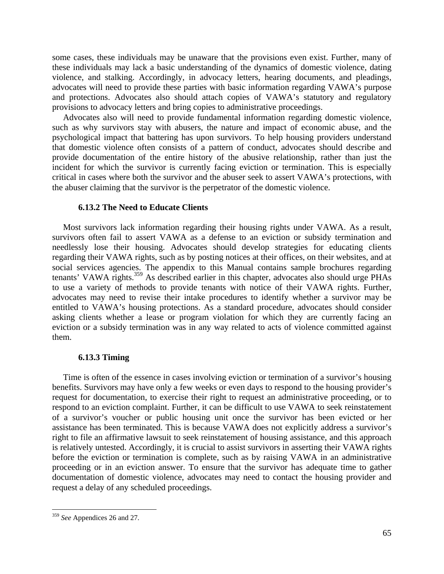some cases, these individuals may be unaware that the provisions even exist. Further, many of these individuals may lack a basic understanding of the dynamics of domestic violence, dating violence, and stalking. Accordingly, in advocacy letters, hearing documents, and pleadings, advocates will need to provide these parties with basic information regarding VAWA's purpose and protections. Advocates also should attach copies of VAWA's statutory and regulatory provisions to advocacy letters and bring copies to administrative proceedings.

 Advocates also will need to provide fundamental information regarding domestic violence, such as why survivors stay with abusers, the nature and impact of economic abuse, and the psychological impact that battering has upon survivors. To help housing providers understand that domestic violence often consists of a pattern of conduct, advocates should describe and provide documentation of the entire history of the abusive relationship, rather than just the incident for which the survivor is currently facing eviction or termination. This is especially critical in cases where both the survivor and the abuser seek to assert VAWA's protections, with the abuser claiming that the survivor is the perpetrator of the domestic violence.

## **6.13.2 The Need to Educate Clients**

 Most survivors lack information regarding their housing rights under VAWA. As a result, survivors often fail to assert VAWA as a defense to an eviction or subsidy termination and needlessly lose their housing. Advocates should develop strategies for educating clients regarding their VAWA rights, such as by posting notices at their offices, on their websites, and at social services agencies. The appendix to this Manual contains sample brochures regarding tenants' VAWA rights.<sup>359</sup> As described earlier in this chapter, advocates also should urge PHAs to use a variety of methods to provide tenants with notice of their VAWA rights. Further, advocates may need to revise their intake procedures to identify whether a survivor may be entitled to VAWA's housing protections. As a standard procedure, advocates should consider asking clients whether a lease or program violation for which they are currently facing an eviction or a subsidy termination was in any way related to acts of violence committed against them.

#### **6.13.3 Timing**

 Time is often of the essence in cases involving eviction or termination of a survivor's housing benefits. Survivors may have only a few weeks or even days to respond to the housing provider's request for documentation, to exercise their right to request an administrative proceeding, or to respond to an eviction complaint. Further, it can be difficult to use VAWA to seek reinstatement of a survivor's voucher or public housing unit once the survivor has been evicted or her assistance has been terminated. This is because VAWA does not explicitly address a survivor's right to file an affirmative lawsuit to seek reinstatement of housing assistance, and this approach is relatively untested. Accordingly, it is crucial to assist survivors in asserting their VAWA rights before the eviction or termination is complete, such as by raising VAWA in an administrative proceeding or in an eviction answer. To ensure that the survivor has adequate time to gather documentation of domestic violence, advocates may need to contact the housing provider and request a delay of any scheduled proceedings.

<sup>359</sup> *See* Appendices 26 and 27.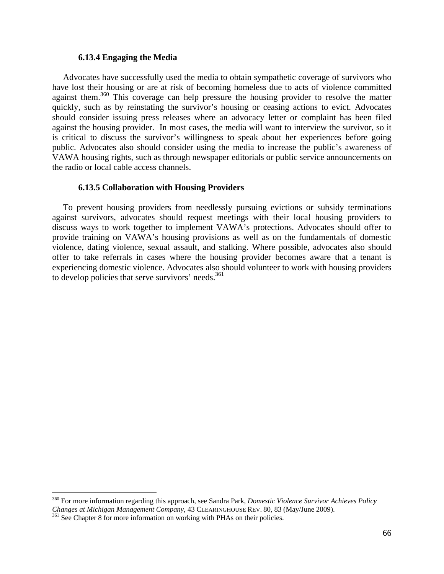## **6.13.4 Engaging the Media**

 Advocates have successfully used the media to obtain sympathetic coverage of survivors who have lost their housing or are at risk of becoming homeless due to acts of violence committed against them.<sup>360</sup> This coverage can help pressure the housing provider to resolve the matter quickly, such as by reinstating the survivor's housing or ceasing actions to evict. Advocates should consider issuing press releases where an advocacy letter or complaint has been filed against the housing provider. In most cases, the media will want to interview the survivor, so it is critical to discuss the survivor's willingness to speak about her experiences before going public. Advocates also should consider using the media to increase the public's awareness of VAWA housing rights, such as through newspaper editorials or public service announcements on the radio or local cable access channels.

## **6.13.5 Collaboration with Housing Providers**

 To prevent housing providers from needlessly pursuing evictions or subsidy terminations against survivors, advocates should request meetings with their local housing providers to discuss ways to work together to implement VAWA's protections. Advocates should offer to provide training on VAWA's housing provisions as well as on the fundamentals of domestic violence, dating violence, sexual assault, and stalking. Where possible, advocates also should offer to take referrals in cases where the housing provider becomes aware that a tenant is experiencing domestic violence. Advocates also should volunteer to work with housing providers to develop policies that serve survivors' needs.<sup>361</sup>

<sup>360</sup> For more information regarding this approach, see Sandra Park, *Domestic Violence Survivor Achieves Policy Changes at Michigan Management Company*, 43 CLEARINGHOUSE REV. 80, 83 (May/June 2009). <sup>361</sup> See Chapter 8 for more information on working with PHAs on their policies.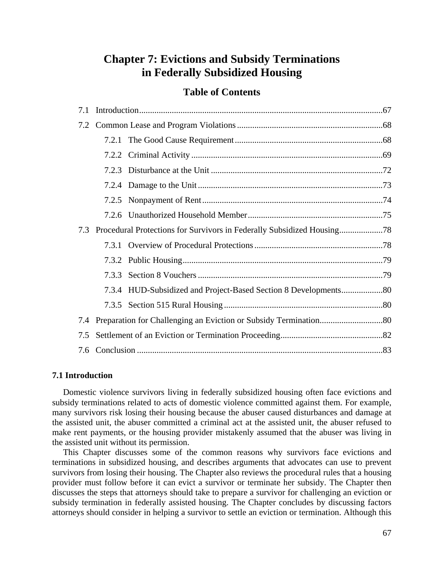# **Chapter 7: Evictions and Subsidy Terminations in Federally Subsidized Housing**

# **Table of Contents**

| 7.1 |       |  |  |  |  |
|-----|-------|--|--|--|--|
|     |       |  |  |  |  |
|     |       |  |  |  |  |
|     |       |  |  |  |  |
|     |       |  |  |  |  |
|     |       |  |  |  |  |
|     |       |  |  |  |  |
|     |       |  |  |  |  |
| 7.3 |       |  |  |  |  |
|     |       |  |  |  |  |
|     |       |  |  |  |  |
|     | 7.3.3 |  |  |  |  |
|     |       |  |  |  |  |
|     |       |  |  |  |  |
|     |       |  |  |  |  |
| 7.5 |       |  |  |  |  |
|     |       |  |  |  |  |

## **7.1 Introduction**

 Domestic violence survivors living in federally subsidized housing often face evictions and subsidy terminations related to acts of domestic violence committed against them. For example, many survivors risk losing their housing because the abuser caused disturbances and damage at the assisted unit, the abuser committed a criminal act at the assisted unit, the abuser refused to make rent payments, or the housing provider mistakenly assumed that the abuser was living in the assisted unit without its permission.

 This Chapter discusses some of the common reasons why survivors face evictions and terminations in subsidized housing, and describes arguments that advocates can use to prevent survivors from losing their housing. The Chapter also reviews the procedural rules that a housing provider must follow before it can evict a survivor or terminate her subsidy. The Chapter then discusses the steps that attorneys should take to prepare a survivor for challenging an eviction or subsidy termination in federally assisted housing. The Chapter concludes by discussing factors attorneys should consider in helping a survivor to settle an eviction or termination. Although this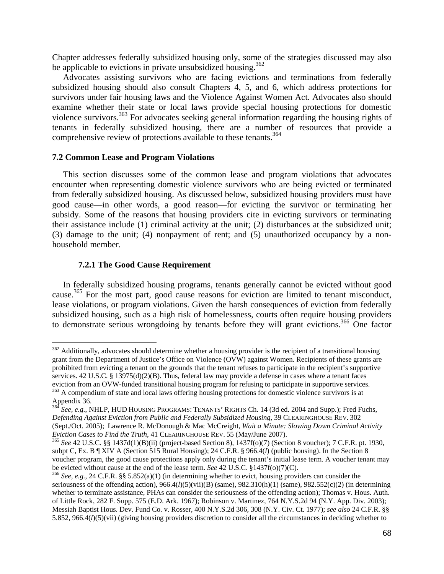Chapter addresses federally subsidized housing only, some of the strategies discussed may also be applicable to evictions in private unsubsidized housing.<sup>362</sup>

 Advocates assisting survivors who are facing evictions and terminations from federally subsidized housing should also consult Chapters 4, 5, and 6, which address protections for survivors under fair housing laws and the Violence Against Women Act. Advocates also should examine whether their state or local laws provide special housing protections for domestic violence survivors.<sup>363</sup> For advocates seeking general information regarding the housing rights of tenants in federally subsidized housing, there are a number of resources that provide a comprehensive review of protections available to these tenants.<sup>364</sup>

#### **7.2 Common Lease and Program Violations**

 This section discusses some of the common lease and program violations that advocates encounter when representing domestic violence survivors who are being evicted or terminated from federally subsidized housing. As discussed below, subsidized housing providers must have good cause—in other words, a good reason—for evicting the survivor or terminating her subsidy. Some of the reasons that housing providers cite in evicting survivors or terminating their assistance include (1) criminal activity at the unit; (2) disturbances at the subsidized unit; (3) damage to the unit; (4) nonpayment of rent; and (5) unauthorized occupancy by a nonhousehold member.

#### **7.2.1 The Good Cause Requirement**

 In federally subsidized housing programs, tenants generally cannot be evicted without good cause.<sup>365</sup> For the most part, good cause reasons for eviction are limited to tenant misconduct, lease violations, or program violations. Given the harsh consequences of eviction from federally subsidized housing, such as a high risk of homelessness, courts often require housing providers to demonstrate serious wrongdoing by tenants before they will grant evictions.<sup>366</sup> One factor

 $362$  Additionally, advocates should determine whether a housing provider is the recipient of a transitional housing grant from the Department of Justice's Office on Violence (OVW) against Women. Recipients of these grants are prohibited from evicting a tenant on the grounds that the tenant refuses to participate in the recipient's supportive services. 42 U.S.C. § 13975(d)(2)(B). Thus, federal law may provide a defense in cases where a tenant faces eviction from an OVW-funded transitional housing program for refusing to participate in supportive services.<br><sup>363</sup> A compendium of state and local laws offering housing protections for domestic violence survivors is at Appendix 36.

<sup>364</sup> *See, e.g.*, NHLP, HUD HOUSING PROGRAMS: TENANTS' RIGHTS Ch. 14 (3d ed. 2004 and Supp.); Fred Fuchs, *Defending Against Eviction from Public and Federally Subsidized Housing*, 39 CLEARINGHOUSE REV. 302 (Sept./Oct. 2005); Lawrence R. McDonough & Mac McCreight, *Wait a Minute: Slowing Down Criminal Activity Eviction Cases to Find the Truth*, 41 CLEARINGHOUSE REV. 55 (May/June 2007).<br><sup>365</sup> *See* 42 U.S.C. §§ 1437d(1)(B)(ii) (project-based Section 8), 1437f(o)(7) (Section 8 voucher); 7 C.F.R. pt. 1930,

subpt C, Ex. B ¶ XIV A (Section 515 Rural Housing); 24 C.F.R. § 966.4(*l*) (public housing). In the Section 8 voucher program, the good cause protections apply only during the tenant's initial lease term. A voucher tenant may be evicted without cause at the end of the lease term. *See* 42 U.S.C. §1437f(o)(7)(C). <sup>366</sup> *See*, *e.g.*, 24 C.F.R. §§ 5.852(a)(1) (in determining whether to evict, housing providers can consider the

seriousness of the offending action), 966.4(*l*)(5)(vii)(B) (same), 982.310(h)(1) (same), 982.552(c)(2) (in determining whether to terminate assistance, PHAs can consider the seriousness of the offending action); Thomas v. Hous. Auth. of Little Rock, 282 F. Supp. 575 (E.D. Ark. 1967); Robinson v. Martinez, 764 N.Y.S.2d 94 (N.Y. App. Div. 2003); Messiah Baptist Hous. Dev. Fund Co. v. Rosser, 400 N.Y.S.2d 306, 308 (N.Y. Civ. Ct. 1977); *see also* 24 C.F.R. §§ 5.852, 966.4(*l*)(5)(vii) (giving housing providers discretion to consider all the circumstances in deciding whether to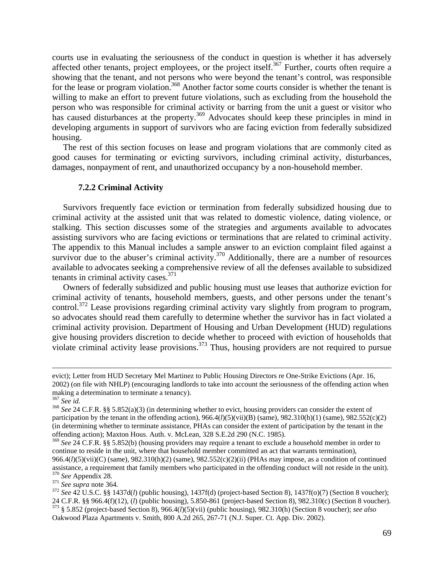courts use in evaluating the seriousness of the conduct in question is whether it has adversely affected other tenants, project employees, or the project itself.<sup>367</sup> Further, courts often require a showing that the tenant, and not persons who were beyond the tenant's control, was responsible for the lease or program violation.<sup>368</sup> Another factor some courts consider is whether the tenant is willing to make an effort to prevent future violations, such as excluding from the household the person who was responsible for criminal activity or barring from the unit a guest or visitor who has caused disturbances at the property.<sup>369</sup> Advocates should keep these principles in mind in developing arguments in support of survivors who are facing eviction from federally subsidized housing.

 The rest of this section focuses on lease and program violations that are commonly cited as good causes for terminating or evicting survivors, including criminal activity, disturbances, damages, nonpayment of rent, and unauthorized occupancy by a non-household member.

#### **7.2.2 Criminal Activity**

 Survivors frequently face eviction or termination from federally subsidized housing due to criminal activity at the assisted unit that was related to domestic violence, dating violence, or stalking. This section discusses some of the strategies and arguments available to advocates assisting survivors who are facing evictions or terminations that are related to criminal activity. The appendix to this Manual includes a sample answer to an eviction complaint filed against a survivor due to the abuser's criminal activity.<sup>370</sup> Additionally, there are a number of resources available to advocates seeking a comprehensive review of all the defenses available to subsidized tenants in criminal activity cases. $371$ 

 Owners of federally subsidized and public housing must use leases that authorize eviction for criminal activity of tenants, household members, guests, and other persons under the tenant's control.<sup>372</sup> Lease provisions regarding criminal activity vary slightly from program to program, so advocates should read them carefully to determine whether the survivor has in fact violated a criminal activity provision. Department of Housing and Urban Development (HUD) regulations give housing providers discretion to decide whether to proceed with eviction of households that violate criminal activity lease provisions.<sup>373</sup> Thus, housing providers are not required to pursue

<u> 1989 - Johann Stein, marwolaethau a gweledydd a ganlad y ganlad y ganlad y ganlad y ganlad y ganlad y ganlad</u>

evict); Letter from HUD Secretary Mel Martinez to Public Housing Directors re One-Strike Evictions (Apr. 16, 2002) (on file with NHLP) (encouraging landlords to take into account the seriousness of the offending action when making a determination to terminate a tenancy).  $367 \text{ See } id$ .

<sup>&</sup>lt;sup>368</sup> See 24 C.F.R. §§ 5.852(a)(3) (in determining whether to evict, housing providers can consider the extent of participation by the tenant in the offending action),  $966.4(l)(5)(vii)(B)$  (same),  $982.310(h)(1)$  (same),  $982.552(c)(2)$ (in determining whether to terminate assistance, PHAs can consider the extent of participation by the tenant in the offending action); Maxton Hous. Auth. v. McLean, 328 S.E.2d 290 (N.C. 1985).

<sup>369</sup> *See* 24 C.F.R. §§ 5.852(b) (housing providers may require a tenant to exclude a household member in order to continue to reside in the unit, where that household member committed an act that warrants termination), 966.4(*l*)(5)(vii)(C) (same), 982.310(h)(2) (same), 982.552(c)(2)(ii) (PHAs may impose, as a condition of continued assistance, a requirement that family members who participated in the offending conduct will not reside in <sup>370</sup> See Appendix 28.<br><sup>371</sup> See supra note 364.<br><sup>372</sup> See 42 U.S.C. §§ 1437d(*l*) (public housing), 1437f(d) (project-based Section 8), 1437f(o)(7) (Section 8 voucher);

<sup>24</sup> C.F.R. §§ 966.4(f)(12), (l) (public housing), 5.850-861 (project-based Section 8), 982.310(c) (Section 8 voucher).<br><sup>373</sup> § 5.852 (project-based Section 8), 966.4(l)(5)(vii) (public housing), 982.310(h) (Section 8 vouche Oakwood Plaza Apartments v. Smith, 800 A.2d 265, 267-71 (N.J. Super. Ct. App. Div. 2002).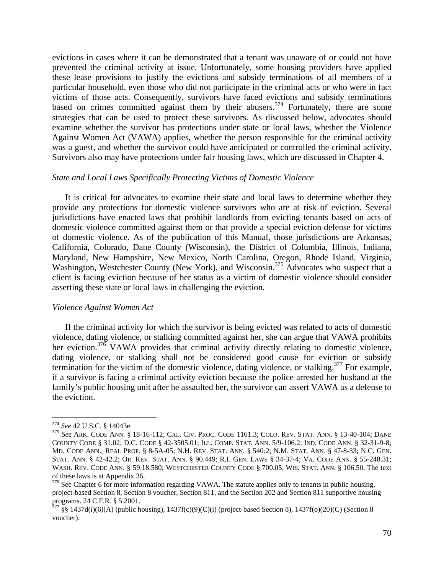evictions in cases where it can be demonstrated that a tenant was unaware of or could not have prevented the criminal activity at issue. Unfortunately, some housing providers have applied these lease provisions to justify the evictions and subsidy terminations of all members of a particular household, even those who did not participate in the criminal acts or who were in fact victims of those acts. Consequently, survivors have faced evictions and subsidy terminations based on crimes committed against them by their abusers.<sup>374</sup> Fortunately, there are some strategies that can be used to protect these survivors. As discussed below, advocates should examine whether the survivor has protections under state or local laws, whether the Violence Against Women Act (VAWA) applies, whether the person responsible for the criminal activity was a guest, and whether the survivor could have anticipated or controlled the criminal activity. Survivors also may have protections under fair housing laws, which are discussed in Chapter 4.

#### *State and Local Laws Specifically Protecting Victims of Domestic Violence*

It is critical for advocates to examine their state and local laws to determine whether they provide any protections for domestic violence survivors who are at risk of eviction. Several jurisdictions have enacted laws that prohibit landlords from evicting tenants based on acts of domestic violence committed against them or that provide a special eviction defense for victims of domestic violence. As of the publication of this Manual, those jurisdictions are Arkansas, California, Colorado, Dane County (Wisconsin), the District of Columbia, Illinois, Indiana, Maryland, New Hampshire, New Mexico, North Carolina, Oregon, Rhode Island, Virginia, Washington, Westchester County (New York), and Wisconsin.<sup>375</sup> Advocates who suspect that a client is facing eviction because of her status as a victim of domestic violence should consider asserting these state or local laws in challenging the eviction.

#### *Violence Against Women Act*

 If the criminal activity for which the survivor is being evicted was related to acts of domestic violence, dating violence, or stalking committed against her, she can argue that VAWA prohibits her eviction.<sup>376</sup> VAWA provides that criminal activity directly relating to domestic violence, dating violence, or stalking shall not be considered good cause for eviction or subsidy termination for the victim of the domestic violence, dating violence, or stalking.<sup>377</sup> For example, if a survivor is facing a criminal activity eviction because the police arrested her husband at the family's public housing unit after he assaulted her, the survivor can assert VAWA as a defense to the eviction.

<sup>&</sup>lt;sup>374</sup> See 42 U.S.C. § 14043e.<br><sup>375</sup> See ARK. CODE ANN. § 18-16-112; CAL. CIV. PROC. CODE 1161.3; COLO. REV. STAT. ANN. § 13-40-104; DANE COUNTY CODE § 31.02; D.C. CODE § 42-3505.01; ILL. COMP. STAT. ANN. 5/9-106.2; IND. CODE ANN. § 32-31-9-8; MD. CODE ANN., REAL PROP. § 8-5A-05; N.H. REV. STAT. ANN. § 540:2; N.M. STAT. ANN. § 47-8-33; N.C. GEN. STAT. ANN. § 42-42.2; OR. REV. STAT. ANN. § 90.449; R.I. GEN. LAWS § 34-37-4; VA. CODE ANN. § 55-248.31; WASH. REV. CODE ANN. § 59.18.580; WESTCHESTER COUNTY CODE § 700.05; WIS. STAT. ANN. § 106.50. The text of these laws is at Appendix 36.

<sup>&</sup>lt;sup>376</sup> See Chapter 6 for more information regarding VAWA. The statute applies only to tenants in public housing, project-based Section 8, Section 8 voucher, Section 811, and the Section 202 and Section 811 supportive housing programs. 24 C.F.R. § 5.2001.

 $377 \frac{\text{S}}{\text{S}}$  1437d(*l*)(6)(A) (public housing), 1437f(c)(9)(C)(i) (project-based Section 8), 1437f(o)(20)(C) (Section 8 voucher).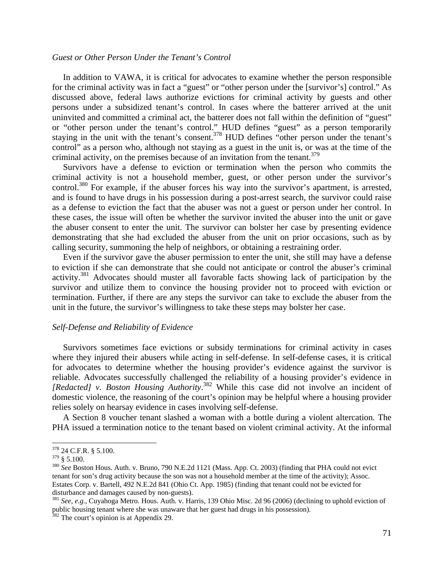#### *Guest or Other Person Under the Tenant's Control*

 In addition to VAWA, it is critical for advocates to examine whether the person responsible for the criminal activity was in fact a "guest" or "other person under the [survivor's] control." As discussed above, federal laws authorize evictions for criminal activity by guests and other persons under a subsidized tenant's control. In cases where the batterer arrived at the unit uninvited and committed a criminal act, the batterer does not fall within the definition of "guest" or "other person under the tenant's control." HUD defines "guest" as a person temporarily staying in the unit with the tenant's consent.<sup>378</sup> HUD defines "other person under the tenant's control" as a person who, although not staying as a guest in the unit is, or was at the time of the criminal activity, on the premises because of an invitation from the tenant.<sup>379</sup>

 Survivors have a defense to eviction or termination when the person who commits the criminal activity is not a household member, guest, or other person under the survivor's control.<sup>380</sup> For example, if the abuser forces his way into the survivor's apartment, is arrested, and is found to have drugs in his possession during a post-arrest search, the survivor could raise as a defense to eviction the fact that the abuser was not a guest or person under her control. In these cases, the issue will often be whether the survivor invited the abuser into the unit or gave the abuser consent to enter the unit. The survivor can bolster her case by presenting evidence demonstrating that she had excluded the abuser from the unit on prior occasions, such as by calling security, summoning the help of neighbors, or obtaining a restraining order.

 Even if the survivor gave the abuser permission to enter the unit, she still may have a defense to eviction if she can demonstrate that she could not anticipate or control the abuser's criminal activity.381 Advocates should muster all favorable facts showing lack of participation by the survivor and utilize them to convince the housing provider not to proceed with eviction or termination. Further, if there are any steps the survivor can take to exclude the abuser from the unit in the future, the survivor's willingness to take these steps may bolster her case.

#### *Self-Defense and Reliability of Evidence*

 Survivors sometimes face evictions or subsidy terminations for criminal activity in cases where they injured their abusers while acting in self-defense. In self-defense cases, it is critical for advocates to determine whether the housing provider's evidence against the survivor is reliable. Advocates successfully challenged the reliability of a housing provider's evidence in *[Redacted] v. Boston Housing Authority*. 382 While this case did not involve an incident of domestic violence, the reasoning of the court's opinion may be helpful where a housing provider relies solely on hearsay evidence in cases involving self-defense.

 A Section 8 voucher tenant slashed a woman with a bottle during a violent altercation. The PHA issued a termination notice to the tenant based on violent criminal activity. At the informal

 $378$  24 C.F.R. § 5.100.

<sup>379 § 5.100. 380</sup> *See* Boston Hous. Auth. v. Bruno, 790 N.E.2d 1121 (Mass. App. Ct. 2003) (finding that PHA could not evict tenant for son's drug activity because the son was not a household member at the time of the activity); Assoc. Estates Corp. v. Bartell, 492 N.E.2d 841 (Ohio Ct. App. 1985) (finding that tenant could not be evicted for disturbance and damages caused by non-guests).

<sup>381</sup> *See, e.g.*, Cuyahoga Metro. Hous. Auth. v. Harris, 139 Ohio Misc. 2d 96 (2006) (declining to uphold eviction of public housing tenant where she was unaware that her guest had drugs in his possession).

 $382$  The court's opinion is at Appendix 29.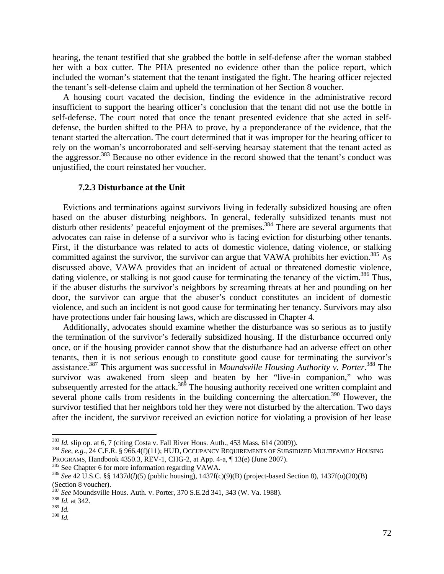hearing, the tenant testified that she grabbed the bottle in self-defense after the woman stabbed her with a box cutter. The PHA presented no evidence other than the police report, which included the woman's statement that the tenant instigated the fight. The hearing officer rejected the tenant's self-defense claim and upheld the termination of her Section 8 voucher.

 A housing court vacated the decision, finding the evidence in the administrative record insufficient to support the hearing officer's conclusion that the tenant did not use the bottle in self-defense. The court noted that once the tenant presented evidence that she acted in selfdefense, the burden shifted to the PHA to prove, by a preponderance of the evidence, that the tenant started the altercation. The court determined that it was improper for the hearing officer to rely on the woman's uncorroborated and self-serving hearsay statement that the tenant acted as the aggressor.383 Because no other evidence in the record showed that the tenant's conduct was unjustified, the court reinstated her voucher.

#### **7.2.3 Disturbance at the Unit**

 Evictions and terminations against survivors living in federally subsidized housing are often based on the abuser disturbing neighbors. In general, federally subsidized tenants must not disturb other residents' peaceful enjoyment of the premises.<sup>384</sup> There are several arguments that advocates can raise in defense of a survivor who is facing eviction for disturbing other tenants. First, if the disturbance was related to acts of domestic violence, dating violence, or stalking committed against the survivor, the survivor can argue that VAWA prohibits her eviction.<sup>385</sup> As discussed above, VAWA provides that an incident of actual or threatened domestic violence, dating violence, or stalking is not good cause for terminating the tenancy of the victim.<sup>386</sup> Thus, if the abuser disturbs the survivor's neighbors by screaming threats at her and pounding on her door, the survivor can argue that the abuser's conduct constitutes an incident of domestic violence, and such an incident is not good cause for terminating her tenancy. Survivors may also have protections under fair housing laws, which are discussed in Chapter 4.

 Additionally, advocates should examine whether the disturbance was so serious as to justify the termination of the survivor's federally subsidized housing. If the disturbance occurred only once, or if the housing provider cannot show that the disturbance had an adverse effect on other tenants, then it is not serious enough to constitute good cause for terminating the survivor's assistance.387 This argument was successful in *Moundsville Housing Authority v. Porter*. 388 The survivor was awakened from sleep and beaten by her "live-in companion," who was subsequently arrested for the attack.<sup>389</sup> The housing authority received one written complaint and several phone calls from residents in the building concerning the altercation.<sup>390</sup> However, the survivor testified that her neighbors told her they were not disturbed by the altercation. Two days after the incident, the survivor received an eviction notice for violating a provision of her lease

<sup>&</sup>lt;sup>383</sup> *Id.* slip op. at 6, 7 (citing Costa v. Fall River Hous. Auth., 453 Mass. 614 (2009)).<br><sup>384</sup> *See, e.g.*, 24 C.F.R. § 966.4(f)(11); HUD, OCCUPANCY REQUIREMENTS OF SUBSIDIZED MULTIFAMILY HOUSING PROGRAMS, Handbook 4350.3, REV-1, CHG-2, at App. 4-a,  $\P$  13(e) (June 2007).<br><sup>385</sup> See Chapter 6 for more information regarding VAWA.<br><sup>386</sup> See 42 U.S.C. §§ 1437d(*l*)(5) (public housing), 1437f(c)(9)(B) (project-based Se

<sup>(</sup>Section 8 voucher).

<sup>&</sup>lt;sup>387</sup> *See* Moundsville Hous. Auth. v. Porter, 370 S.E.2d 341, 343 (W. Va. 1988). *Id.* at 342.

<sup>389</sup> *Id.* 390 *Id.*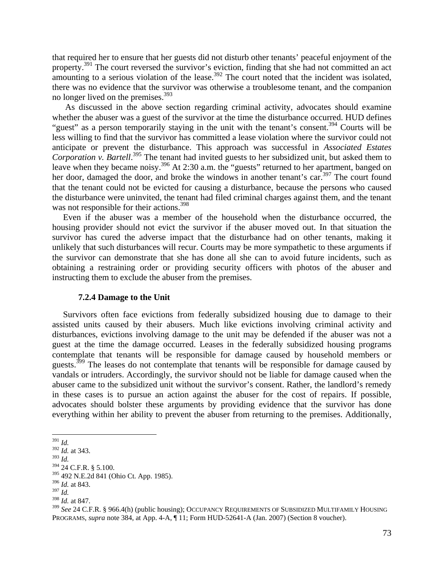that required her to ensure that her guests did not disturb other tenants' peaceful enjoyment of the property.<sup>391</sup> The court reversed the survivor's eviction, finding that she had not committed an act amounting to a serious violation of the lease.<sup>392</sup> The court noted that the incident was isolated, there was no evidence that the survivor was otherwise a troublesome tenant, and the companion no longer lived on the premises.<sup>393</sup>

 As discussed in the above section regarding criminal activity, advocates should examine whether the abuser was a guest of the survivor at the time the disturbance occurred. HUD defines "guest" as a person temporarily staying in the unit with the tenant's consent.<sup>394</sup> Courts will be less willing to find that the survivor has committed a lease violation where the survivor could not anticipate or prevent the disturbance. This approach was successful in *Associated Estates Corporation v. Bartell*. 395 The tenant had invited guests to her subsidized unit, but asked them to leave when they became noisy.<sup>396</sup> At 2:30 a.m. the "guests" returned to her apartment, banged on her door, damaged the door, and broke the windows in another tenant's car.<sup>397</sup> The court found that the tenant could not be evicted for causing a disturbance, because the persons who caused the disturbance were uninvited, the tenant had filed criminal charges against them, and the tenant was not responsible for their actions.<sup>398</sup>

 Even if the abuser was a member of the household when the disturbance occurred, the housing provider should not evict the survivor if the abuser moved out. In that situation the survivor has cured the adverse impact that the disturbance had on other tenants, making it unlikely that such disturbances will recur. Courts may be more sympathetic to these arguments if the survivor can demonstrate that she has done all she can to avoid future incidents, such as obtaining a restraining order or providing security officers with photos of the abuser and instructing them to exclude the abuser from the premises.

#### **7.2.4 Damage to the Unit**

 Survivors often face evictions from federally subsidized housing due to damage to their assisted units caused by their abusers. Much like evictions involving criminal activity and disturbances, evictions involving damage to the unit may be defended if the abuser was not a guest at the time the damage occurred. Leases in the federally subsidized housing programs contemplate that tenants will be responsible for damage caused by household members or guests.<sup>399</sup> The leases do not contemplate that tenants will be responsible for damage caused by vandals or intruders. Accordingly, the survivor should not be liable for damage caused when the abuser came to the subsidized unit without the survivor's consent. Rather, the landlord's remedy in these cases is to pursue an action against the abuser for the cost of repairs. If possible, advocates should bolster these arguments by providing evidence that the survivor has done everything within her ability to prevent the abuser from returning to the premises. Additionally,

 <sup>391</sup> *Id.* 

<sup>392</sup> *Id.* at 343.

<sup>393</sup> *Id.* 

<sup>394 24</sup> C.F.R. § 5.100.

<sup>395 492</sup> N.E.2d 841 (Ohio Ct. App. 1985).

<sup>396</sup> *Id.* at 843.

<sup>397</sup> *Id.* 

<sup>398</sup> *Id.* at 847.

<sup>399</sup> *See* 24 C.F.R. § 966.4(h) (public housing); OCCUPANCY REQUIREMENTS OF SUBSIDIZED MULTIFAMILY HOUSING PROGRAMS, *supra* note 384, at App. 4-A, ¶ 11; Form HUD-52641-A (Jan. 2007) (Section 8 voucher).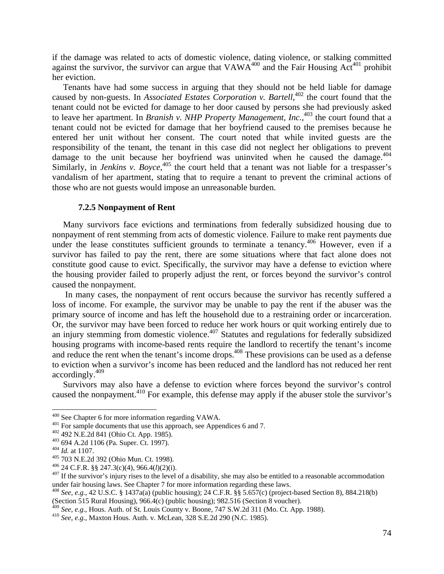if the damage was related to acts of domestic violence, dating violence, or stalking committed against the survivor, the survivor can argue that  $VAWA^{400}$  and the Fair Housing Act<sup>401</sup> prohibit her eviction.

 Tenants have had some success in arguing that they should not be held liable for damage caused by non-guests. In *Associated Estates Corporation v. Bartell*, 402 the court found that the tenant could not be evicted for damage to her door caused by persons she had previously asked to leave her apartment. In *Branish v. NHP Property Management, Inc.*,<sup>403</sup> the court found that a tenant could not be evicted for damage that her boyfriend caused to the premises because he entered her unit without her consent. The court noted that while invited guests are the responsibility of the tenant, the tenant in this case did not neglect her obligations to prevent damage to the unit because her boyfriend was uninvited when he caused the damage.<sup>404</sup> Similarly, in *Jenkins v. Boyce*,<sup>405</sup> the court held that a tenant was not liable for a trespasser's vandalism of her apartment, stating that to require a tenant to prevent the criminal actions of those who are not guests would impose an unreasonable burden.

## **7.2.5 Nonpayment of Rent**

 Many survivors face evictions and terminations from federally subsidized housing due to nonpayment of rent stemming from acts of domestic violence. Failure to make rent payments due under the lease constitutes sufficient grounds to terminate a tenancy.<sup>406</sup> However, even if a survivor has failed to pay the rent, there are some situations where that fact alone does not constitute good cause to evict. Specifically, the survivor may have a defense to eviction where the housing provider failed to properly adjust the rent, or forces beyond the survivor's control caused the nonpayment.

 In many cases, the nonpayment of rent occurs because the survivor has recently suffered a loss of income. For example, the survivor may be unable to pay the rent if the abuser was the primary source of income and has left the household due to a restraining order or incarceration. Or, the survivor may have been forced to reduce her work hours or quit working entirely due to an injury stemming from domestic violence.<sup>407</sup> Statutes and regulations for federally subsidized housing programs with income-based rents require the landlord to recertify the tenant's income and reduce the rent when the tenant's income drops.<sup>408</sup> These provisions can be used as a defense to eviction when a survivor's income has been reduced and the landlord has not reduced her rent accordingly.409

 Survivors may also have a defense to eviction where forces beyond the survivor's control caused the nonpayment.<sup>410</sup> For example, this defense may apply if the abuser stole the survivor's

<sup>409</sup> *See, e.g.*, Hous. Auth. of St. Louis County v. Boone, 747 S.W.2d 311 (Mo. Ct. App. 1988). <sup>410</sup> *See, e.g.*, Maxton Hous. Auth. v. McLean, 328 S.E.2d 290 (N.C. 1985).

<sup>400</sup> See Chapter 6 for more information regarding VAWA.

<sup>&</sup>lt;sup>401</sup> For sample documents that use this approach, see Appendices 6 and 7.<br><sup>402</sup> 492 N.E.2d 841 (Ohio Ct. App. 1985).<br><sup>403</sup> 694 A.2d 1106 (Pa. Super. Ct. 1997).<br><sup>405</sup> 703 N.E.2d 392 (Ohio Mun. Ct. 1998).<br><sup>405</sup> 703 N.E.2d under fair housing laws. See Chapter 7 for more information regarding these laws.

<sup>408</sup> *See, e.g.*, 42 U.S.C. § 1437a(a) (public housing); 24 C.F.R. §§ 5.657(c) (project-based Section 8), 884.218(b) (Section 515 Rural Housing), 966.4(c) (public housing); 982.516 (Section 8 voucher).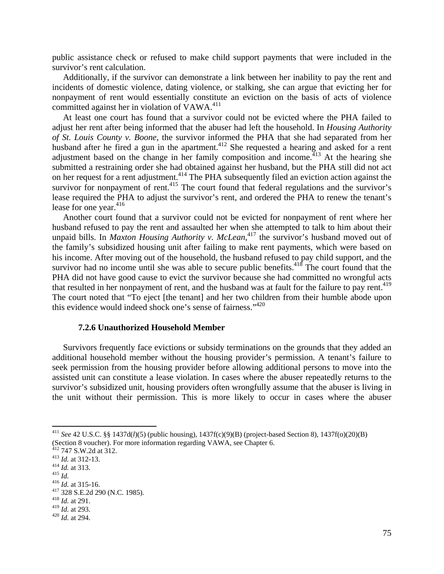public assistance check or refused to make child support payments that were included in the survivor's rent calculation.

 Additionally, if the survivor can demonstrate a link between her inability to pay the rent and incidents of domestic violence, dating violence, or stalking, she can argue that evicting her for nonpayment of rent would essentially constitute an eviction on the basis of acts of violence committed against her in violation of VAWA.<sup>411</sup>

 At least one court has found that a survivor could not be evicted where the PHA failed to adjust her rent after being informed that the abuser had left the household. In *Housing Authority of St. Louis County v. Boone*, the survivor informed the PHA that she had separated from her husband after he fired a gun in the apartment.<sup>412</sup> She requested a hearing and asked for a rent adjustment based on the change in her family composition and income.<sup>413</sup> At the hearing she submitted a restraining order she had obtained against her husband, but the PHA still did not act on her request for a rent adjustment.<sup>414</sup> The PHA subsequently filed an eviction action against the survivor for nonpayment of rent.<sup>415</sup> The court found that federal regulations and the survivor's lease required the PHA to adjust the survivor's rent, and ordered the PHA to renew the tenant's lease for one year. $416$ 

 Another court found that a survivor could not be evicted for nonpayment of rent where her husband refused to pay the rent and assaulted her when she attempted to talk to him about their unpaid bills. In *Maxton Housing Authority v. McLean*, 417 the survivor's husband moved out of the family's subsidized housing unit after failing to make rent payments, which were based on his income. After moving out of the household, the husband refused to pay child support, and the survivor had no income until she was able to secure public benefits. $418$  The court found that the PHA did not have good cause to evict the survivor because she had committed no wrongful acts that resulted in her nonpayment of rent, and the husband was at fault for the failure to pay rent.<sup>419</sup> The court noted that "To eject [the tenant] and her two children from their humble abode upon this evidence would indeed shock one's sense of fairness."420

#### **7.2.6 Unauthorized Household Member**

 Survivors frequently face evictions or subsidy terminations on the grounds that they added an additional household member without the housing provider's permission. A tenant's failure to seek permission from the housing provider before allowing additional persons to move into the assisted unit can constitute a lease violation. In cases where the abuser repeatedly returns to the survivor's subsidized unit, housing providers often wrongfully assume that the abuser is living in the unit without their permission. This is more likely to occur in cases where the abuser

<sup>411</sup> *See* 42 U.S.C. §§ 1437d(*l*)(5) (public housing), 1437f(c)(9)(B) (project-based Section 8), 1437f(o)(20)(B) (Section 8 voucher). For more information regarding VAWA, see Chapter 6.<br><sup>412</sup> 747 S.W.2d at 312.

<sup>413</sup> *Id.* at 312-13.<br>
415 *Id.*<br>
416 *Id.* at 315-16.<br>
417 328 S.E.2d 290 (N.C. 1985).<br>
418 *Id.* at 291.<br>
419 *Id.* at 293.

<sup>&</sup>lt;sup>420</sup> *Id.* at 294.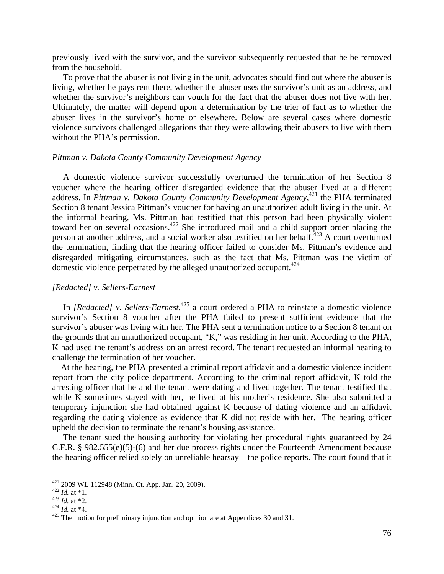previously lived with the survivor, and the survivor subsequently requested that he be removed from the household.

 To prove that the abuser is not living in the unit, advocates should find out where the abuser is living, whether he pays rent there, whether the abuser uses the survivor's unit as an address, and whether the survivor's neighbors can vouch for the fact that the abuser does not live with her. Ultimately, the matter will depend upon a determination by the trier of fact as to whether the abuser lives in the survivor's home or elsewhere. Below are several cases where domestic violence survivors challenged allegations that they were allowing their abusers to live with them without the PHA's permission.

### *Pittman v. Dakota County Community Development Agency*

 A domestic violence survivor successfully overturned the termination of her Section 8 voucher where the hearing officer disregarded evidence that the abuser lived at a different address. In *Pittman v. Dakota County Community Development Agency*, 421 the PHA terminated Section 8 tenant Jessica Pittman's voucher for having an unauthorized adult living in the unit. At the informal hearing, Ms. Pittman had testified that this person had been physically violent toward her on several occasions.<sup>422</sup> She introduced mail and a child support order placing the person at another address, and a social worker also testified on her behalf.<sup>423</sup> A court overturned the termination, finding that the hearing officer failed to consider Ms. Pittman's evidence and disregarded mitigating circumstances, such as the fact that Ms. Pittman was the victim of domestic violence perpetrated by the alleged unauthorized occupant.<sup>424</sup>

#### *[Redacted] v. Sellers-Earnest*

In *[Redacted]* v. Sellers-Earnest,<sup>425</sup> a court ordered a PHA to reinstate a domestic violence survivor's Section 8 voucher after the PHA failed to present sufficient evidence that the survivor's abuser was living with her. The PHA sent a termination notice to a Section 8 tenant on the grounds that an unauthorized occupant, "K," was residing in her unit. According to the PHA, K had used the tenant's address on an arrest record. The tenant requested an informal hearing to challenge the termination of her voucher.

 At the hearing, the PHA presented a criminal report affidavit and a domestic violence incident report from the city police department. According to the criminal report affidavit, K told the arresting officer that he and the tenant were dating and lived together. The tenant testified that while K sometimes stayed with her, he lived at his mother's residence. She also submitted a temporary injunction she had obtained against K because of dating violence and an affidavit regarding the dating violence as evidence that K did not reside with her. The hearing officer upheld the decision to terminate the tenant's housing assistance.

 The tenant sued the housing authority for violating her procedural rights guaranteed by 24 C.F.R. § 982.555(e)(5)-(6) and her due process rights under the Fourteenth Amendment because the hearing officer relied solely on unreliable hearsay—the police reports. The court found that it

<sup>421 2009</sup> WL 112948 (Minn. Ct. App. Jan. 20, 2009).

<sup>422</sup> *Id.* at \*1.<br>
<sup>422</sup> *Id.* at \*1.<br>
<sup>423</sup> *Id.* at \*2.<br>
<sup>424</sup> *Id.* at \*4.<br>
<sup>425</sup> The motion for preliminary injunction and opinion are at Appendices 30 and 31.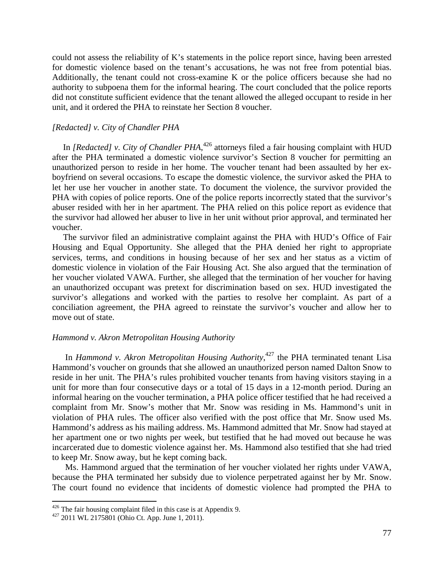could not assess the reliability of K's statements in the police report since, having been arrested for domestic violence based on the tenant's accusations, he was not free from potential bias. Additionally, the tenant could not cross-examine K or the police officers because she had no authority to subpoena them for the informal hearing. The court concluded that the police reports did not constitute sufficient evidence that the tenant allowed the alleged occupant to reside in her unit, and it ordered the PHA to reinstate her Section 8 voucher.

## *[Redacted] v. City of Chandler PHA*

In *[Redacted] v. City of Chandler PHA*,<sup>426</sup> attorneys filed a fair housing complaint with HUD after the PHA terminated a domestic violence survivor's Section 8 voucher for permitting an unauthorized person to reside in her home. The voucher tenant had been assaulted by her exboyfriend on several occasions. To escape the domestic violence, the survivor asked the PHA to let her use her voucher in another state. To document the violence, the survivor provided the PHA with copies of police reports. One of the police reports incorrectly stated that the survivor's abuser resided with her in her apartment. The PHA relied on this police report as evidence that the survivor had allowed her abuser to live in her unit without prior approval, and terminated her voucher.

 The survivor filed an administrative complaint against the PHA with HUD's Office of Fair Housing and Equal Opportunity. She alleged that the PHA denied her right to appropriate services, terms, and conditions in housing because of her sex and her status as a victim of domestic violence in violation of the Fair Housing Act. She also argued that the termination of her voucher violated VAWA. Further, she alleged that the termination of her voucher for having an unauthorized occupant was pretext for discrimination based on sex. HUD investigated the survivor's allegations and worked with the parties to resolve her complaint. As part of a conciliation agreement, the PHA agreed to reinstate the survivor's voucher and allow her to move out of state.

#### *Hammond v. Akron Metropolitan Housing Authority*

In *Hammond v. Akron Metropolitan Housing Authority*, 427 the PHA terminated tenant Lisa Hammond's voucher on grounds that she allowed an unauthorized person named Dalton Snow to reside in her unit. The PHA's rules prohibited voucher tenants from having visitors staying in a unit for more than four consecutive days or a total of 15 days in a 12-month period. During an informal hearing on the voucher termination, a PHA police officer testified that he had received a complaint from Mr. Snow's mother that Mr. Snow was residing in Ms. Hammond's unit in violation of PHA rules. The officer also verified with the post office that Mr. Snow used Ms. Hammond's address as his mailing address. Ms. Hammond admitted that Mr. Snow had stayed at her apartment one or two nights per week, but testified that he had moved out because he was incarcerated due to domestic violence against her. Ms. Hammond also testified that she had tried to keep Mr. Snow away, but he kept coming back.

Ms. Hammond argued that the termination of her voucher violated her rights under VAWA, because the PHA terminated her subsidy due to violence perpetrated against her by Mr. Snow. The court found no evidence that incidents of domestic violence had prompted the PHA to

<sup>&</sup>lt;sup>426</sup> The fair housing complaint filed in this case is at Appendix 9.  $427$  2011 WL 2175801 (Ohio Ct. App. June 1, 2011).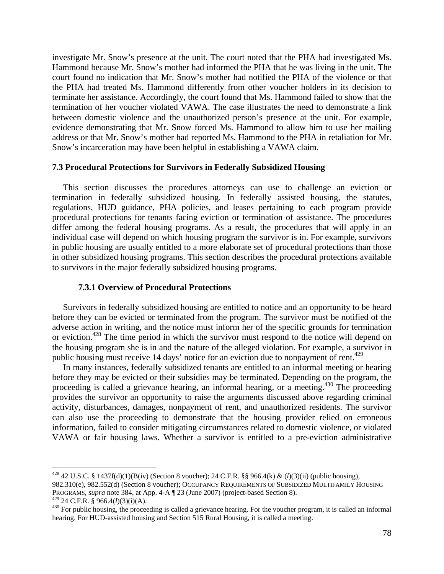investigate Mr. Snow's presence at the unit. The court noted that the PHA had investigated Ms. Hammond because Mr. Snow's mother had informed the PHA that he was living in the unit. The court found no indication that Mr. Snow's mother had notified the PHA of the violence or that the PHA had treated Ms. Hammond differently from other voucher holders in its decision to terminate her assistance. Accordingly, the court found that Ms. Hammond failed to show that the termination of her voucher violated VAWA. The case illustrates the need to demonstrate a link between domestic violence and the unauthorized person's presence at the unit. For example, evidence demonstrating that Mr. Snow forced Ms. Hammond to allow him to use her mailing address or that Mr. Snow's mother had reported Ms. Hammond to the PHA in retaliation for Mr. Snow's incarceration may have been helpful in establishing a VAWA claim.

# **7.3 Procedural Protections for Survivors in Federally Subsidized Housing**

 This section discusses the procedures attorneys can use to challenge an eviction or termination in federally subsidized housing. In federally assisted housing, the statutes, regulations, HUD guidance, PHA policies, and leases pertaining to each program provide procedural protections for tenants facing eviction or termination of assistance. The procedures differ among the federal housing programs. As a result, the procedures that will apply in an individual case will depend on which housing program the survivor is in. For example, survivors in public housing are usually entitled to a more elaborate set of procedural protections than those in other subsidized housing programs. This section describes the procedural protections available to survivors in the major federally subsidized housing programs.

#### **7.3.1 Overview of Procedural Protections**

 Survivors in federally subsidized housing are entitled to notice and an opportunity to be heard before they can be evicted or terminated from the program. The survivor must be notified of the adverse action in writing, and the notice must inform her of the specific grounds for termination or eviction.428 The time period in which the survivor must respond to the notice will depend on the housing program she is in and the nature of the alleged violation. For example, a survivor in public housing must receive 14 days' notice for an eviction due to nonpayment of rent.<sup>429</sup>

 In many instances, federally subsidized tenants are entitled to an informal meeting or hearing before they may be evicted or their subsidies may be terminated. Depending on the program, the proceeding is called a grievance hearing, an informal hearing, or a meeting.<sup>430</sup> The proceeding provides the survivor an opportunity to raise the arguments discussed above regarding criminal activity, disturbances, damages, nonpayment of rent, and unauthorized residents. The survivor can also use the proceeding to demonstrate that the housing provider relied on erroneous information, failed to consider mitigating circumstances related to domestic violence, or violated VAWA or fair housing laws. Whether a survivor is entitled to a pre-eviction administrative

<sup>428 42</sup> U.S.C. § 1437f(d)(1)(B(iv) (Section 8 voucher); 24 C.F.R. §§ 966.4(k) & (*l*)(3)(ii) (public housing),

<sup>982.310(</sup>e), 982.552(d) (Section 8 voucher); OCCUPANCY REQUIREMENTS OF SUBSIDIZED MULTIFAMILY HOUSING PROGRAMS, *supra* note 384, at App. 4-A ¶ 23 (June 2007) (project-based Section 8).<br><sup>429</sup> 24 C.F.R. § 966.4(*l*)(3)(i)(A).

<sup>&</sup>lt;sup>430</sup> For public housing, the proceeding is called a grievance hearing. For the voucher program, it is called an informal hearing. For HUD-assisted housing and Section 515 Rural Housing, it is called a meeting.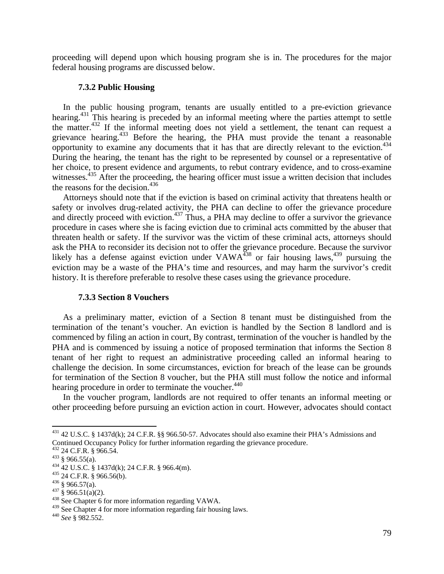proceeding will depend upon which housing program she is in. The procedures for the major federal housing programs are discussed below.

## **7.3.2 Public Housing**

 In the public housing program, tenants are usually entitled to a pre-eviction grievance hearing.<sup>431</sup> This hearing is preceded by an informal meeting where the parties attempt to settle the matter.<sup>432</sup> If the informal meeting does not yield a settlement, the tenant can request a grievance hearing.<sup>433</sup> Before the hearing, the PHA must provide the tenant a reasonable opportunity to examine any documents that it has that are directly relevant to the eviction.434 During the hearing, the tenant has the right to be represented by counsel or a representative of her choice, to present evidence and arguments, to rebut contrary evidence, and to cross-examine witnesses.<sup>435</sup> After the proceeding, the hearing officer must issue a written decision that includes the reasons for the decision. $436$ 

 Attorneys should note that if the eviction is based on criminal activity that threatens health or safety or involves drug-related activity, the PHA can decline to offer the grievance procedure and directly proceed with eviction.<sup>437</sup> Thus, a PHA may decline to offer a survivor the grievance procedure in cases where she is facing eviction due to criminal acts committed by the abuser that threaten health or safety. If the survivor was the victim of these criminal acts, attorneys should ask the PHA to reconsider its decision not to offer the grievance procedure. Because the survivor likely has a defense against eviction under  $VAWA<sup>438</sup>$  or fair housing laws,<sup>439</sup> pursuing the eviction may be a waste of the PHA's time and resources, and may harm the survivor's credit history. It is therefore preferable to resolve these cases using the grievance procedure.

#### **7.3.3 Section 8 Vouchers**

 As a preliminary matter, eviction of a Section 8 tenant must be distinguished from the termination of the tenant's voucher. An eviction is handled by the Section 8 landlord and is commenced by filing an action in court, By contrast, termination of the voucher is handled by the PHA and is commenced by issuing a notice of proposed termination that informs the Section 8 tenant of her right to request an administrative proceeding called an informal hearing to challenge the decision. In some circumstances, eviction for breach of the lease can be grounds for termination of the Section 8 voucher, but the PHA still must follow the notice and informal hearing procedure in order to terminate the voucher.<sup>440</sup>

 In the voucher program, landlords are not required to offer tenants an informal meeting or other proceeding before pursuing an eviction action in court. However, advocates should contact

<sup>431 42</sup> U.S.C. § 1437d(k); 24 C.F.R. §§ 966.50-57. Advocates should also examine their PHA's Admissions and Continued Occupancy Policy for further information regarding the grievance procedure.<br><sup>432</sup> 24 C.F.R. § 966.54.

<sup>433 § 966.55(</sup>a).<br>
434 42 U.S.C. § 1437d(k); 24 C.F.R. § 966.4(m).<br>
435 24 C.F.R. § 966.56(b).<br>
436 § 966.57(a).<br>
437 § 966.51(a)(2).<br>
438 See Chapter 6 for more information regarding VAWA.

<sup>439</sup> See Chapter 4 for more information regarding fair housing laws. 440 *See* § 982.552.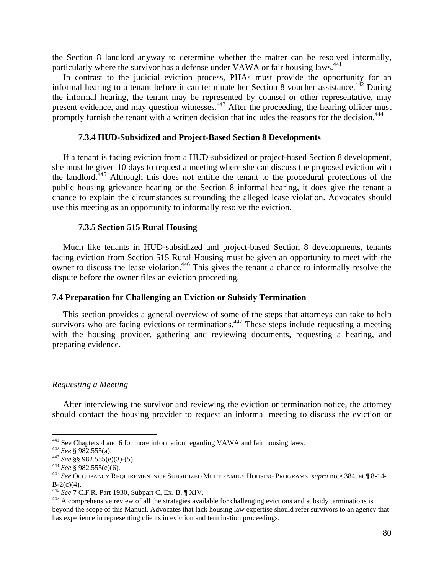the Section 8 landlord anyway to determine whether the matter can be resolved informally, particularly where the survivor has a defense under VAWA or fair housing laws.<sup>441</sup>

 In contrast to the judicial eviction process, PHAs must provide the opportunity for an informal hearing to a tenant before it can terminate her Section 8 voucher assistance.<sup> $442$ </sup> During the informal hearing, the tenant may be represented by counsel or other representative, may present evidence, and may question witnesses.<sup>443</sup> After the proceeding, the hearing officer must promptly furnish the tenant with a written decision that includes the reasons for the decision.<sup>444</sup>

## **7.3.4 HUD-Subsidized and Project-Based Section 8 Developments**

 If a tenant is facing eviction from a HUD-subsidized or project-based Section 8 development, she must be given 10 days to request a meeting where she can discuss the proposed eviction with the landlord.445 Although this does not entitle the tenant to the procedural protections of the public housing grievance hearing or the Section 8 informal hearing, it does give the tenant a chance to explain the circumstances surrounding the alleged lease violation. Advocates should use this meeting as an opportunity to informally resolve the eviction.

#### **7.3.5 Section 515 Rural Housing**

 Much like tenants in HUD-subsidized and project-based Section 8 developments, tenants facing eviction from Section 515 Rural Housing must be given an opportunity to meet with the owner to discuss the lease violation.<sup>446</sup> This gives the tenant a chance to informally resolve the dispute before the owner files an eviction proceeding.

#### **7.4 Preparation for Challenging an Eviction or Subsidy Termination**

 This section provides a general overview of some of the steps that attorneys can take to help survivors who are facing evictions or terminations.<sup>447</sup> These steps include requesting a meeting with the housing provider, gathering and reviewing documents, requesting a hearing, and preparing evidence.

#### *Requesting a Meeting*

 After interviewing the survivor and reviewing the eviction or termination notice, the attorney should contact the housing provider to request an informal meeting to discuss the eviction or

<sup>&</sup>lt;sup>441</sup> See Chapters 4 and 6 for more information regarding VAWA and fair housing laws.<br><sup>442</sup> See § 982.555(a).<br><sup>443</sup> See §§ 982.555(e)(3)-(5).<br><sup>445</sup> See § 982.555(e)(6).<br><sup>445</sup> See OCCUPANCY REQUIREMENTS OF SUBSIDIZED MULTI B-2(c)(4).<br><sup>446</sup> See 7 C.F.R. Part 1930, Subpart C, Ex. B, ¶ XIV.

<sup>&</sup>lt;sup>447</sup> A comprehensive review of all the strategies available for challenging evictions and subsidy terminations is beyond the scope of this Manual. Advocates that lack housing law expertise should refer survivors to an agency that has experience in representing clients in eviction and termination proceedings.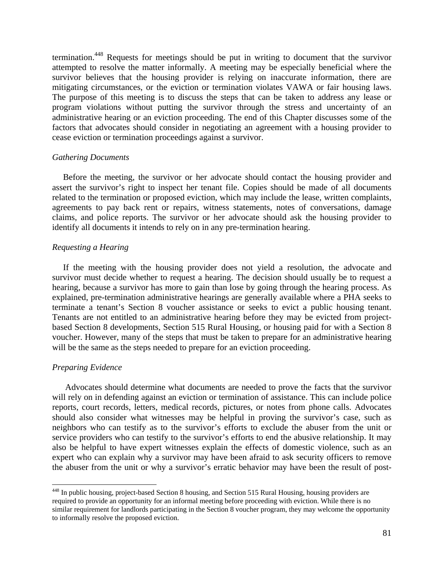termination.448 Requests for meetings should be put in writing to document that the survivor attempted to resolve the matter informally. A meeting may be especially beneficial where the survivor believes that the housing provider is relying on inaccurate information, there are mitigating circumstances, or the eviction or termination violates VAWA or fair housing laws. The purpose of this meeting is to discuss the steps that can be taken to address any lease or program violations without putting the survivor through the stress and uncertainty of an administrative hearing or an eviction proceeding. The end of this Chapter discusses some of the factors that advocates should consider in negotiating an agreement with a housing provider to cease eviction or termination proceedings against a survivor.

#### *Gathering Documents*

 Before the meeting, the survivor or her advocate should contact the housing provider and assert the survivor's right to inspect her tenant file. Copies should be made of all documents related to the termination or proposed eviction, which may include the lease, written complaints, agreements to pay back rent or repairs, witness statements, notes of conversations, damage claims, and police reports. The survivor or her advocate should ask the housing provider to identify all documents it intends to rely on in any pre-termination hearing.

## *Requesting a Hearing*

 If the meeting with the housing provider does not yield a resolution, the advocate and survivor must decide whether to request a hearing. The decision should usually be to request a hearing, because a survivor has more to gain than lose by going through the hearing process. As explained, pre-termination administrative hearings are generally available where a PHA seeks to terminate a tenant's Section 8 voucher assistance or seeks to evict a public housing tenant. Tenants are not entitled to an administrative hearing before they may be evicted from projectbased Section 8 developments, Section 515 Rural Housing, or housing paid for with a Section 8 voucher. However, many of the steps that must be taken to prepare for an administrative hearing will be the same as the steps needed to prepare for an eviction proceeding.

#### *Preparing Evidence*

 Advocates should determine what documents are needed to prove the facts that the survivor will rely on in defending against an eviction or termination of assistance. This can include police reports, court records, letters, medical records, pictures, or notes from phone calls. Advocates should also consider what witnesses may be helpful in proving the survivor's case, such as neighbors who can testify as to the survivor's efforts to exclude the abuser from the unit or service providers who can testify to the survivor's efforts to end the abusive relationship. It may also be helpful to have expert witnesses explain the effects of domestic violence, such as an expert who can explain why a survivor may have been afraid to ask security officers to remove the abuser from the unit or why a survivor's erratic behavior may have been the result of post-

<sup>448</sup> In public housing, project-based Section 8 housing, and Section 515 Rural Housing, housing providers are required to provide an opportunity for an informal meeting before proceeding with eviction. While there is no similar requirement for landlords participating in the Section 8 voucher program, they may welcome the opportunity to informally resolve the proposed eviction.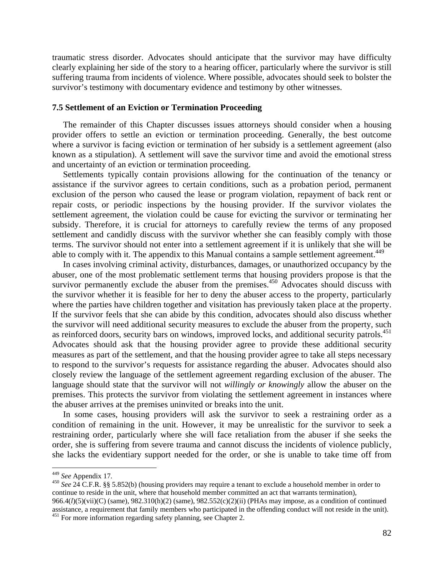traumatic stress disorder. Advocates should anticipate that the survivor may have difficulty clearly explaining her side of the story to a hearing officer, particularly where the survivor is still suffering trauma from incidents of violence. Where possible, advocates should seek to bolster the survivor's testimony with documentary evidence and testimony by other witnesses.

#### **7.5 Settlement of an Eviction or Termination Proceeding**

 The remainder of this Chapter discusses issues attorneys should consider when a housing provider offers to settle an eviction or termination proceeding. Generally, the best outcome where a survivor is facing eviction or termination of her subsidy is a settlement agreement (also known as a stipulation). A settlement will save the survivor time and avoid the emotional stress and uncertainty of an eviction or termination proceeding.

 Settlements typically contain provisions allowing for the continuation of the tenancy or assistance if the survivor agrees to certain conditions, such as a probation period, permanent exclusion of the person who caused the lease or program violation, repayment of back rent or repair costs, or periodic inspections by the housing provider. If the survivor violates the settlement agreement, the violation could be cause for evicting the survivor or terminating her subsidy. Therefore, it is crucial for attorneys to carefully review the terms of any proposed settlement and candidly discuss with the survivor whether she can feasibly comply with those terms. The survivor should not enter into a settlement agreement if it is unlikely that she will be able to comply with it. The appendix to this Manual contains a sample settlement agreement.<sup>449</sup>

 In cases involving criminal activity, disturbances, damages, or unauthorized occupancy by the abuser, one of the most problematic settlement terms that housing providers propose is that the survivor permanently exclude the abuser from the premises.<sup>450</sup> Advocates should discuss with the survivor whether it is feasible for her to deny the abuser access to the property, particularly where the parties have children together and visitation has previously taken place at the property. If the survivor feels that she can abide by this condition, advocates should also discuss whether the survivor will need additional security measures to exclude the abuser from the property, such as reinforced doors, security bars on windows, improved locks, and additional security patrols.<sup>451</sup> Advocates should ask that the housing provider agree to provide these additional security measures as part of the settlement, and that the housing provider agree to take all steps necessary to respond to the survivor's requests for assistance regarding the abuser. Advocates should also closely review the language of the settlement agreement regarding exclusion of the abuser. The language should state that the survivor will not *willingly or knowingly* allow the abuser on the premises. This protects the survivor from violating the settlement agreement in instances where the abuser arrives at the premises uninvited or breaks into the unit.

 In some cases, housing providers will ask the survivor to seek a restraining order as a condition of remaining in the unit. However, it may be unrealistic for the survivor to seek a restraining order, particularly where she will face retaliation from the abuser if she seeks the order, she is suffering from severe trauma and cannot discuss the incidents of violence publicly, she lacks the evidentiary support needed for the order, or she is unable to take time off from

<sup>450</sup> *See* 24 C.F.R. §§ 5.852(b) (housing providers may require a tenant to exclude a household member in order to continue to reside in the unit, where that household member committed an act that warrants termination), 966.4(*l*)(5)(vii)(C) (same), 982.310(h)(2) (same), 982.552(c)(2)(ii) (PHAs may impose, as a condition of continued assistance, a requirement that family members who participated in the offending conduct will not reside in the unit). 451 For more information regarding safety planning, see Chapter 2.

<sup>&</sup>lt;sup>449</sup> See Appendix 17.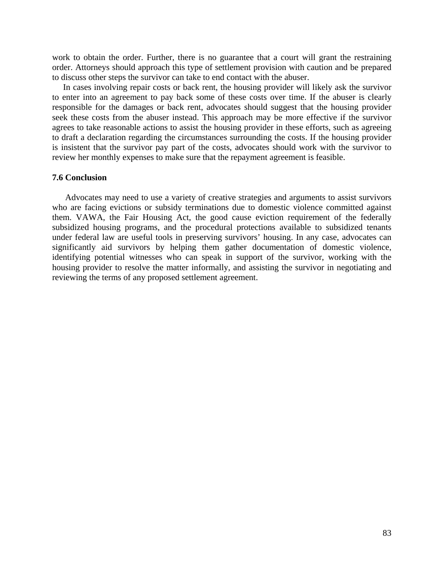work to obtain the order. Further, there is no guarantee that a court will grant the restraining order. Attorneys should approach this type of settlement provision with caution and be prepared to discuss other steps the survivor can take to end contact with the abuser.

 In cases involving repair costs or back rent, the housing provider will likely ask the survivor to enter into an agreement to pay back some of these costs over time. If the abuser is clearly responsible for the damages or back rent, advocates should suggest that the housing provider seek these costs from the abuser instead. This approach may be more effective if the survivor agrees to take reasonable actions to assist the housing provider in these efforts, such as agreeing to draft a declaration regarding the circumstances surrounding the costs. If the housing provider is insistent that the survivor pay part of the costs, advocates should work with the survivor to review her monthly expenses to make sure that the repayment agreement is feasible.

# **7.6 Conclusion**

 Advocates may need to use a variety of creative strategies and arguments to assist survivors who are facing evictions or subsidy terminations due to domestic violence committed against them. VAWA, the Fair Housing Act, the good cause eviction requirement of the federally subsidized housing programs, and the procedural protections available to subsidized tenants under federal law are useful tools in preserving survivors' housing. In any case, advocates can significantly aid survivors by helping them gather documentation of domestic violence, identifying potential witnesses who can speak in support of the survivor, working with the housing provider to resolve the matter informally, and assisting the survivor in negotiating and reviewing the terms of any proposed settlement agreement.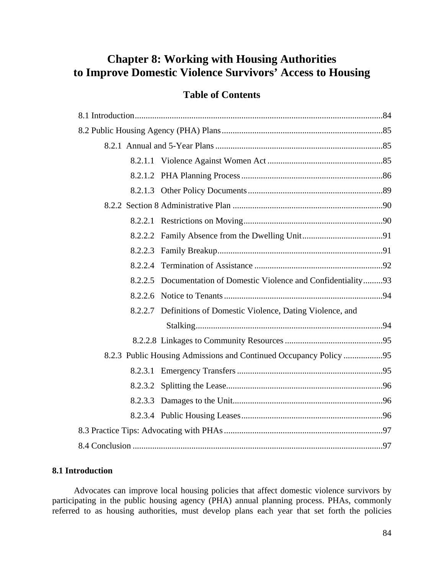# **Chapter 8: Working with Housing Authorities to Improve Domestic Violence Survivors' Access to Housing**

# **Table of Contents**

|  | 8.2.2.5 Documentation of Domestic Violence and Confidentiality93 |  |  |  |  |  |
|--|------------------------------------------------------------------|--|--|--|--|--|
|  |                                                                  |  |  |  |  |  |
|  | 8.2.2.7 Definitions of Domestic Violence, Dating Violence, and   |  |  |  |  |  |
|  |                                                                  |  |  |  |  |  |
|  |                                                                  |  |  |  |  |  |
|  |                                                                  |  |  |  |  |  |
|  |                                                                  |  |  |  |  |  |
|  |                                                                  |  |  |  |  |  |
|  |                                                                  |  |  |  |  |  |
|  |                                                                  |  |  |  |  |  |
|  |                                                                  |  |  |  |  |  |
|  |                                                                  |  |  |  |  |  |

# **8.1 Introduction**

 Advocates can improve local housing policies that affect domestic violence survivors by participating in the public housing agency (PHA) annual planning process. PHAs, commonly referred to as housing authorities, must develop plans each year that set forth the policies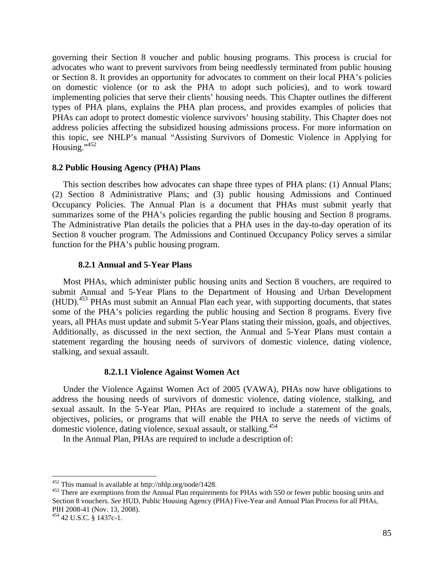governing their Section 8 voucher and public housing programs. This process is crucial for advocates who want to prevent survivors from being needlessly terminated from public housing or Section 8. It provides an opportunity for advocates to comment on their local PHA's policies on domestic violence (or to ask the PHA to adopt such policies), and to work toward implementing policies that serve their clients' housing needs. This Chapter outlines the different types of PHA plans, explains the PHA plan process, and provides examples of policies that PHAs can adopt to protect domestic violence survivors' housing stability. This Chapter does not address policies affecting the subsidized housing admissions process. For more information on this topic, see NHLP's manual "Assisting Survivors of Domestic Violence in Applying for Housing." $452$ 

## **8.2 Public Housing Agency (PHA) Plans**

 This section describes how advocates can shape three types of PHA plans: (1) Annual Plans; (2) Section 8 Administrative Plans; and (3) public housing Admissions and Continued Occupancy Policies. The Annual Plan is a document that PHAs must submit yearly that summarizes some of the PHA's policies regarding the public housing and Section 8 programs. The Administrative Plan details the policies that a PHA uses in the day-to-day operation of its Section 8 voucher program. The Admissions and Continued Occupancy Policy serves a similar function for the PHA's public housing program.

## **8.2.1 Annual and 5-Year Plans**

 Most PHAs, which administer public housing units and Section 8 vouchers, are required to submit Annual and 5-Year Plans to the Department of Housing and Urban Development (HUD).453 PHAs must submit an Annual Plan each year, with supporting documents, that states some of the PHA's policies regarding the public housing and Section 8 programs. Every five years, all PHAs must update and submit 5-Year Plans stating their mission, goals, and objectives. Additionally, as discussed in the next section, the Annual and 5-Year Plans must contain a statement regarding the housing needs of survivors of domestic violence, dating violence, stalking, and sexual assault.

## **8.2.1.1 Violence Against Women Act**

 Under the Violence Against Women Act of 2005 (VAWA), PHAs now have obligations to address the housing needs of survivors of domestic violence, dating violence, stalking, and sexual assault. In the 5-Year Plan, PHAs are required to include a statement of the goals, objectives, policies, or programs that will enable the PHA to serve the needs of victims of domestic violence, dating violence, sexual assault, or stalking.<sup>454</sup>

In the Annual Plan, PHAs are required to include a description of:

<sup>&</sup>lt;sup>452</sup> This manual is available at http://nhlp.org/node/1428.<br><sup>453</sup> There are exemptions from the Annual Plan requirements for PHAs with 550 or fewer public housing units and Section 8 vouchers. *See* HUD, Public Housing Agency (PHA) Five-Year and Annual Plan Process for all PHAs, PIH 2008-41 (Nov. 13, 2008).

<sup>454 42</sup> U.S.C. § 1437c-1.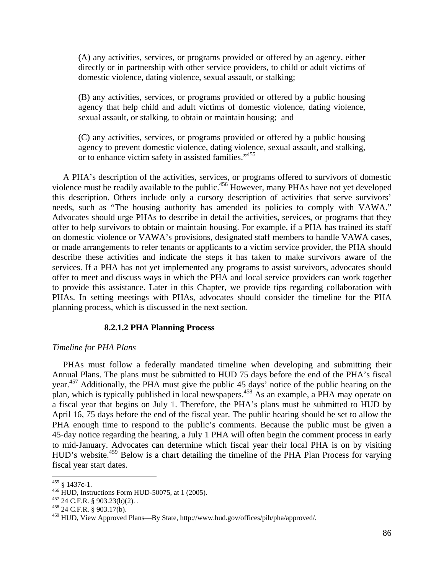(A) any activities, services, or programs provided or offered by an agency, either directly or in partnership with other service providers, to child or adult victims of domestic violence, dating violence, sexual assault, or stalking;

(B) any activities, services, or programs provided or offered by a public housing agency that help child and adult victims of domestic violence, dating violence, sexual assault, or stalking, to obtain or maintain housing; and

(C) any activities, services, or programs provided or offered by a public housing agency to prevent domestic violence, dating violence, sexual assault, and stalking, or to enhance victim safety in assisted families."455

 A PHA's description of the activities, services, or programs offered to survivors of domestic violence must be readily available to the public.<sup>456</sup> However, many PHAs have not yet developed this description. Others include only a cursory description of activities that serve survivors' needs, such as "The housing authority has amended its policies to comply with VAWA." Advocates should urge PHAs to describe in detail the activities, services, or programs that they offer to help survivors to obtain or maintain housing. For example, if a PHA has trained its staff on domestic violence or VAWA's provisions, designated staff members to handle VAWA cases, or made arrangements to refer tenants or applicants to a victim service provider, the PHA should describe these activities and indicate the steps it has taken to make survivors aware of the services. If a PHA has not yet implemented any programs to assist survivors, advocates should offer to meet and discuss ways in which the PHA and local service providers can work together to provide this assistance. Later in this Chapter, we provide tips regarding collaboration with PHAs. In setting meetings with PHAs, advocates should consider the timeline for the PHA planning process, which is discussed in the next section.

#### **8.2.1.2 PHA Planning Process**

#### *Timeline for PHA Plans*

 PHAs must follow a federally mandated timeline when developing and submitting their Annual Plans. The plans must be submitted to HUD 75 days before the end of the PHA's fiscal year.457 Additionally, the PHA must give the public 45 days' notice of the public hearing on the plan, which is typically published in local newspapers.458 As an example, a PHA may operate on a fiscal year that begins on July 1. Therefore, the PHA's plans must be submitted to HUD by April 16, 75 days before the end of the fiscal year. The public hearing should be set to allow the PHA enough time to respond to the public's comments. Because the public must be given a 45‐day notice regarding the hearing, a July 1 PHA will often begin the comment process in early to mid‐January. Advocates can determine which fiscal year their local PHA is on by visiting HUD's website.<sup>459</sup> Below is a chart detailing the timeline of the PHA Plan Process for varying fiscal year start dates.

<sup>&</sup>lt;sup>455</sup> § 1437c-1.<br><sup>456</sup> HUD, Instructions Form HUD-50075, at 1 (2005).<br><sup>457</sup> 24 C.F.R. § 903.23(b)(2). .<br><sup>458</sup> 24 C.F.R. § 903.17(b).

<sup>459</sup> HUD, View Approved Plans—By State, http://www.hud.gov/offices/pih/pha/approved/.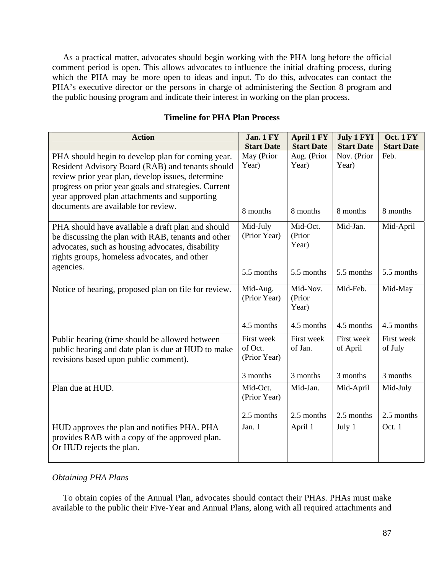As a practical matter, advocates should begin working with the PHA long before the official comment period is open. This allows advocates to influence the initial drafting process, during which the PHA may be more open to ideas and input. To do this, advocates can contact the PHA's executive director or the persons in charge of administering the Section 8 program and the public housing program and indicate their interest in working on the plan process.

| <b>Action</b>                                                                                                                                                                                                                                                                                              | Jan. 1 FY<br><b>Start Date</b>        | <b>April 1 FY</b><br><b>Start Date</b> | <b>July 1 FYI</b><br><b>Start Date</b> | Oct. 1 FY<br><b>Start Date</b> |
|------------------------------------------------------------------------------------------------------------------------------------------------------------------------------------------------------------------------------------------------------------------------------------------------------------|---------------------------------------|----------------------------------------|----------------------------------------|--------------------------------|
| PHA should begin to develop plan for coming year.<br>Resident Advisory Board (RAB) and tenants should<br>review prior year plan, develop issues, determine<br>progress on prior year goals and strategies. Current<br>year approved plan attachments and supporting<br>documents are available for review. | May (Prior<br>Year)                   | Aug. (Prior<br>Year)                   | Nov. (Prior<br>Year)                   | Feb.                           |
|                                                                                                                                                                                                                                                                                                            | 8 months                              | 8 months                               | 8 months                               | 8 months                       |
| PHA should have available a draft plan and should<br>be discussing the plan with RAB, tenants and other<br>advocates, such as housing advocates, disability<br>rights groups, homeless advocates, and other                                                                                                | Mid-July<br>(Prior Year)              | Mid-Oct.<br>(Prior<br>Year)            | Mid-Jan.                               | Mid-April                      |
| agencies.                                                                                                                                                                                                                                                                                                  | 5.5 months                            | 5.5 months                             | 5.5 months                             | 5.5 months                     |
| Notice of hearing, proposed plan on file for review.                                                                                                                                                                                                                                                       | Mid-Aug.<br>(Prior Year)              | Mid-Nov.<br>(Prior<br>Year)            | Mid-Feb.                               | Mid-May                        |
|                                                                                                                                                                                                                                                                                                            | 4.5 months                            | 4.5 months                             | 4.5 months                             | 4.5 months                     |
| Public hearing (time should be allowed between<br>public hearing and date plan is due at HUD to make<br>revisions based upon public comment).                                                                                                                                                              | First week<br>of Oct.<br>(Prior Year) | First week<br>of Jan.                  | First week<br>of April                 | First week<br>of July          |
|                                                                                                                                                                                                                                                                                                            | 3 months                              | 3 months                               | 3 months                               | 3 months                       |
| Plan due at HUD.                                                                                                                                                                                                                                                                                           | Mid-Oct.<br>(Prior Year)              | Mid-Jan.                               | Mid-April                              | Mid-July                       |
|                                                                                                                                                                                                                                                                                                            | 2.5 months                            | 2.5 months                             | 2.5 months                             | 2.5 months                     |
| HUD approves the plan and notifies PHA. PHA<br>provides RAB with a copy of the approved plan.<br>Or HUD rejects the plan.                                                                                                                                                                                  | Jan. 1                                | April 1                                | July 1                                 | Oct. 1                         |

# **Timeline for PHA Plan Process**

# *Obtaining PHA Plans*

To obtain copies of the Annual Plan, advocates should contact their PHAs. PHAs must make available to the public their Five‐Year and Annual Plans, along with all required attachments and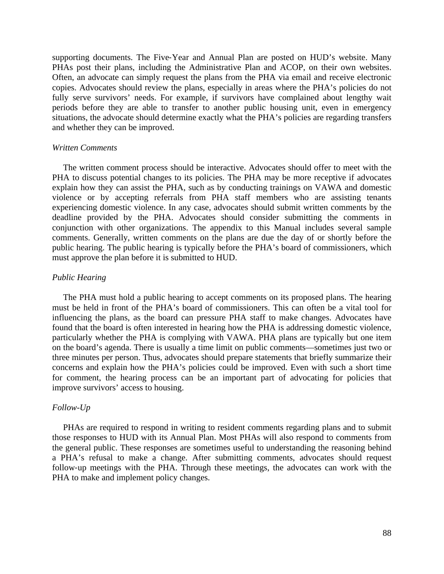supporting documents. The Five-Year and Annual Plan are posted on HUD's website. Many PHAs post their plans, including the Administrative Plan and ACOP, on their own websites. Often, an advocate can simply request the plans from the PHA via email and receive electronic copies. Advocates should review the plans, especially in areas where the PHA's policies do not fully serve survivors' needs. For example, if survivors have complained about lengthy wait periods before they are able to transfer to another public housing unit, even in emergency situations, the advocate should determine exactly what the PHA's policies are regarding transfers and whether they can be improved.

#### *Written Comments*

The written comment process should be interactive. Advocates should offer to meet with the PHA to discuss potential changes to its policies. The PHA may be more receptive if advocates explain how they can assist the PHA, such as by conducting trainings on VAWA and domestic violence or by accepting referrals from PHA staff members who are assisting tenants experiencing domestic violence. In any case, advocates should submit written comments by the deadline provided by the PHA. Advocates should consider submitting the comments in conjunction with other organizations. The appendix to this Manual includes several sample comments. Generally, written comments on the plans are due the day of or shortly before the public hearing. The public hearing is typically before the PHA's board of commissioners, which must approve the plan before it is submitted to HUD.

#### *Public Hearing*

 The PHA must hold a public hearing to accept comments on its proposed plans. The hearing must be held in front of the PHA's board of commissioners. This can often be a vital tool for influencing the plans, as the board can pressure PHA staff to make changes. Advocates have found that the board is often interested in hearing how the PHA is addressing domestic violence, particularly whether the PHA is complying with VAWA. PHA plans are typically but one item on the board's agenda. There is usually a time limit on public comments—sometimes just two or three minutes per person. Thus, advocates should prepare statements that briefly summarize their concerns and explain how the PHA's policies could be improved. Even with such a short time for comment, the hearing process can be an important part of advocating for policies that improve survivors' access to housing.

#### *Follow-Up*

 PHAs are required to respond in writing to resident comments regarding plans and to submit those responses to HUD with its Annual Plan. Most PHAs will also respond to comments from the general public. These responses are sometimes useful to understanding the reasoning behind a PHA's refusal to make a change. After submitting comments, advocates should request follow-up meetings with the PHA. Through these meetings, the advocates can work with the PHA to make and implement policy changes.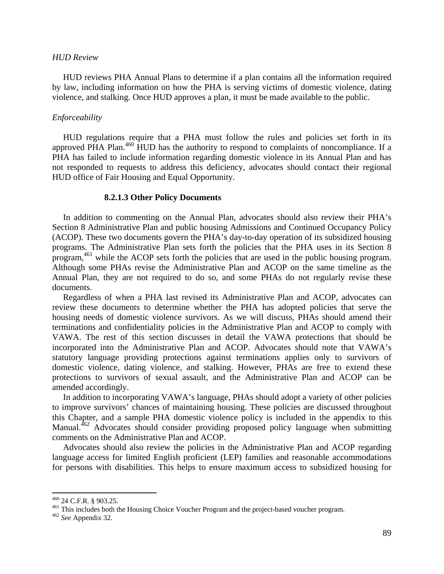#### *HUD Review*

 HUD reviews PHA Annual Plans to determine if a plan contains all the information required by law, including information on how the PHA is serving victims of domestic violence, dating violence, and stalking. Once HUD approves a plan, it must be made available to the public.

## *Enforceability*

 HUD regulations require that a PHA must follow the rules and policies set forth in its approved PHA Plan.<sup>460</sup> HUD has the authority to respond to complaints of noncompliance. If a PHA has failed to include information regarding domestic violence in its Annual Plan and has not responded to requests to address this deficiency, advocates should contact their regional HUD office of Fair Housing and Equal Opportunity.

#### **8.2.1.3 Other Policy Documents**

 In addition to commenting on the Annual Plan, advocates should also review their PHA's Section 8 Administrative Plan and public housing Admissions and Continued Occupancy Policy (ACOP). These two documents govern the PHA's day-to-day operation of its subsidized housing programs. The Administrative Plan sets forth the policies that the PHA uses in its Section 8 program,461 while the ACOP sets forth the policies that are used in the public housing program. Although some PHAs revise the Administrative Plan and ACOP on the same timeline as the Annual Plan, they are not required to do so, and some PHAs do not regularly revise these documents.

 Regardless of when a PHA last revised its Administrative Plan and ACOP, advocates can review these documents to determine whether the PHA has adopted policies that serve the housing needs of domestic violence survivors. As we will discuss, PHAs should amend their terminations and confidentiality policies in the Administrative Plan and ACOP to comply with VAWA. The rest of this section discusses in detail the VAWA protections that should be incorporated into the Administrative Plan and ACOP. Advocates should note that VAWA's statutory language providing protections against terminations applies only to survivors of domestic violence, dating violence, and stalking. However, PHAs are free to extend these protections to survivors of sexual assault, and the Administrative Plan and ACOP can be amended accordingly.

 In addition to incorporating VAWA's language, PHAs should adopt a variety of other policies to improve survivors' chances of maintaining housing. These policies are discussed throughout this Chapter, and a sample PHA domestic violence policy is included in the appendix to this Manual.<sup>462</sup> Advocates should consider providing proposed policy language when submitting comments on the Administrative Plan and ACOP.

 Advocates should also review the policies in the Administrative Plan and ACOP regarding language access for limited English proficient (LEP) families and reasonable accommodations for persons with disabilities. This helps to ensure maximum access to subsidized housing for

<sup>460 24</sup> C.F.R. § 903.25. 461 This includes both the Housing Choice Voucher Program and the project-based voucher program. 462 *See* Appendix 32.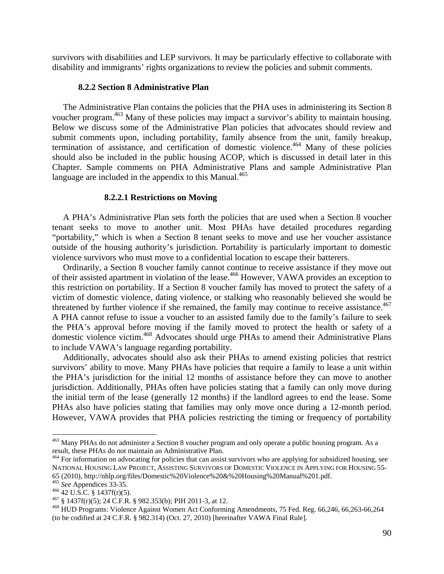survivors with disabilities and LEP survivors. It may be particularly effective to collaborate with disability and immigrants' rights organizations to review the policies and submit comments.

#### **8.2.2 Section 8 Administrative Plan**

 The Administrative Plan contains the policies that the PHA uses in administering its Section 8 voucher program.<sup>463</sup> Many of these policies may impact a survivor's ability to maintain housing. Below we discuss some of the Administrative Plan policies that advocates should review and submit comments upon, including portability, family absence from the unit, family breakup, termination of assistance, and certification of domestic violence.<sup>464</sup> Many of these policies should also be included in the public housing ACOP, which is discussed in detail later in this Chapter. Sample comments on PHA Administrative Plans and sample Administrative Plan language are included in the appendix to this Manual. $465$ 

#### **8.2.2.1 Restrictions on Moving**

 A PHA's Administrative Plan sets forth the policies that are used when a Section 8 voucher tenant seeks to move to another unit. Most PHAs have detailed procedures regarding "portability," which is when a Section 8 tenant seeks to move and use her voucher assistance outside of the housing authority's jurisdiction. Portability is particularly important to domestic violence survivors who must move to a confidential location to escape their batterers.

 Ordinarily, a Section 8 voucher family cannot continue to receive assistance if they move out of their assisted apartment in violation of the lease.<sup>466</sup> However, VAWA provides an exception to this restriction on portability. If a Section 8 voucher family has moved to protect the safety of a victim of domestic violence, dating violence, or stalking who reasonably believed she would be threatened by further violence if she remained, the family may continue to receive assistance.<sup>467</sup> A PHA cannot refuse to issue a voucher to an assisted family due to the family's failure to seek the PHA's approval before moving if the family moved to protect the health or safety of a domestic violence victim.468 Advocates should urge PHAs to amend their Administrative Plans to include VAWA's language regarding portability.

 Additionally, advocates should also ask their PHAs to amend existing policies that restrict survivors' ability to move. Many PHAs have policies that require a family to lease a unit within the PHA's jurisdiction for the initial 12 months of assistance before they can move to another jurisdiction. Additionally, PHAs often have policies stating that a family can only move during the initial term of the lease (generally 12 months) if the landlord agrees to end the lease. Some PHAs also have policies stating that families may only move once during a 12-month period. However, VAWA provides that PHA policies restricting the timing or frequency of portability

<sup>&</sup>lt;sup>463</sup> Many PHAs do not administer a Section 8 voucher program and only operate a public housing program. As a result, these PHAs do not maintain an Administrative Plan.

<sup>&</sup>lt;sup>464</sup> For information on advocating for policies that can assist survivors who are applying for subsidized housing, see NATIONAL HOUSING LAW PROJECT, ASSISTING SURVIVORS OF DOMESTIC VIOLENCE IN APPLYING FOR HOUSING 55- 65 (2010), http://nhlp.org/files/Domestic%20Violence%20&%20Housing%20Manual%201.pdf.

<sup>&</sup>lt;sup>466</sup> 42 U.S.C. § 1437f(r)(5).<br><sup>467</sup> § 1437f(r)(5); 24 C.F.R. § 982.353(b); PIH 2011-3, at 12.<br><sup>468</sup> HUD Programs: Violence Against Women Act Conforming Amendments, 75 Fed. Reg. 66,246, 66,263-66,264 (to be codified at 24 C.F.R. § 982.314) (Oct. 27, 2010) [hereinafter VAWA Final Rule].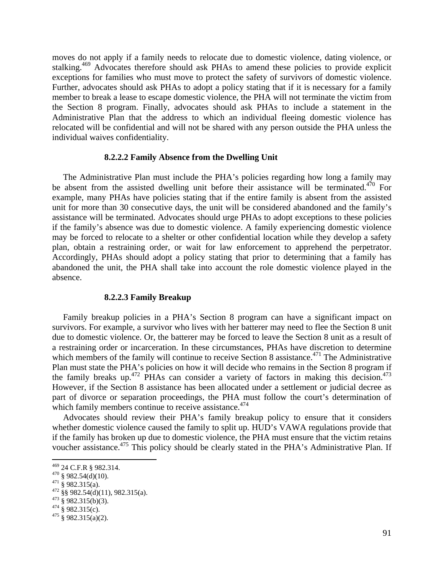moves do not apply if a family needs to relocate due to domestic violence, dating violence, or stalking.<sup>469</sup> Advocates therefore should ask PHAs to amend these policies to provide explicit exceptions for families who must move to protect the safety of survivors of domestic violence. Further, advocates should ask PHAs to adopt a policy stating that if it is necessary for a family member to break a lease to escape domestic violence, the PHA will not terminate the victim from the Section 8 program. Finally, advocates should ask PHAs to include a statement in the Administrative Plan that the address to which an individual fleeing domestic violence has relocated will be confidential and will not be shared with any person outside the PHA unless the individual waives confidentiality.

#### **8.2.2.2 Family Absence from the Dwelling Unit**

 The Administrative Plan must include the PHA's policies regarding how long a family may be absent from the assisted dwelling unit before their assistance will be terminated.<sup>470</sup> For example, many PHAs have policies stating that if the entire family is absent from the assisted unit for more than 30 consecutive days, the unit will be considered abandoned and the family's assistance will be terminated. Advocates should urge PHAs to adopt exceptions to these policies if the family's absence was due to domestic violence. A family experiencing domestic violence may be forced to relocate to a shelter or other confidential location while they develop a safety plan, obtain a restraining order, or wait for law enforcement to apprehend the perpetrator. Accordingly, PHAs should adopt a policy stating that prior to determining that a family has abandoned the unit, the PHA shall take into account the role domestic violence played in the absence.

### **8.2.2.3 Family Breakup**

 Family breakup policies in a PHA's Section 8 program can have a significant impact on survivors. For example, a survivor who lives with her batterer may need to flee the Section 8 unit due to domestic violence. Or, the batterer may be forced to leave the Section 8 unit as a result of a restraining order or incarceration. In these circumstances, PHAs have discretion to determine which members of the family will continue to receive Section 8 assistance.<sup>471</sup> The Administrative Plan must state the PHA's policies on how it will decide who remains in the Section 8 program if the family breaks up.<sup>472</sup> PHAs can consider a variety of factors in making this decision.<sup>473</sup> However, if the Section 8 assistance has been allocated under a settlement or judicial decree as part of divorce or separation proceedings, the PHA must follow the court's determination of which family members continue to receive assistance.<sup>474</sup>

 Advocates should review their PHA's family breakup policy to ensure that it considers whether domestic violence caused the family to split up. HUD's VAWA regulations provide that if the family has broken up due to domestic violence, the PHA must ensure that the victim retains voucher assistance.<sup>475</sup> This policy should be clearly stated in the PHA's Administrative Plan. If

<sup>469 24</sup> C.F.R § 982.314.

<sup>470 § 982.54(</sup>d)(10).<br>
471 § 982.315(a).<br>
472 §§ 982.54(d)(11), 982.315(a).<br>
473 § 982.315(b)(3).<br>
474 § 982.315(c).<br>
475 § 982.315(a)(2).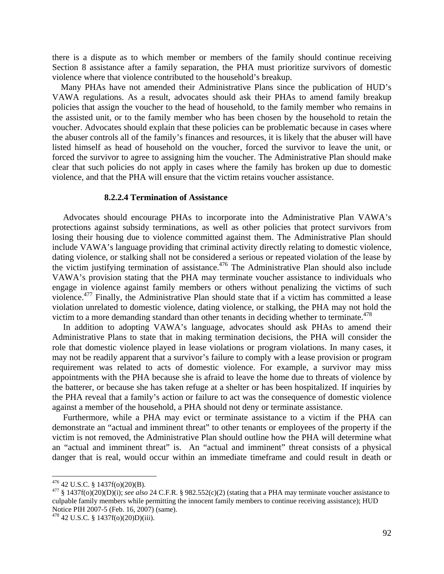there is a dispute as to which member or members of the family should continue receiving Section 8 assistance after a family separation, the PHA must prioritize survivors of domestic violence where that violence contributed to the household's breakup.

 Many PHAs have not amended their Administrative Plans since the publication of HUD's VAWA regulations. As a result, advocates should ask their PHAs to amend family breakup policies that assign the voucher to the head of household, to the family member who remains in the assisted unit, or to the family member who has been chosen by the household to retain the voucher. Advocates should explain that these policies can be problematic because in cases where the abuser controls all of the family's finances and resources, it is likely that the abuser will have listed himself as head of household on the voucher, forced the survivor to leave the unit, or forced the survivor to agree to assigning him the voucher. The Administrative Plan should make clear that such policies do not apply in cases where the family has broken up due to domestic violence, and that the PHA will ensure that the victim retains voucher assistance.

#### **8.2.2.4 Termination of Assistance**

 Advocates should encourage PHAs to incorporate into the Administrative Plan VAWA's protections against subsidy terminations, as well as other policies that protect survivors from losing their housing due to violence committed against them. The Administrative Plan should include VAWA's language providing that criminal activity directly relating to domestic violence, dating violence, or stalking shall not be considered a serious or repeated violation of the lease by the victim justifying termination of assistance.<sup>476</sup> The Administrative Plan should also include VAWA's provision stating that the PHA may terminate voucher assistance to individuals who engage in violence against family members or others without penalizing the victims of such violence.<sup>477</sup> Finally, the Administrative Plan should state that if a victim has committed a lease violation unrelated to domestic violence, dating violence, or stalking, the PHA may not hold the victim to a more demanding standard than other tenants in deciding whether to terminate.<sup>478</sup>

 In addition to adopting VAWA's language, advocates should ask PHAs to amend their Administrative Plans to state that in making termination decisions, the PHA will consider the role that domestic violence played in lease violations or program violations. In many cases, it may not be readily apparent that a survivor's failure to comply with a lease provision or program requirement was related to acts of domestic violence. For example, a survivor may miss appointments with the PHA because she is afraid to leave the home due to threats of violence by the batterer, or because she has taken refuge at a shelter or has been hospitalized. If inquiries by the PHA reveal that a family's action or failure to act was the consequence of domestic violence against a member of the household, a PHA should not deny or terminate assistance.

 Furthermore, while a PHA may evict or terminate assistance to a victim if the PHA can demonstrate an "actual and imminent threat" to other tenants or employees of the property if the victim is not removed, the Administrative Plan should outline how the PHA will determine what an "actual and imminent threat" is. An "actual and imminent" threat consists of a physical danger that is real, would occur within an immediate timeframe and could result in death or

<sup>&</sup>lt;sup>476</sup> 42 U.S.C. § 1437f(o)(20)(B).<br><sup>477</sup> § 1437f(o)(20)(D)(i); *see also* 24 C.F.R. § 982.552(c)(2) (stating that a PHA may terminate voucher assistance to culpable family members while permitting the innocent family members to continue receiving assistance); HUD Notice PIH 2007-5 (Feb. 16, 2007) (same).

<sup>478 42</sup> U.S.C. § 1437f(o)(20)D)(iii).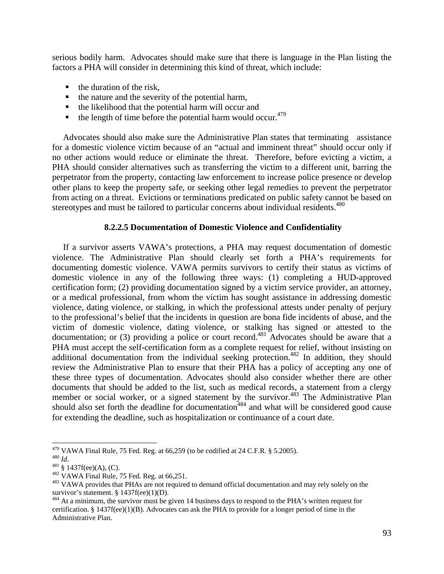serious bodily harm. Advocates should make sure that there is language in the Plan listing the factors a PHA will consider in determining this kind of threat, which include:

- $\blacksquare$  the duration of the risk,
- $\blacksquare$  the nature and the severity of the potential harm,
- $\blacksquare$  the likelihood that the potential harm will occur and
- $\bullet$  the length of time before the potential harm would occur.<sup>479</sup>

 Advocates should also make sure the Administrative Plan states that terminating assistance for a domestic violence victim because of an "actual and imminent threat" should occur only if no other actions would reduce or eliminate the threat. Therefore, before evicting a victim, a PHA should consider alternatives such as transferring the victim to a different unit, barring the perpetrator from the property, contacting law enforcement to increase police presence or develop other plans to keep the property safe, or seeking other legal remedies to prevent the perpetrator from acting on a threat. Evictions or terminations predicated on public safety cannot be based on stereotypes and must be tailored to particular concerns about individual residents.<sup>480</sup>

# **8.2.2.5 Documentation of Domestic Violence and Confidentiality**

 If a survivor asserts VAWA's protections, a PHA may request documentation of domestic violence. The Administrative Plan should clearly set forth a PHA's requirements for documenting domestic violence. VAWA permits survivors to certify their status as victims of domestic violence in any of the following three ways: (1) completing a HUD-approved certification form; (2) providing documentation signed by a victim service provider, an attorney, or a medical professional, from whom the victim has sought assistance in addressing domestic violence, dating violence, or stalking, in which the professional attests under penalty of perjury to the professional's belief that the incidents in question are bona fide incidents of abuse, and the victim of domestic violence, dating violence, or stalking has signed or attested to the documentation; or (3) providing a police or court record.<sup>481</sup> Advocates should be aware that a PHA must accept the self-certification form as a complete request for relief, without insisting on additional documentation from the individual seeking protection.<sup>482</sup> In addition, they should review the Administrative Plan to ensure that their PHA has a policy of accepting any one of these three types of documentation. Advocates should also consider whether there are other documents that should be added to the list, such as medical records, a statement from a clergy member or social worker, or a signed statement by the survivor.<sup>483</sup> The Administrative Plan should also set forth the deadline for documentation<sup>484</sup> and what will be considered good cause for extending the deadline, such as hospitalization or continuance of a court date.

<sup>&</sup>lt;sup>479</sup> VAWA Final Rule, 75 Fed. Reg. at 66,259 (to be codified at 24 C.F.R. § 5.2005).

<sup>480</sup> *Id.*<br>
481 § 1437f(ee)(A), (C).<br>
482 VAWA Final Rule, 75 Fed. Reg. at 66,251.<br>
483 VAWA provides that PHAs are not required to demand official documentation and may rely solely on the survivor's statement. § 1437f(ee)(1)(D).<br><sup>484</sup> At a minimum, the survivor must be given 14 business days to respond to the PHA's written request for

certification. § 1437f(ee)(1)(B). Advocates can ask the PHA to provide for a longer period of time in the Administrative Plan.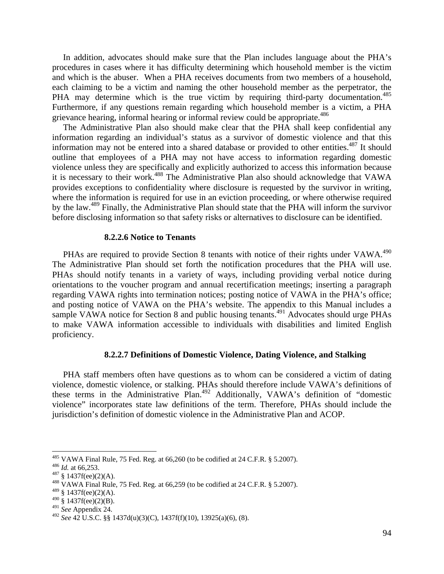In addition, advocates should make sure that the Plan includes language about the PHA's procedures in cases where it has difficulty determining which household member is the victim and which is the abuser. When a PHA receives documents from two members of a household, each claiming to be a victim and naming the other household member as the perpetrator, the PHA may determine which is the true victim by requiring third-party documentation.<sup>485</sup> Furthermore, if any questions remain regarding which household member is a victim, a PHA grievance hearing, informal hearing or informal review could be appropriate.<sup>486</sup>

 The Administrative Plan also should make clear that the PHA shall keep confidential any information regarding an individual's status as a survivor of domestic violence and that this information may not be entered into a shared database or provided to other entities.<sup>487</sup> It should outline that employees of a PHA may not have access to information regarding domestic violence unless they are specifically and explicitly authorized to access this information because it is necessary to their work.488 The Administrative Plan also should acknowledge that VAWA provides exceptions to confidentiality where disclosure is requested by the survivor in writing, where the information is required for use in an eviction proceeding, or where otherwise required by the law.489 Finally, the Administrative Plan should state that the PHA will inform the survivor before disclosing information so that safety risks or alternatives to disclosure can be identified.

#### **8.2.2.6 Notice to Tenants**

PHAs are required to provide Section 8 tenants with notice of their rights under VAWA.<sup>490</sup> The Administrative Plan should set forth the notification procedures that the PHA will use. PHAs should notify tenants in a variety of ways, including providing verbal notice during orientations to the voucher program and annual recertification meetings; inserting a paragraph regarding VAWA rights into termination notices; posting notice of VAWA in the PHA's office; and posting notice of VAWA on the PHA's website. The appendix to this Manual includes a sample VAWA notice for Section 8 and public housing tenants.<sup>491</sup> Advocates should urge PHAs to make VAWA information accessible to individuals with disabilities and limited English proficiency.

# **8.2.2.7 Definitions of Domestic Violence, Dating Violence, and Stalking**

 PHA staff members often have questions as to whom can be considered a victim of dating violence, domestic violence, or stalking. PHAs should therefore include VAWA's definitions of these terms in the Administrative Plan.<sup>492</sup> Additionally, VAWA's definition of "domestic violence" incorporates state law definitions of the term. Therefore, PHAs should include the jurisdiction's definition of domestic violence in the Administrative Plan and ACOP.

<sup>&</sup>lt;sup>485</sup> VAWA Final Rule, 75 Fed. Reg. at 66,260 (to be codified at 24 C.F.R. § 5.2007).

<sup>&</sup>lt;sup>486</sup> *Id.* at 66,253.<br><sup>487</sup> § 1437f(ee)(2)(A).<br><sup>488</sup> VAWA Final Rule, 75 Fed. Reg. at 66,259 (to be codified at 24 C.F.R. § 5.2007).

 $489$  § 1437f(ee)(2)(A).

 $490\,$  § 1437f(ee)(2)(B).

<sup>491</sup> *See* Appendix 24.

<sup>492</sup> *See* 42 U.S.C. §§ 1437d(u)(3)(C), 1437f(f)(10), 13925(a)(6), (8).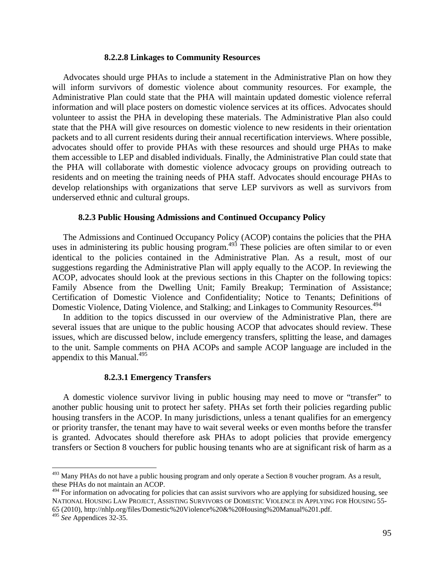#### **8.2.2.8 Linkages to Community Resources**

 Advocates should urge PHAs to include a statement in the Administrative Plan on how they will inform survivors of domestic violence about community resources. For example, the Administrative Plan could state that the PHA will maintain updated domestic violence referral information and will place posters on domestic violence services at its offices. Advocates should volunteer to assist the PHA in developing these materials. The Administrative Plan also could state that the PHA will give resources on domestic violence to new residents in their orientation packets and to all current residents during their annual recertification interviews. Where possible, advocates should offer to provide PHAs with these resources and should urge PHAs to make them accessible to LEP and disabled individuals. Finally, the Administrative Plan could state that the PHA will collaborate with domestic violence advocacy groups on providing outreach to residents and on meeting the training needs of PHA staff. Advocates should encourage PHAs to develop relationships with organizations that serve LEP survivors as well as survivors from underserved ethnic and cultural groups.

#### **8.2.3 Public Housing Admissions and Continued Occupancy Policy**

 The Admissions and Continued Occupancy Policy (ACOP) contains the policies that the PHA uses in administering its public housing program.<sup>493</sup> These policies are often similar to or even identical to the policies contained in the Administrative Plan. As a result, most of our suggestions regarding the Administrative Plan will apply equally to the ACOP. In reviewing the ACOP, advocates should look at the previous sections in this Chapter on the following topics: Family Absence from the Dwelling Unit; Family Breakup; Termination of Assistance; Certification of Domestic Violence and Confidentiality; Notice to Tenants; Definitions of Domestic Violence, Dating Violence, and Stalking; and Linkages to Community Resources.494

 In addition to the topics discussed in our overview of the Administrative Plan, there are several issues that are unique to the public housing ACOP that advocates should review. These issues, which are discussed below, include emergency transfers, splitting the lease, and damages to the unit. Sample comments on PHA ACOPs and sample ACOP language are included in the appendix to this Manual. $495$ 

#### **8.2.3.1 Emergency Transfers**

 A domestic violence survivor living in public housing may need to move or "transfer" to another public housing unit to protect her safety. PHAs set forth their policies regarding public housing transfers in the ACOP. In many jurisdictions, unless a tenant qualifies for an emergency or priority transfer, the tenant may have to wait several weeks or even months before the transfer is granted. Advocates should therefore ask PHAs to adopt policies that provide emergency transfers or Section 8 vouchers for public housing tenants who are at significant risk of harm as a

<sup>&</sup>lt;sup>493</sup> Many PHAs do not have a public housing program and only operate a Section 8 voucher program. As a result, these PHAs do not maintain an ACOP.

 $494$  For information on advocating for policies that can assist survivors who are applying for subsidized housing, see NATIONAL HOUSING LAW PROJECT, ASSISTING SURVIVORS OF DOMESTIC VIOLENCE IN APPLYING FOR HOUSING 55- 65 (2010), http://nhlp.org/files/Domestic%20Violence%20&%20Housing%20Manual%201.pdf.

<sup>495</sup> *See* Appendices 32-35.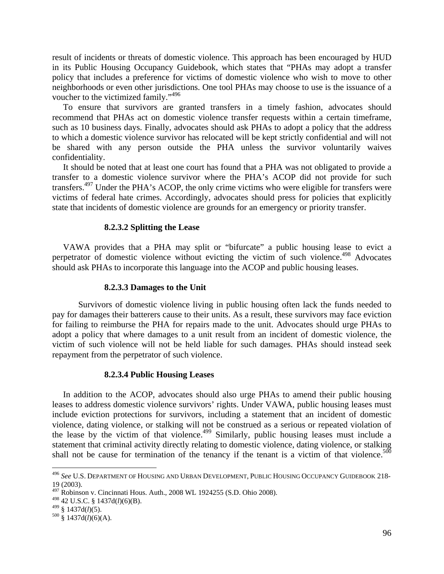result of incidents or threats of domestic violence. This approach has been encouraged by HUD in its Public Housing Occupancy Guidebook, which states that "PHAs may adopt a transfer policy that includes a preference for victims of domestic violence who wish to move to other neighborhoods or even other jurisdictions. One tool PHAs may choose to use is the issuance of a voucher to the victimized family."<sup>496</sup>

 To ensure that survivors are granted transfers in a timely fashion, advocates should recommend that PHAs act on domestic violence transfer requests within a certain timeframe, such as 10 business days. Finally, advocates should ask PHAs to adopt a policy that the address to which a domestic violence survivor has relocated will be kept strictly confidential and will not be shared with any person outside the PHA unless the survivor voluntarily waives confidentiality.

 It should be noted that at least one court has found that a PHA was not obligated to provide a transfer to a domestic violence survivor where the PHA's ACOP did not provide for such transfers.<sup>497</sup> Under the PHA's ACOP, the only crime victims who were eligible for transfers were victims of federal hate crimes. Accordingly, advocates should press for policies that explicitly state that incidents of domestic violence are grounds for an emergency or priority transfer.

## **8.2.3.2 Splitting the Lease**

 VAWA provides that a PHA may split or "bifurcate" a public housing lease to evict a perpetrator of domestic violence without evicting the victim of such violence.<sup>498</sup> Advocates should ask PHAs to incorporate this language into the ACOP and public housing leases.

#### **8.2.3.3 Damages to the Unit**

Survivors of domestic violence living in public housing often lack the funds needed to pay for damages their batterers cause to their units. As a result, these survivors may face eviction for failing to reimburse the PHA for repairs made to the unit. Advocates should urge PHAs to adopt a policy that where damages to a unit result from an incident of domestic violence, the victim of such violence will not be held liable for such damages. PHAs should instead seek repayment from the perpetrator of such violence.

#### **8.2.3.4 Public Housing Leases**

 In addition to the ACOP, advocates should also urge PHAs to amend their public housing leases to address domestic violence survivors' rights. Under VAWA, public housing leases must include eviction protections for survivors, including a statement that an incident of domestic violence, dating violence, or stalking will not be construed as a serious or repeated violation of the lease by the victim of that violence.<sup>499</sup> Similarly, public housing leases must include a statement that criminal activity directly relating to domestic violence, dating violence, or stalking shall not be cause for termination of the tenancy if the tenant is a victim of that violence.<sup>500</sup>

<sup>496</sup> *See* U.S. DEPARTMENT OF HOUSING AND URBAN DEVELOPMENT, PUBLIC HOUSING OCCUPANCY GUIDEBOOK 218- 19 (2003).

 $497$  Robinson v. Cincinnati Hous. Auth., 2008 WL 1924255 (S.D. Ohio 2008).

<sup>498 42</sup> U.S.C. § 1437d(*l*)(6)(B).

<sup>499 § 1437</sup>d(*l*)(5). 500 § 1437d(*l*)(6)(A).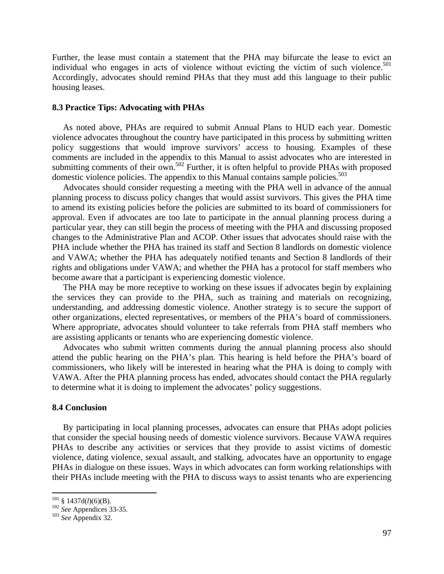Further, the lease must contain a statement that the PHA may bifurcate the lease to evict an individual who engages in acts of violence without evicting the victim of such violence.<sup>501</sup> Accordingly, advocates should remind PHAs that they must add this language to their public housing leases.

## **8.3 Practice Tips: Advocating with PHAs**

 As noted above, PHAs are required to submit Annual Plans to HUD each year. Domestic violence advocates throughout the country have participated in this process by submitting written policy suggestions that would improve survivors' access to housing. Examples of these comments are included in the appendix to this Manual to assist advocates who are interested in submitting comments of their own.<sup>502</sup> Further, it is often helpful to provide PHAs with proposed domestic violence policies. The appendix to this Manual contains sample policies.<sup>503</sup>

 Advocates should consider requesting a meeting with the PHA well in advance of the annual planning process to discuss policy changes that would assist survivors. This gives the PHA time to amend its existing policies before the policies are submitted to its board of commissioners for approval. Even if advocates are too late to participate in the annual planning process during a particular year, they can still begin the process of meeting with the PHA and discussing proposed changes to the Administrative Plan and ACOP. Other issues that advocates should raise with the PHA include whether the PHA has trained its staff and Section 8 landlords on domestic violence and VAWA; whether the PHA has adequately notified tenants and Section 8 landlords of their rights and obligations under VAWA; and whether the PHA has a protocol for staff members who become aware that a participant is experiencing domestic violence.

 The PHA may be more receptive to working on these issues if advocates begin by explaining the services they can provide to the PHA, such as training and materials on recognizing, understanding, and addressing domestic violence. Another strategy is to secure the support of other organizations, elected representatives, or members of the PHA's board of commissioners. Where appropriate, advocates should volunteer to take referrals from PHA staff members who are assisting applicants or tenants who are experiencing domestic violence.

 Advocates who submit written comments during the annual planning process also should attend the public hearing on the PHA's plan. This hearing is held before the PHA's board of commissioners, who likely will be interested in hearing what the PHA is doing to comply with VAWA. After the PHA planning process has ended, advocates should contact the PHA regularly to determine what it is doing to implement the advocates' policy suggestions.

## **8.4 Conclusion**

 By participating in local planning processes, advocates can ensure that PHAs adopt policies that consider the special housing needs of domestic violence survivors. Because VAWA requires PHAs to describe any activities or services that they provide to assist victims of domestic violence, dating violence, sexual assault, and stalking, advocates have an opportunity to engage PHAs in dialogue on these issues. Ways in which advocates can form working relationships with their PHAs include meeting with the PHA to discuss ways to assist tenants who are experiencing

<sup>501 § 1437</sup>d(*l*)(6)(B). 502 *See* Appendices 33-35. 503 *See* Appendix 32.